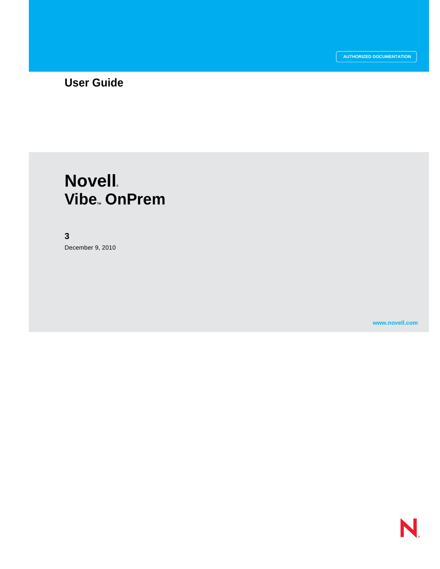## **User Guide**

# **Novell**. **Vibe. OnPrem**

#### **3**

December 9, 2010

**www.novell.com**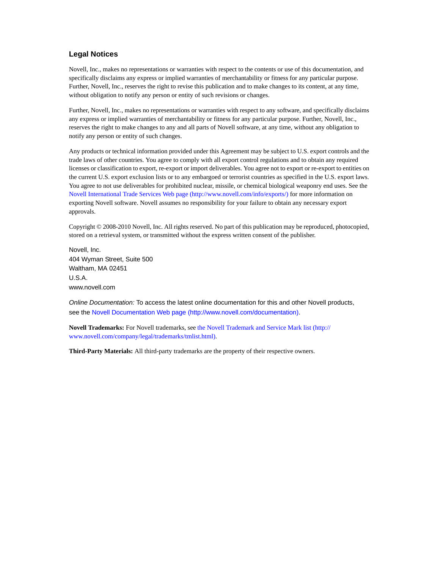#### **Legal Notices**

Novell, Inc., makes no representations or warranties with respect to the contents or use of this documentation, and specifically disclaims any express or implied warranties of merchantability or fitness for any particular purpose. Further, Novell, Inc., reserves the right to revise this publication and to make changes to its content, at any time, without obligation to notify any person or entity of such revisions or changes.

Further, Novell, Inc., makes no representations or warranties with respect to any software, and specifically disclaims any express or implied warranties of merchantability or fitness for any particular purpose. Further, Novell, Inc., reserves the right to make changes to any and all parts of Novell software, at any time, without any obligation to notify any person or entity of such changes.

Any products or technical information provided under this Agreement may be subject to U.S. export controls and the trade laws of other countries. You agree to comply with all export control regulations and to obtain any required licenses or classification to export, re-export or import deliverables. You agree not to export or re-export to entities on the current U.S. export exclusion lists or to any embargoed or terrorist countries as specified in the U.S. export laws. You agree to not use deliverables for prohibited nuclear, missile, or chemical biological weaponry end uses. See the [Novell International Trade Services Web page](http://www.novell.com/info/exports/) (http://www.novell.com/info/exports/) for more information on exporting Novell software. Novell assumes no responsibility for your failure to obtain any necessary export approvals.

Copyright © 2008-2010 Novell, Inc. All rights reserved. No part of this publication may be reproduced, photocopied, stored on a retrieval system, or transmitted without the express written consent of the publisher.

Novell, Inc. 404 Wyman Street, Suite 500 Waltham, MA 02451 U.S.A. www.novell.com

*Online Documentation:* To access the latest online documentation for this and other Novell products, see the [Novell Documentation Web page](http://www.novell.com/documentation) (http://www.novell.com/documentation).

**Novell Trademarks:** For Novell trademarks, see [the Novell Trademark and Service Mark list](http://www.novell.com/company/legal/trademarks/tmlist.html) (http:// www.novell.com/company/legal/trademarks/tmlist.html).

**Third-Party Materials:** All third-party trademarks are the property of their respective owners.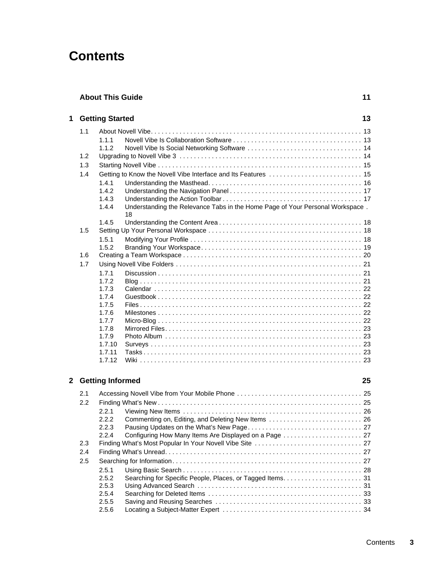# **Contents**

| <b>About This Guide</b> |  |
|-------------------------|--|
|                         |  |

| 1 |     | <b>Getting Started</b> |                                                                                     | 13 |
|---|-----|------------------------|-------------------------------------------------------------------------------------|----|
|   | 1.1 |                        |                                                                                     |    |
|   |     | 111                    |                                                                                     |    |
|   |     | 1.1.2                  |                                                                                     |    |
|   | 1.2 |                        |                                                                                     |    |
|   | 1.3 |                        |                                                                                     |    |
|   | 1.4 |                        |                                                                                     |    |
|   |     | 1.4.1                  |                                                                                     |    |
|   |     | 1.4.2                  |                                                                                     |    |
|   |     | 1.4.3                  |                                                                                     |    |
|   |     | 1.4.4                  | Understanding the Relevance Tabs in the Home Page of Your Personal Workspace.<br>18 |    |
|   |     | 1.4.5                  |                                                                                     |    |
|   | 1.5 |                        |                                                                                     |    |
|   |     | 1.5.1                  |                                                                                     |    |
|   |     | 1.5.2                  |                                                                                     |    |
|   | 1.6 |                        |                                                                                     |    |
|   | 1.7 |                        |                                                                                     |    |
|   |     | 1.7.1                  |                                                                                     |    |
|   |     | 1.7.2                  |                                                                                     |    |
|   |     | 1.7.3                  |                                                                                     |    |
|   |     | 1.7.4                  |                                                                                     |    |
|   |     | 1.7.5                  |                                                                                     |    |
|   |     | 1.7.6                  |                                                                                     |    |
|   |     | 1.7.7                  |                                                                                     |    |
|   |     | 1.7.8<br>1.7.9         |                                                                                     |    |
|   |     | 1.7.10                 |                                                                                     |    |
|   |     | 1.7.11                 |                                                                                     |    |
|   |     | 1.7.12                 |                                                                                     |    |
|   |     |                        |                                                                                     |    |

#### **[2](#page-24-0) Getting Informed** 25

| 2.1 |       |  |
|-----|-------|--|
| 2.2 |       |  |
|     | 221   |  |
|     | 222   |  |
|     | 2.2.3 |  |
|     | 2.2.4 |  |
| 2.3 |       |  |
| 2.4 |       |  |
| 2.5 |       |  |
|     | 2.5.1 |  |
|     | 2.5.2 |  |
|     | 2.5.3 |  |
|     | 2.5.4 |  |
|     | 2.5.5 |  |
|     | 2.5.6 |  |
|     |       |  |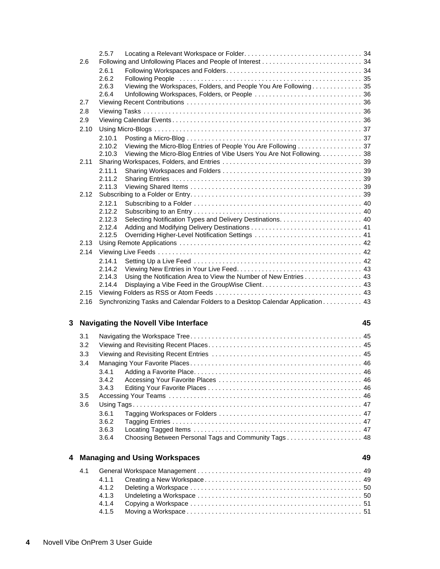|   |                                 | 3.5 |       |                                 |    |
|---|---------------------------------|-----|-------|---------------------------------|----|
|   |                                 | 3.6 |       |                                 |    |
|   |                                 |     | 3.6.1 |                                 |    |
|   |                                 |     | 3.6.2 |                                 |    |
|   |                                 |     | 3.6.3 |                                 |    |
|   |                                 |     | 3.6.4 |                                 |    |
|   |                                 |     |       | 4 Managing and Using Workspaces | 49 |
|   |                                 | 4.1 |       |                                 |    |
|   |                                 |     | 4.1.1 |                                 |    |
|   |                                 |     | 4.1.2 |                                 |    |
|   |                                 |     | 4.1.3 |                                 |    |
|   |                                 |     | 4.1.4 |                                 |    |
|   |                                 |     | 4.1.5 |                                 |    |
|   |                                 |     |       |                                 |    |
| 4 | Novell Vibe OnPrem 3 User Guide |     |       |                                 |    |
|   |                                 |     |       |                                 |    |
|   |                                 |     |       |                                 |    |
|   |                                 |     |       |                                 |    |

|      | 2.5.7  |                                                                               |  |
|------|--------|-------------------------------------------------------------------------------|--|
| 2.6  |        |                                                                               |  |
|      | 2.6.1  |                                                                               |  |
|      | 2.6.2  |                                                                               |  |
|      | 2.6.3  | Viewing the Workspaces, Folders, and People You Are Following 35              |  |
|      | 2.6.4  |                                                                               |  |
| 2.7  |        |                                                                               |  |
| 2.8  |        |                                                                               |  |
| 2.9  |        |                                                                               |  |
| 2.10 |        |                                                                               |  |
|      | 2.10.1 |                                                                               |  |
|      | 2.10.2 | Viewing the Micro-Blog Entries of People You Are Following 37                 |  |
|      | 2.10.3 | Viewing the Micro-Blog Entries of Vibe Users You Are Not Following. 38        |  |
| 2.11 |        |                                                                               |  |
|      | 2.11.1 |                                                                               |  |
|      | 2.11.2 |                                                                               |  |
|      | 2.11.3 |                                                                               |  |
| 2.12 |        |                                                                               |  |
|      | 2.12.1 |                                                                               |  |
|      | 2.12.2 |                                                                               |  |
|      | 2.12.3 |                                                                               |  |
|      | 2.12.4 |                                                                               |  |
|      | 2.12.5 |                                                                               |  |
| 2.13 |        |                                                                               |  |
| 2.14 |        |                                                                               |  |
|      | 2.14.1 |                                                                               |  |
|      | 2.14.2 |                                                                               |  |
|      | 2.14.3 | Using the Notification Area to View the Number of New Entries 43              |  |
|      | 2.14.4 |                                                                               |  |
| 2.15 |        |                                                                               |  |
| 2.16 |        | Synchronizing Tasks and Calendar Folders to a Desktop Calendar Application 43 |  |

#### **[3](#page-44-0) Navigating the Novell Vibe Interface 45**

[3.1 Navigating the Workspace Tree. . . . . . . . . . . . . . . . . . . . . . . . . . . . . . . . . . . . . . . . . . . . . . . . 45](#page-44-1) [3.2 Viewing and Revisiting Recent Places. . . . . . . . . . . . . . . . . . . . . . . . . . . . . . . . . . . . . . . . . . . 45](#page-44-2) [3.3 Viewing and Revisiting Recent Entries . . . . . . . . . . . . . . . . . . . . . . . . . . . . . . . . . . . . . . . . . . 45](#page-44-3) [3.4 Managing Your Favorite Places . . . . . . . . . . . . . . . . . . . . . . . . . . . . . . . . . . . . . . . . . . . . . . . . 46](#page-45-0) [3.4.1 Adding a Favorite Place. . . . . . . . . . . . . . . . . . . . . . . . . . . . . . . . . . . . . . . . . . . . . . . 46](#page-45-1) [3.4.2 Accessing Your Favorite Places . . . . . . . . . . . . . . . . . . . . . . . . . . . . . . . . . . . . . . . . 46](#page-45-2) [3.4.3 Editing Your Favorite Places . . . . . . . . . . . . . . . . . . . . . . . . . . . . . . . . . . . . . . . . . . . 46](#page-45-3) [3.5 Accessing Your Teams . . . . . . . . . . . . . . . . . . . . . . . . . . . . . . . . . . . . . . . . . . . . . . . . . . . . . . 46](#page-45-4) [3.6 Using Tags . . . . . . . . . . . . . . . . . . . . . . . . . . . . . . . . . . . . . . . . . . . . . . . . . . . . . . . . . . . . . . . . 47](#page-46-0) [3.6.1 Tagging Workspaces or Folders . . . . . . . . . . . . . . . . . . . . . . . . . . . . . . . . . . . . . . . . 47](#page-46-1) [3.6.2 Tagging Entries . . . . . . . . . . . . . . . . . . . . . . . . . . . . . . . . . . . . . . . . . . . . . . . . . . . . . 47](#page-46-2) [3.6.3 Locating Tagged Items . . . . . . . . . . . . . . . . . . . . . . . . . . . . . . . . . . . . . . . . . . . . . . . 47](#page-46-3) [3.6.4 Choosing Between Personal Tags and Community Tags . . . . . . . . . . . . . . . . . . . . . 48](#page-47-0)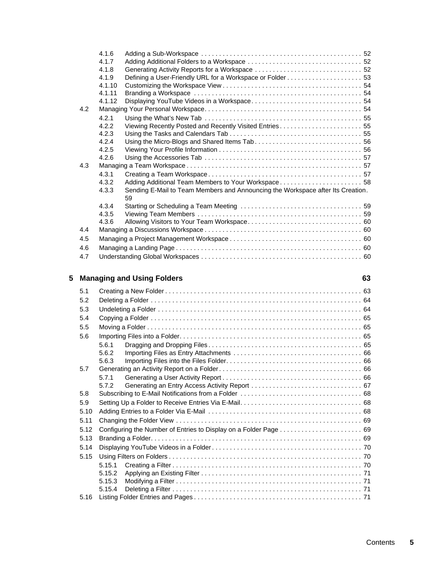|   |      | 4.1.7  |                                                                                 |
|---|------|--------|---------------------------------------------------------------------------------|
|   |      | 4.1.8  |                                                                                 |
|   |      | 4.1.9  |                                                                                 |
|   |      | 4.1.10 |                                                                                 |
|   |      | 4.1.11 |                                                                                 |
|   |      | 4.1.12 |                                                                                 |
|   | 4.2  |        |                                                                                 |
|   |      | 4.2.1  |                                                                                 |
|   |      | 4.2.2  | Viewing Recently Posted and Recently Visited Entries 55                         |
|   |      | 4.2.3  |                                                                                 |
|   |      | 4.2.4  |                                                                                 |
|   |      | 4.2.5  |                                                                                 |
|   |      | 4.2.6  |                                                                                 |
|   | 4.3  |        |                                                                                 |
|   |      | 4.3.1  |                                                                                 |
|   |      | 4.3.2  | Adding Additional Team Members to Your Workspace 58                             |
|   |      | 4.3.3  | Sending E-Mail to Team Members and Announcing the Workspace after Its Creation. |
|   |      |        | 59                                                                              |
|   |      | 4.3.4  |                                                                                 |
|   |      | 4.3.5  |                                                                                 |
|   |      | 4.3.6  |                                                                                 |
|   | 4.4  |        |                                                                                 |
|   | 4.5  |        |                                                                                 |
|   | 4.6  |        |                                                                                 |
|   | 4.7  |        |                                                                                 |
|   |      |        |                                                                                 |
|   |      |        |                                                                                 |
| 5 |      |        |                                                                                 |
|   |      |        | <b>Managing and Using Folders</b><br>63                                         |
|   | 5.1  |        |                                                                                 |
|   | 5.2  |        |                                                                                 |
|   |      |        |                                                                                 |
|   | 5.3  |        |                                                                                 |
|   | 5.4  |        |                                                                                 |
|   | 5.5  |        |                                                                                 |
|   | 5.6  |        |                                                                                 |
|   |      | 5.6.1  |                                                                                 |
|   |      | 5.6.2  |                                                                                 |
|   |      | 5.6.3  |                                                                                 |
|   | 5.7  |        |                                                                                 |
|   |      | 5.7.1  |                                                                                 |
|   |      | 5.7.2  |                                                                                 |
|   | 5.8  |        |                                                                                 |
|   | 5.9  |        |                                                                                 |
|   | 5.10 |        |                                                                                 |
|   | 5.11 |        |                                                                                 |
|   | 5.12 |        |                                                                                 |
|   |      |        |                                                                                 |
|   | 5.13 |        |                                                                                 |
|   | 5.14 |        |                                                                                 |
|   | 5.15 |        |                                                                                 |
|   |      | 5.15.1 |                                                                                 |
|   |      | 5.15.2 |                                                                                 |
|   |      | 5.15.3 |                                                                                 |
|   | 5.16 | 5.15.4 |                                                                                 |

[4.1.6 Adding a Sub-Workspace . . . . . . . . . . . . . . . . . . . . . . . . . . . . . . . . . . . . . . . . . . . . . 52](#page-51-0)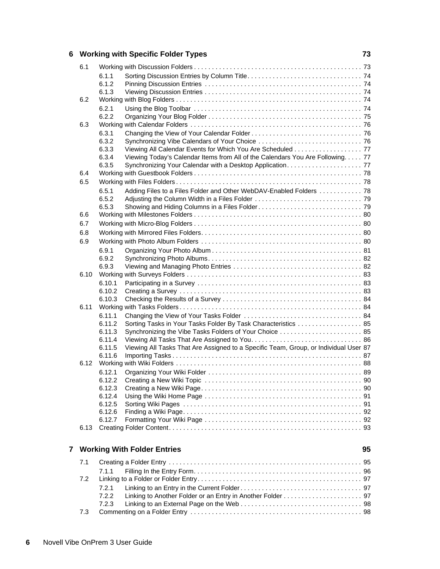#### **[6](#page-72-0) Working with Specific Folder Types 73**

| 6.1  |                  |                                                                                      |    |
|------|------------------|--------------------------------------------------------------------------------------|----|
|      | 6.1.1            |                                                                                      |    |
|      | 6.1.2            |                                                                                      |    |
|      | 6.1.3            |                                                                                      |    |
| 6.2  |                  |                                                                                      |    |
|      | 6.2.1            |                                                                                      |    |
|      | 6.2.2            |                                                                                      |    |
| 6.3  |                  |                                                                                      |    |
|      | 6.3.1            |                                                                                      |    |
|      | 6.3.2            |                                                                                      |    |
|      | 6.3.3            | Viewing All Calendar Events for Which You Are Scheduled 77                           |    |
|      | 6.3.4            | Viewing Today's Calendar Items from All of the Calendars You Are Following. 77       |    |
|      | 6.3.5            |                                                                                      |    |
| 6.4  |                  |                                                                                      |    |
| 6.5  |                  |                                                                                      |    |
|      | 6.5.1            | Adding Files to a Files Folder and Other WebDAV-Enabled Folders  78                  |    |
|      | 6.5.2<br>6.5.3   |                                                                                      |    |
| 6.6  |                  |                                                                                      |    |
| 6.7  |                  |                                                                                      |    |
| 6.8  |                  |                                                                                      |    |
| 6.9  |                  |                                                                                      |    |
|      |                  |                                                                                      |    |
|      | 6.9.1<br>6.9.2   |                                                                                      |    |
|      | 6.9.3            |                                                                                      |    |
| 6.10 |                  |                                                                                      |    |
|      | 6.10.1           |                                                                                      |    |
|      | 6.10.2           |                                                                                      |    |
|      | 6.10.3           |                                                                                      |    |
| 6.11 |                  |                                                                                      |    |
|      | 6.11.1           |                                                                                      |    |
|      | 6.11.2           | Sorting Tasks in Your Tasks Folder By Task Characteristics  85                       |    |
|      | 6.11.3           | Synchronizing the Vibe Tasks Folders of Your Choice  85                              |    |
|      | 6.11.4           |                                                                                      |    |
|      | 6.11.5           | Viewing All Tasks That Are Assigned to a Specific Team, Group, or Individual User 87 |    |
|      | 6.11.6           |                                                                                      |    |
| 6.12 |                  |                                                                                      |    |
|      | 6.12.1           |                                                                                      |    |
|      | 6.12.2           |                                                                                      |    |
|      | 6.12.3<br>6.12.4 |                                                                                      |    |
|      | 6.12.5           |                                                                                      |    |
|      | 6.12.6           |                                                                                      |    |
|      | 6.12.7           |                                                                                      |    |
| 6.13 |                  |                                                                                      |    |
|      |                  |                                                                                      |    |
|      |                  | 7 Working With Folder Entries                                                        | 95 |
|      |                  |                                                                                      |    |
| 7.1  |                  |                                                                                      |    |
|      | 7.1.1            |                                                                                      |    |
| 7.2  |                  |                                                                                      |    |
|      | 7.2.1            |                                                                                      |    |
|      | 7.2.2            |                                                                                      |    |
|      | 7.2.3            |                                                                                      |    |

[7.3 Commenting on a Folder Entry . . . . . . . . . . . . . . . . . . . . . . . . . . . . . . . . . . . . . . . . . . . . . . . . 98](#page-97-1)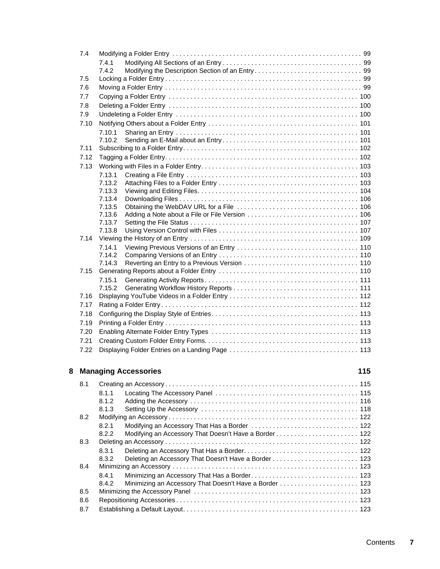|   |      | 7.4.2                                                           |     |
|---|------|-----------------------------------------------------------------|-----|
|   | 7.5  |                                                                 |     |
|   | 7.6  |                                                                 |     |
|   | 7.7  |                                                                 |     |
|   | 7.8  |                                                                 |     |
|   | 7.9  |                                                                 |     |
|   | 7.10 |                                                                 |     |
|   |      |                                                                 |     |
|   |      | 7.10.1<br>7.10.2                                                |     |
|   | 7.11 |                                                                 |     |
|   |      |                                                                 |     |
|   | 7.12 |                                                                 |     |
|   | 7.13 |                                                                 |     |
|   |      | 7.13.1                                                          |     |
|   |      | 7.13.2                                                          |     |
|   |      | 7.13.3                                                          |     |
|   |      | 7.13.4                                                          |     |
|   |      | 7.13.5                                                          |     |
|   |      | 7.13.6                                                          |     |
|   |      | 7.13.7<br>7.13.8                                                |     |
|   |      |                                                                 |     |
|   |      |                                                                 |     |
|   |      | 7.14.1<br>7.14.2                                                |     |
|   |      | 7.14.3                                                          |     |
|   | 7.15 |                                                                 |     |
|   |      | 7.15.1                                                          |     |
|   |      | 7.15.2                                                          |     |
|   | 7.16 |                                                                 |     |
|   | 7.17 |                                                                 |     |
|   | 7.18 |                                                                 |     |
|   | 7.19 |                                                                 |     |
|   |      |                                                                 |     |
|   | 7.20 |                                                                 |     |
|   | 7.21 |                                                                 |     |
|   | 7.22 |                                                                 |     |
|   |      |                                                                 |     |
| 8 |      | <b>Managing Accessories</b>                                     | 115 |
|   | 8.1  |                                                                 |     |
|   |      | 8.1.1                                                           |     |
|   |      | 8.1.2                                                           |     |
|   |      | 8.1.3                                                           |     |
|   | 8.2  |                                                                 |     |
|   |      | 8.2.1                                                           |     |
|   |      | 8.2.2<br>Modifying an Accessory That Doesn't Have a Border  122 |     |
|   | 8.3  |                                                                 |     |
|   |      | 8.3.1                                                           |     |
|   |      | 8.3.2<br>Deleting an Accessory That Doesn't Have a Border  123  |     |
|   | 8.4  |                                                                 |     |
|   |      | 8.4.1                                                           |     |
|   |      | 8.4.2                                                           |     |
|   | 8.5  |                                                                 |     |
|   | 8.6  |                                                                 |     |
|   | 8.7  |                                                                 |     |
|   |      |                                                                 |     |

[7.4 Modifying a Folder Entry . . . . . . . . . . . . . . . . . . . . . . . . . . . . . . . . . . . . . . . . . . . . . . . . . . . . . 99](#page-98-0) [7.4.1 Modifying All Sections of an Entry . . . . . . . . . . . . . . . . . . . . . . . . . . . . . . . . . . . . . . . 99](#page-98-1)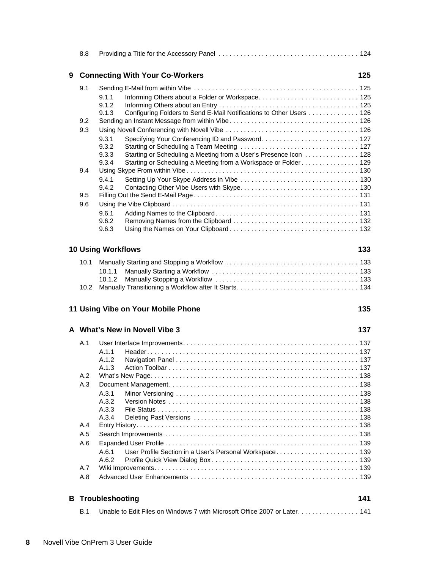|   | 8.8  |                                                                               |     |
|---|------|-------------------------------------------------------------------------------|-----|
| 9 |      | <b>Connecting With Your Co-Workers</b>                                        | 125 |
|   | 9.1  |                                                                               |     |
|   |      | 9.1.1                                                                         |     |
|   |      | 9.1.2                                                                         |     |
|   |      | Configuring Folders to Send E-Mail Notifications to Other Users  126<br>9.1.3 |     |
|   | 9.2  |                                                                               |     |
|   | 9.3  |                                                                               |     |
|   |      | 9.3.1<br>9.3.2                                                                |     |
|   |      | 9.3.3<br>Starting or Scheduling a Meeting from a User's Presence Icon 128     |     |
|   |      | Starting or Scheduling a Meeting from a Workspace or Folder 129<br>9.3.4      |     |
|   | 9.4  |                                                                               |     |
|   |      | 9.4.1                                                                         |     |
|   |      | 9.4.2                                                                         |     |
|   | 9.5  |                                                                               |     |
|   | 9.6  |                                                                               |     |
|   |      | 9.6.1                                                                         |     |
|   |      | 9.6.2                                                                         |     |
|   |      | 9.6.3                                                                         |     |
|   |      | <b>10 Using Workflows</b>                                                     | 133 |
|   | 10.1 |                                                                               |     |
|   |      | 10.1.1                                                                        |     |
|   |      | 10.1.2                                                                        |     |
|   | 10.2 |                                                                               |     |
|   |      | 11 Using Vibe on Your Mobile Phone                                            | 135 |
|   |      | A What's New in Novell Vibe 3                                                 | 137 |
|   | A.1  |                                                                               |     |
|   |      | A.1.1                                                                         |     |
|   |      | A.1.2                                                                         |     |
|   |      | A.1.3                                                                         |     |
|   | A.2  |                                                                               |     |
|   | A.3  |                                                                               |     |
|   |      | A.3.1                                                                         |     |
|   |      | A.3.2                                                                         |     |
|   |      | A.3.3<br>A.3.4                                                                |     |
|   | A.4  |                                                                               |     |
|   | A.5  |                                                                               |     |
|   | A.6  |                                                                               |     |
|   |      | A.6.1                                                                         |     |
|   |      | A.6.2                                                                         |     |
|   | A.7  |                                                                               |     |
|   | A.8  |                                                                               |     |
| в |      | Troubleshooting                                                               | 141 |
|   |      |                                                                               |     |
|   | B.1  | Unable to Edit Files on Windows 7 with Microsoft Office 2007 or Later 141     |     |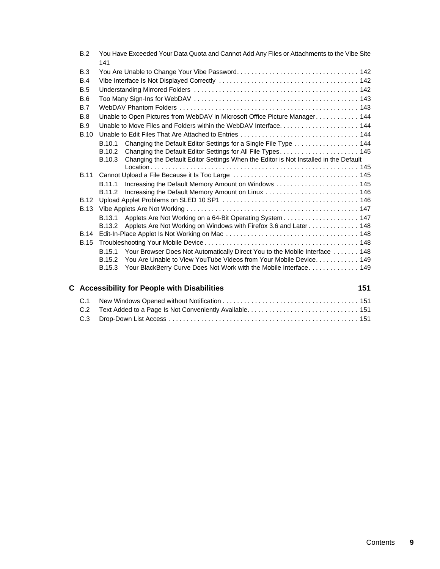| B.2         | You Have Exceeded Your Data Quota and Cannot Add Any Files or Attachments to the Vibe Site<br>141 |  |
|-------------|---------------------------------------------------------------------------------------------------|--|
| B.3         |                                                                                                   |  |
| B.4         |                                                                                                   |  |
| B.5         |                                                                                                   |  |
| B.6         |                                                                                                   |  |
| <b>B.7</b>  |                                                                                                   |  |
| B.8         | Unable to Open Pictures from WebDAV in Microsoft Office Picture Manager 144                       |  |
| B.9         |                                                                                                   |  |
| <b>B.10</b> |                                                                                                   |  |
|             | Changing the Default Editor Settings for a Single File Type 144<br>B.10.1                         |  |
|             | Changing the Default Editor Settings for All File Types 145<br>B.10.2                             |  |
|             | Changing the Default Editor Settings When the Editor is Not Installed in the Default<br>B.10.3    |  |
| <b>B.11</b> |                                                                                                   |  |
|             | Increasing the Default Memory Amount on Windows  145<br>B.11.1                                    |  |
|             | Increasing the Default Memory Amount on Linux  146<br>B.11.2                                      |  |
| <b>B.12</b> |                                                                                                   |  |
| <b>B.13</b> |                                                                                                   |  |
|             | B.13.1                                                                                            |  |
|             | Applets Are Not Working on Windows with Firefox 3.6 and Later 148<br>B.13.2                       |  |
| <b>B.14</b> |                                                                                                   |  |
| <b>B.15</b> |                                                                                                   |  |
|             | Your Browser Does Not Automatically Direct You to the Mobile Interface  148<br>B.15.1             |  |
|             | You Are Unable to View YouTube Videos from Your Mobile Device 149<br>B.15.2                       |  |
|             | B.15.3<br>Your BlackBerry Curve Does Not Work with the Mobile Interface 149                       |  |
|             |                                                                                                   |  |

#### **[C Accessibility for People with Disabilities 151](#page-150-0)**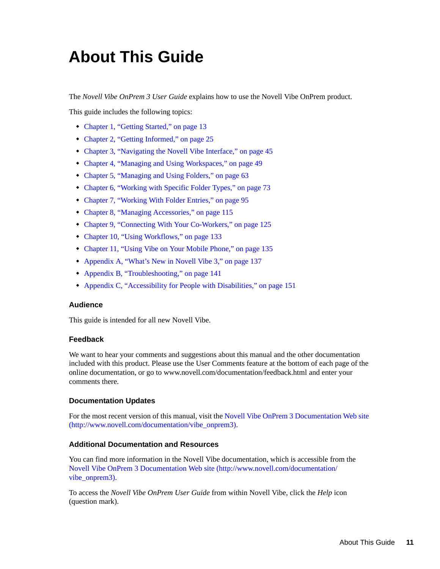# <span id="page-10-0"></span>**About This Guide**

The *Novell Vibe OnPrem 3 User Guide* explains how to use the Novell Vibe OnPrem product.

This guide includes the following topics:

- [Chapter 1, "Getting Started," on page 13](#page-12-0)
- [Chapter 2, "Getting Informed," on page 25](#page-24-0)
- [Chapter 3, "Navigating the Novell Vibe Interface," on page 45](#page-44-0)
- [Chapter 4, "Managing and Using Workspaces," on page 49](#page-48-0)
- [Chapter 5, "Managing and Using Folders," on page 63](#page-62-0)
- [Chapter 6, "Working with Specific Folder Types," on page 73](#page-72-0)
- [Chapter 7, "Working With Folder Entries," on page 95](#page-94-0)
- [Chapter 8, "Managing Accessories," on page 115](#page-114-0)
- [Chapter 9, "Connecting With Your Co-Workers," on page 125](#page-124-0)
- [Chapter 10, "Using Workflows," on page 133](#page-132-0)
- [Chapter 11, "Using Vibe on Your Mobile Phone," on page 135](#page-134-0)
- [Appendix A, "What's New in Novell Vibe 3," on page 137](#page-136-0)
- [Appendix B, "Troubleshooting," on page 141](#page-140-0)
- [Appendix C, "Accessibility for People with Disabilities," on page 151](#page-150-0)

#### **Audience**

This guide is intended for all new Novell Vibe.

#### **Feedback**

We want to hear your comments and suggestions about this manual and the other documentation included with this product. Please use the User Comments feature at the bottom of each page of the online documentation, or go to www.novell.com/documentation/feedback.html and enter your comments there.

#### **Documentation Updates**

For the most recent version of this manual, visit the [Novell Vibe OnPrem 3 Documentation Web site](http://www.novell.com/documentation/vibe_onprem3)  (http://www.novell.com/documentation/vibe\_onprem3).

#### **Additional Documentation and Resources**

You can find more information in the Novell Vibe documentation, which is accessible from the [Novell Vibe OnPrem 3 Documentation Web site](http://www.novell.com/documentation/vibe_onprem3) (http://www.novell.com/documentation/ vibe\_onprem3).

To access the *Novell Vibe OnPrem User Guide* from within Novell Vibe, click the *Help* icon (question mark).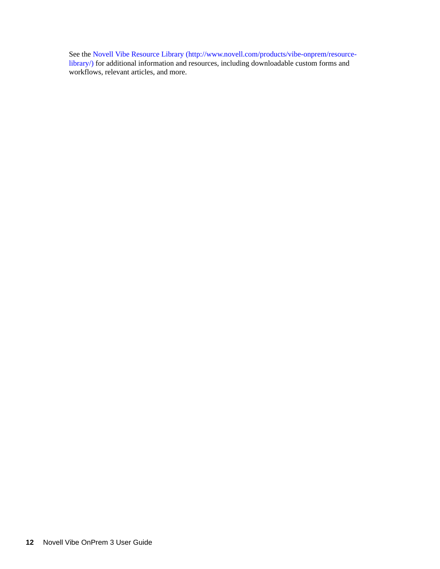See the [Novell Vibe Resource Library](http://www.novell.com/products/vibe-onprem/resource-library/) (http://www.novell.com/products/vibe-onprem/resourcelibrary/) for additional information and resources, including downloadable custom forms and workflows, relevant articles, and more.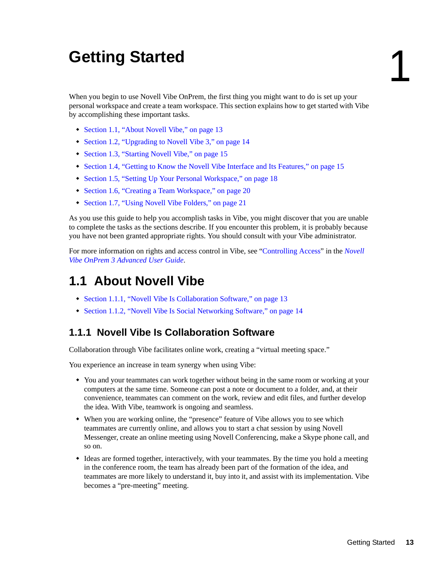# <span id="page-12-0"></span><sup>1</sup>**Getting Started**

When you begin to use Novell Vibe OnPrem, the first thing you might want to do is set up your personal workspace and create a team workspace. This section explains how to get started with Vibe by accomplishing these important tasks.

- [Section 1.1, "About Novell Vibe," on page 13](#page-12-1)
- [Section 1.2, "Upgrading to Novell Vibe 3," on page 14](#page-13-1)
- [Section 1.3, "Starting Novell Vibe," on page 15](#page-14-0)
- [Section 1.4, "Getting to Know the Novell Vibe Interface and Its Features," on page 15](#page-14-1)
- [Section 1.5, "Setting Up Your Personal Workspace," on page 18](#page-17-2)
- [Section 1.6, "Creating a Team Workspace," on page 20](#page-19-0)
- [Section 1.7, "Using Novell Vibe Folders," on page 21](#page-20-0)

As you use this guide to help you accomplish tasks in Vibe, you might discover that you are unable to complete the tasks as the sections describe. If you encounter this problem, it is probably because you have not been granted appropriate rights. You should consult with your Vibe administrator.

For more information on rights and access control in Vibe, see "Controlling Access" in the *Novell Vibe OnPrem 3 Advanced User Guide*.

# <span id="page-12-1"></span>**1.1 About Novell Vibe**

- [Section 1.1.1, "Novell Vibe Is Collaboration Software," on page 13](#page-12-2)
- [Section 1.1.2, "Novell Vibe Is Social Networking Software," on page 14](#page-13-0)

#### <span id="page-12-2"></span>**1.1.1 Novell Vibe Is Collaboration Software**

Collaboration through Vibe facilitates online work, creating a "virtual meeting space."

You experience an increase in team synergy when using Vibe:

- You and your teammates can work together without being in the same room or working at your computers at the same time. Someone can post a note or document to a folder, and, at their convenience, teammates can comment on the work, review and edit files, and further develop the idea. With Vibe, teamwork is ongoing and seamless.
- When you are working online, the "presence" feature of Vibe allows you to see which teammates are currently online, and allows you to start a chat session by using Novell Messenger, create an online meeting using Novell Conferencing, make a Skype phone call, and so on.
- Ideas are formed together, interactively, with your teammates. By the time you hold a meeting in the conference room, the team has already been part of the formation of the idea, and teammates are more likely to understand it, buy into it, and assist with its implementation. Vibe becomes a "pre-meeting" meeting.

1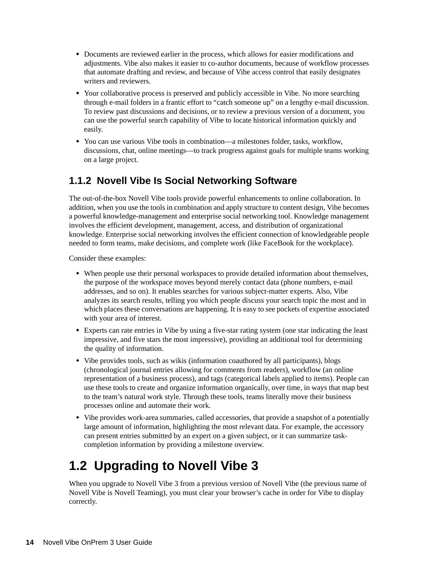- Documents are reviewed earlier in the process, which allows for easier modifications and adjustments. Vibe also makes it easier to co-author documents, because of workflow processes that automate drafting and review, and because of Vibe access control that easily designates writers and reviewers.
- Your collaborative process is preserved and publicly accessible in Vibe. No more searching through e-mail folders in a frantic effort to "catch someone up" on a lengthy e-mail discussion. To review past discussions and decisions, or to review a previous version of a document, you can use the powerful search capability of Vibe to locate historical information quickly and easily.
- You can use various Vibe tools in combination—a milestones folder, tasks, workflow, discussions, chat, online meetings—to track progress against goals for multiple teams working on a large project.

### <span id="page-13-0"></span>**1.1.2 Novell Vibe Is Social Networking Software**

The out-of-the-box Novell Vibe tools provide powerful enhancements to online collaboration. In addition, when you use the tools in combination and apply structure to content design, Vibe becomes a powerful knowledge-management and enterprise social networking tool. Knowledge management involves the efficient development, management, access, and distribution of organizational knowledge. Enterprise social networking involves the efficient connection of knowledgeable people needed to form teams, make decisions, and complete work (like FaceBook for the workplace).

Consider these examples:

- When people use their personal workspaces to provide detailed information about themselves, the purpose of the workspace moves beyond merely contact data (phone numbers, e-mail addresses, and so on). It enables searches for various subject-matter experts. Also, Vibe analyzes its search results, telling you which people discuss your search topic the most and in which places these conversations are happening. It is easy to see pockets of expertise associated with your area of interest.
- Experts can rate entries in Vibe by using a five-star rating system (one star indicating the least impressive, and five stars the most impressive), providing an additional tool for determining the quality of information.
- Vibe provides tools, such as wikis (information coauthored by all participants), blogs (chronological journal entries allowing for comments from readers), workflow (an online representation of a business process), and tags (categorical labels applied to items). People can use these tools to create and organize information organically, over time, in ways that map best to the team's natural work style. Through these tools, teams literally move their business processes online and automate their work.
- Vibe provides work-area summaries, called accessories, that provide a snapshot of a potentially large amount of information, highlighting the most relevant data. For example, the accessory can present entries submitted by an expert on a given subject, or it can summarize taskcompletion information by providing a milestone overview.

# <span id="page-13-1"></span>**1.2 Upgrading to Novell Vibe 3**

When you upgrade to Novell Vibe 3 from a previous version of Novell Vibe (the previous name of Novell Vibe is Novell Teaming), you must clear your browser's cache in order for Vibe to display correctly.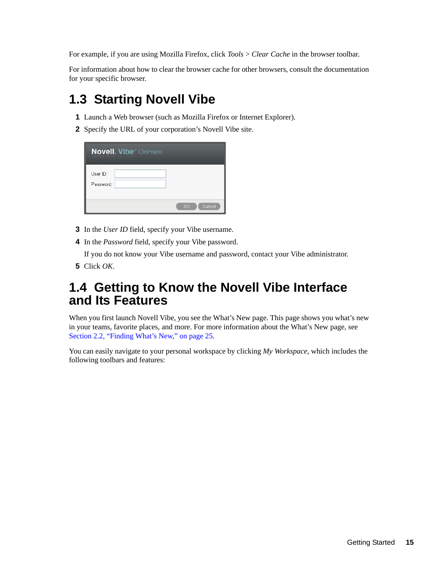For example, if you are using Mozilla Firefox, click *Tools* > *Clear Cache* in the browser toolbar.

For information about how to clear the browser cache for other browsers, consult the documentation for your specific browser.

# <span id="page-14-0"></span>**1.3 Starting Novell Vibe**

- **1** Launch a Web browser (such as Mozilla Firefox or Internet Explorer).
- **2** Specify the URL of your corporation's Novell Vibe site.

| <b>Novell</b> . Vibe <sup>"</sup> OnPrem |               |
|------------------------------------------|---------------|
| User ID:<br>Password:                    |               |
|                                          | OK.<br>Cancel |

- **3** In the *User ID* field, specify your Vibe username.
- **4** In the *Password* field, specify your Vibe password.

If you do not know your Vibe username and password, contact your Vibe administrator.

**5** Click *OK*.

## <span id="page-14-1"></span>**1.4 Getting to Know the Novell Vibe Interface and Its Features**

When you first launch Novell Vibe, you see the What's New page. This page shows you what's new in your teams, favorite places, and more. For more information about the What's New page, see [Section 2.2, "Finding What's New," on page 25.](#page-24-3)

You can easily navigate to your personal workspace by clicking *My Workspace*, which includes the following toolbars and features: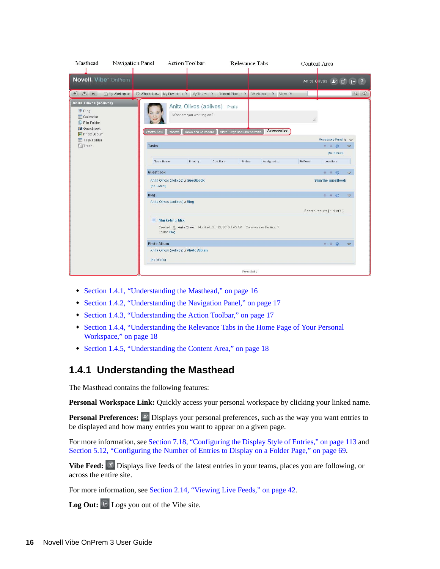| Masthead                                                                                                                   | Navigation Panel |                                                                 | <b>Action Toolbar</b>                           |                                | <b>Relevance Tabs</b>        |                    | Content Area |  |                           |                      |
|----------------------------------------------------------------------------------------------------------------------------|------------------|-----------------------------------------------------------------|-------------------------------------------------|--------------------------------|------------------------------|--------------------|--------------|--|---------------------------|----------------------|
| Novell. Vibe <sup>®</sup> OnPrem                                                                                           |                  |                                                                 |                                                 |                                |                              |                    |              |  |                           | Anita Clives & 百 + ? |
| + 主 话                                                                                                                      |                  | My Workspace C What's New My Favorites My Teams M Recent Places |                                                 |                                |                              | Workspace * View * |              |  |                           | $Q$ $Q$              |
| Anita Olivos (aolivos)<br><b>图 Blog</b><br>Calendar<br>$\Box$ File Folder<br><b>B</b> Guestbook<br>Photo Album             |                  | Recent<br>What's New                                            | What are you working on?<br>Tasks and Calendars | Anita Olivos (aolivos) Profile | Micro-Blogs and Shared Items | Accessories        | ä.           |  |                           |                      |
| Task Folder                                                                                                                |                  |                                                                 |                                                 |                                |                              |                    |              |  | Accessory Panel * V       |                      |
| <b>Im</b> Trash                                                                                                            |                  | <b>Tasks</b>                                                    |                                                 |                                |                              |                    |              |  | * * @                     | $\Rightarrow$        |
|                                                                                                                            |                  |                                                                 |                                                 |                                |                              |                    |              |  | [No Entries]              |                      |
|                                                                                                                            |                  | Task Name                                                       | Priority                                        | Due Date                       | Status                       | Assigned to        | % Done       |  | Location                  |                      |
|                                                                                                                            |                  | <b>Guestbook</b>                                                |                                                 |                                |                              |                    |              |  | 十 + @                     | $\triangledown$      |
|                                                                                                                            |                  | Anita Olivos (aolivos) // Guestbook<br>[No Entries]             |                                                 |                                |                              |                    |              |  | <b>Sign the guestbook</b> |                      |
|                                                                                                                            |                  | Blog                                                            |                                                 |                                |                              |                    |              |  | + + ®                     | $\Rightarrow$        |
|                                                                                                                            |                  | Anita Olivos (aolivos) // Blog                                  |                                                 |                                |                              |                    |              |  | Search results [1-1 of 1] |                      |
| <b>Marketing Mix</b><br>臆<br>Created: C Anita Olivos Modified: Oct 13, 2010 1:45 AM Comments or Replies: 0<br>Folder: Blog |                  |                                                                 |                                                 |                                |                              |                    |              |  |                           |                      |
|                                                                                                                            |                  | <b>Photo Album</b>                                              |                                                 |                                |                              |                    |              |  | + + ※                     | $\Rightarrow$        |
|                                                                                                                            |                  | Anita Olivos (aolivos) // Photo Album<br>[No photos]            |                                                 |                                |                              |                    |              |  |                           |                      |
|                                                                                                                            |                  |                                                                 |                                                 |                                | Permalinks                   |                    |              |  |                           |                      |

- [Section 1.4.1, "Understanding the Masthead," on page 16](#page-15-0)
- [Section 1.4.2, "Understanding the Navigation Panel," on page 17](#page-16-0)
- [Section 1.4.3, "Understanding the Action Toolbar," on page 17](#page-16-1)
- [Section 1.4.4, "Understanding the Relevance Tabs in the Home Page of Your Personal](#page-17-0)  [Workspace," on page 18](#page-17-0)
- [Section 1.4.5, "Understanding the Content Area," on page 18](#page-17-1)

#### <span id="page-15-0"></span>**1.4.1 Understanding the Masthead**

The Masthead contains the following features:

Personal Workspace Link: Quickly access your personal workspace by clicking your linked name.

**Personal Preferences:**  $\leq$  Displays your personal preferences, such as the way you want entries to be displayed and how many entries you want to appear on a given page.

For more information, see [Section 7.18, "Configuring the Display Style of Entries," on page 113](#page-112-5) and [Section 5.12, "Configuring the Number of Entries to Display on a Folder Page," on page 69.](#page-68-3)

**Vibe Feed:** Displays live feeds of the latest entries in your teams, places you are following, or across the entire site.

For more information, see [Section 2.14, "Viewing Live Feeds," on page 42](#page-41-3).

Log Out: <sup>1+</sup> Logs you out of the Vibe site.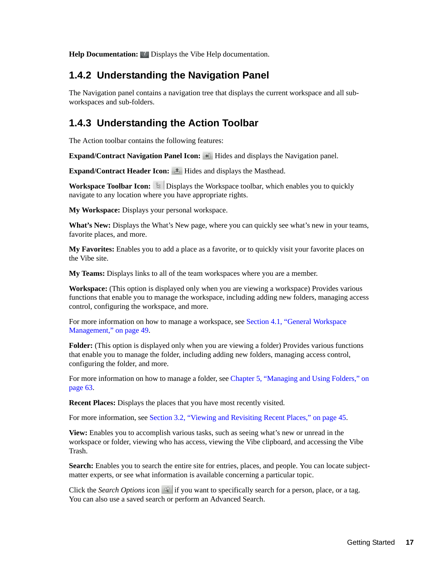**Help Documentation:** *C* Displays the Vibe Help documentation.

#### <span id="page-16-0"></span>**1.4.2 Understanding the Navigation Panel**

The Navigation panel contains a navigation tree that displays the current workspace and all subworkspaces and sub-folders.

#### <span id="page-16-1"></span>**1.4.3 Understanding the Action Toolbar**

The Action toolbar contains the following features:

**Expand/Contract Navigation Panel Icon:**  $\Box$  Hides and displays the Navigation panel.

**Expand/Contract Header Icon:**  $\triangle$  **Hides and displays the Masthead.** 

**Workspace Toolbar Icon:**  $\mathbb{B}$  Displays the Workspace toolbar, which enables you to quickly navigate to any location where you have appropriate rights.

**My Workspace:** Displays your personal workspace.

**What's New:** Displays the What's New page, where you can quickly see what's new in your teams, favorite places, and more.

**My Favorites:** Enables you to add a place as a favorite, or to quickly visit your favorite places on the Vibe site.

**My Teams:** Displays links to all of the team workspaces where you are a member.

**Workspace:** (This option is displayed only when you are viewing a workspace) Provides various functions that enable you to manage the workspace, including adding new folders, managing access control, configuring the workspace, and more.

For more information on how to manage a workspace, see [Section 4.1, "General Workspace](#page-48-3)  [Management," on page 49.](#page-48-3)

**Folder:** (This option is displayed only when you are viewing a folder) Provides various functions that enable you to manage the folder, including adding new folders, managing access control, configuring the folder, and more.

For more information on how to manage a folder, see Chapter 5, "Managing and Using Folders," on [page 63.](#page-62-0)

**Recent Places:** Displays the places that you have most recently visited.

For more information, see [Section 3.2, "Viewing and Revisiting Recent Places," on page 45.](#page-44-4)

**View:** Enables you to accomplish various tasks, such as seeing what's new or unread in the workspace or folder, viewing who has access, viewing the Vibe clipboard, and accessing the Vibe Trash.

Search: Enables you to search the entire site for entries, places, and people. You can locate subjectmatter experts, or see what information is available concerning a particular topic.

Click the *Search Options* icon  $\mathbb{R}$  if you want to specifically search for a person, place, or a tag. You can also use a saved search or perform an Advanced Search.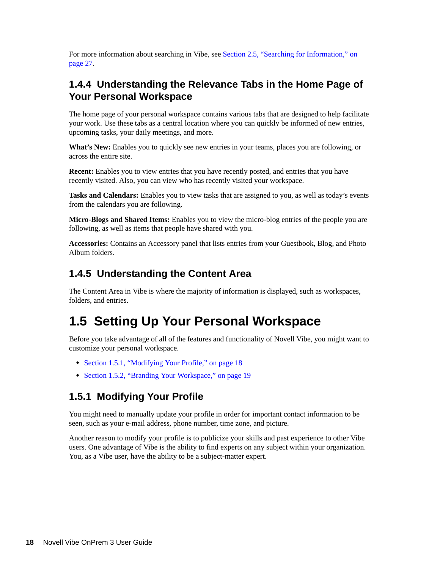For more information about searching in Vibe, see [Section 2.5, "Searching for Information," on](#page-26-5)  [page 27.](#page-26-5)

## <span id="page-17-0"></span>**1.4.4 Understanding the Relevance Tabs in the Home Page of Your Personal Workspace**

The home page of your personal workspace contains various tabs that are designed to help facilitate your work. Use these tabs as a central location where you can quickly be informed of new entries, upcoming tasks, your daily meetings, and more.

**What's New:** Enables you to quickly see new entries in your teams, places you are following, or across the entire site.

**Recent:** Enables you to view entries that you have recently posted, and entries that you have recently visited. Also, you can view who has recently visited your workspace.

**Tasks and Calendars:** Enables you to view tasks that are assigned to you, as well as today's events from the calendars you are following.

**Micro-Blogs and Shared Items:** Enables you to view the micro-blog entries of the people you are following, as well as items that people have shared with you.

**Accessories:** Contains an Accessory panel that lists entries from your Guestbook, Blog, and Photo Album folders.

#### <span id="page-17-1"></span>**1.4.5 Understanding the Content Area**

The Content Area in Vibe is where the majority of information is displayed, such as workspaces, folders, and entries.

# <span id="page-17-2"></span>**1.5 Setting Up Your Personal Workspace**

Before you take advantage of all of the features and functionality of Novell Vibe, you might want to customize your personal workspace.

- [Section 1.5.1, "Modifying Your Profile," on page 18](#page-17-3)
- [Section 1.5.2, "Branding Your Workspace," on page 19](#page-18-0)

## <span id="page-17-3"></span>**1.5.1 Modifying Your Profile**

You might need to manually update your profile in order for important contact information to be seen, such as your e-mail address, phone number, time zone, and picture.

Another reason to modify your profile is to publicize your skills and past experience to other Vibe users. One advantage of Vibe is the ability to find experts on any subject within your organization. You, as a Vibe user, have the ability to be a subject-matter expert.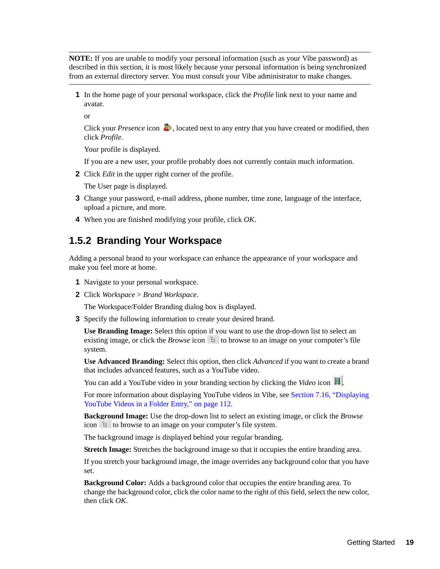**NOTE:** If you are unable to modify your personal information (such as your Vibe password) as described in this section, it is most likely because your personal information is being synchronized from an external directory server. You must consult your Vibe administrator to make changes.

**1** In the home page of your personal workspace, click the *Profile* link next to your name and avatar.

or

Click your *Presence* icon  $\bullet$ , located next to any entry that you have created or modified, then click *Profile*.

Your profile is displayed.

If you are a new user, your profile probably does not currently contain much information.

**2** Click *Edit* in the upper right corner of the profile.

The User page is displayed.

- **3** Change your password, e-mail address, phone number, time zone, language of the interface, upload a picture, and more.
- **4** When you are finished modifying your profile, click *OK*.

#### <span id="page-18-0"></span>**1.5.2 Branding Your Workspace**

Adding a personal brand to your workspace can enhance the appearance of your workspace and make you feel more at home.

- **1** Navigate to your personal workspace.
- **2** Click *Workspace* > *Brand Workspace*.

The Workspace/Folder Branding dialog box is displayed.

**3** Specify the following information to create your desired brand.

**Use Branding Image:** Select this option if you want to use the drop-down list to select an existing image, or click the *Browse* icon  $\frac{1}{2}$  to browse to an image on your computer's file system.

**Use Advanced Branding:** Select this option, then click *Advanced* if you want to create a brand that includes advanced features, such as a YouTube video.

You can add a YouTube video in your branding section by clicking the *Video* icon  $\blacksquare$ .

For more information about displaying YouTube videos in Vibe, see [Section 7.16, "Displaying](#page-111-2)  [YouTube Videos in a Folder Entry," on page 112](#page-111-2).

**Background Image:** Use the drop-down list to select an existing image, or click the *Browse* icon  $\mathbb{E}$  to browse to an image on your computer's file system.

The background image is displayed behind your regular branding.

**Stretch Image:** Stretches the background image so that it occupies the entire branding area.

If you stretch your background image, the image overrides any background color that you have set.

**Background Color:** Adds a background color that occupies the entire branding area. To change the background color, click the color name to the right of this field, select the new color, then click *OK*.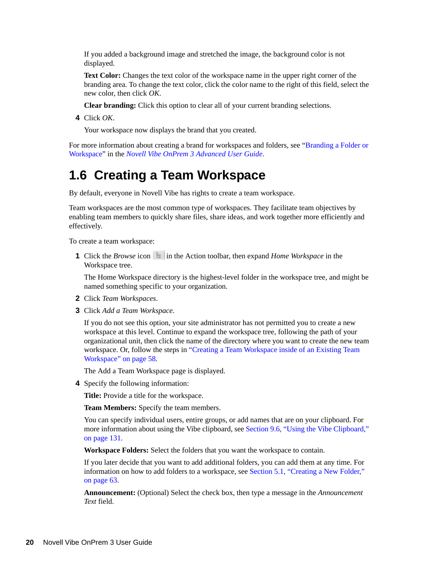If you added a background image and stretched the image, the background color is not displayed.

**Text Color:** Changes the text color of the workspace name in the upper right corner of the branding area. To change the text color, click the color name to the right of this field, select the new color, then click *OK*.

**Clear branding:** Click this option to clear all of your current branding selections.

**4** Click *OK*.

Your workspace now displays the brand that you created.

For more information about creating a brand for workspaces and folders, see "Branding a Folder or Workspace" in the *Novell Vibe OnPrem 3 Advanced User Guide*.

# <span id="page-19-0"></span>**1.6 Creating a Team Workspace**

By default, everyone in Novell Vibe has rights to create a team workspace.

Team workspaces are the most common type of workspaces. They facilitate team objectives by enabling team members to quickly share files, share ideas, and work together more efficiently and effectively.

To create a team workspace:

**1** Click the *Browse* icon  $\exists$  in the Action toolbar, then expand *Home Workspace* in the Workspace tree.

The Home Workspace directory is the highest-level folder in the workspace tree, and might be named something specific to your organization.

- **2** Click *Team Workspaces*.
- **3** Click *Add a Team Workspace*.

If you do not see this option, your site administrator has not permitted you to create a new workspace at this level. Continue to expand the workspace tree, following the path of your organizational unit, then click the name of the directory where you want to create the new team workspace. Or, follow the steps in "Creating a Team Workspace inside of an Existing Team Workspace" on page 58.

The Add a Team Workspace page is displayed.

**4** Specify the following information:

**Title:** Provide a title for the workspace.

**Team Members:** Specify the team members.

You can specify individual users, entire groups, or add names that are on your clipboard. For more information about using the Vibe clipboard, see [Section 9.6, "Using the Vibe Clipboard,"](#page-130-3)  [on page 131](#page-130-3).

**Workspace Folders:** Select the folders that you want the workspace to contain.

If you later decide that you want to add additional folders, you can add them at any time. For information on how to add folders to a workspace, see [Section 5.1, "Creating a New Folder,"](#page-62-2)  [on page 63](#page-62-2).

**Announcement:** (Optional) Select the check box, then type a message in the *Announcement Text* field.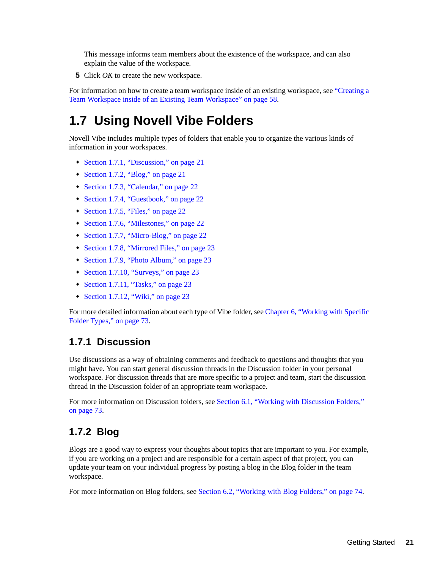This message informs team members about the existence of the workspace, and can also explain the value of the workspace.

**5** Click *OK* to create the new workspace.

For information on how to create a team workspace inside of an existing workspace, see "Creating a Team Workspace inside of an Existing Team Workspace" on page 58.

# <span id="page-20-0"></span>**1.7 Using Novell Vibe Folders**

Novell Vibe includes multiple types of folders that enable you to organize the various kinds of information in your workspaces.

- [Section 1.7.1, "Discussion," on page 21](#page-20-1)
- [Section 1.7.2, "Blog," on page 21](#page-20-2)
- [Section 1.7.3, "Calendar," on page 22](#page-21-0)
- [Section 1.7.4, "Guestbook," on page 22](#page-21-1)
- [Section 1.7.5, "Files," on page 22](#page-21-2)
- [Section 1.7.6, "Milestones," on page 22](#page-21-3)
- [Section 1.7.7, "Micro-Blog," on page 22](#page-21-4)
- [Section 1.7.8, "Mirrored Files," on page 23](#page-22-0)
- [Section 1.7.9, "Photo Album," on page 23](#page-22-1)
- [Section 1.7.10, "Surveys," on page 23](#page-22-2)
- [Section 1.7.11, "Tasks," on page 23](#page-22-3)
- $\bullet$  [Section 1.7.12, "Wiki," on page 23](#page-22-4)

For more detailed information about each type of Vibe folder, see [Chapter 6, "Working with Specific](#page-72-0)  [Folder Types," on page 73.](#page-72-0)

#### <span id="page-20-1"></span>**1.7.1 Discussion**

Use discussions as a way of obtaining comments and feedback to questions and thoughts that you might have. You can start general discussion threads in the Discussion folder in your personal workspace. For discussion threads that are more specific to a project and team, start the discussion thread in the Discussion folder of an appropriate team workspace.

For more information on Discussion folders, see [Section 6.1, "Working with Discussion Folders,"](#page-72-2)  [on page 73](#page-72-2).

#### <span id="page-20-2"></span>**1.7.2 Blog**

Blogs are a good way to express your thoughts about topics that are important to you. For example, if you are working on a project and are responsible for a certain aspect of that project, you can update your team on your individual progress by posting a blog in the Blog folder in the team workspace.

For more information on Blog folders, see [Section 6.2, "Working with Blog Folders," on page 74](#page-73-5).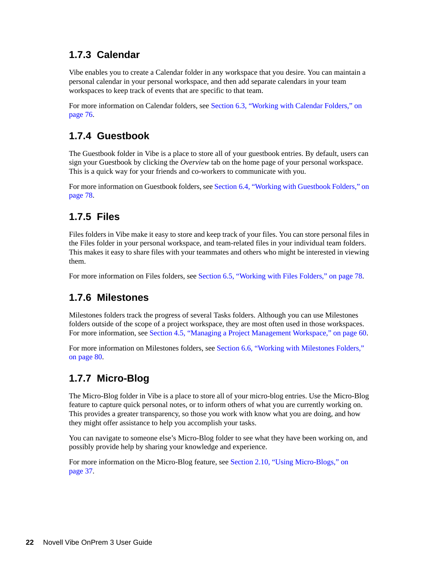## <span id="page-21-0"></span>**1.7.3 Calendar**

Vibe enables you to create a Calendar folder in any workspace that you desire. You can maintain a personal calendar in your personal workspace, and then add separate calendars in your team workspaces to keep track of events that are specific to that team.

For more information on Calendar folders, see [Section 6.3, "Working with Calendar Folders," on](#page-75-3)  [page 76.](#page-75-3)

### <span id="page-21-1"></span>**1.7.4 Guestbook**

The Guestbook folder in Vibe is a place to store all of your guestbook entries. By default, users can sign your Guestbook by clicking the *Overview* tab on the home page of your personal workspace. This is a quick way for your friends and co-workers to communicate with you.

For more information on Guestbook folders, see [Section 6.4, "Working with Guestbook Folders," on](#page-77-3)  [page 78.](#page-77-3)

## <span id="page-21-2"></span>**1.7.5 Files**

Files folders in Vibe make it easy to store and keep track of your files. You can store personal files in the Files folder in your personal workspace, and team-related files in your individual team folders. This makes it easy to share files with your teammates and others who might be interested in viewing them.

For more information on Files folders, see [Section 6.5, "Working with Files Folders," on page 78](#page-77-4).

#### <span id="page-21-3"></span>**1.7.6 Milestones**

Milestones folders track the progress of several Tasks folders. Although you can use Milestones folders outside of the scope of a project workspace, they are most often used in those workspaces. For more information, see [Section 4.5, "Managing a Project Management Workspace," on page 60](#page-59-5).

For more information on Milestones folders, see [Section 6.6, "Working with Milestones Folders,"](#page-79-4)  [on page 80](#page-79-4).

## <span id="page-21-4"></span>**1.7.7 Micro-Blog**

The Micro-Blog folder in Vibe is a place to store all of your micro-blog entries. Use the Micro-Blog feature to capture quick personal notes, or to inform others of what you are currently working on. This provides a greater transparency, so those you work with know what you are doing, and how they might offer assistance to help you accomplish your tasks.

You can navigate to someone else's Micro-Blog folder to see what they have been working on, and possibly provide help by sharing your knowledge and experience.

For more information on the Micro-Blog feature, see [Section 2.10, "Using Micro-Blogs," on](#page-36-3)  [page 37.](#page-36-3)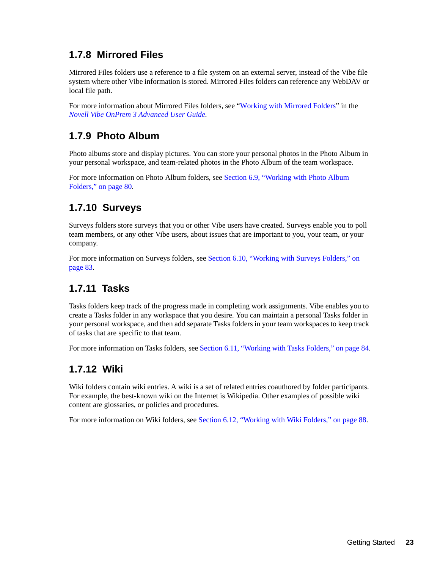## <span id="page-22-0"></span>**1.7.8 Mirrored Files**

Mirrored Files folders use a reference to a file system on an external server, instead of the Vibe file system where other Vibe information is stored. Mirrored Files folders can reference any WebDAV or local file path.

For more information about Mirrored Files folders, see "Working with Mirrored Folders" in the *Novell Vibe OnPrem 3 Advanced User Guide*.

## <span id="page-22-1"></span>**1.7.9 Photo Album**

Photo albums store and display pictures. You can store your personal photos in the Photo Album in your personal workspace, and team-related photos in the Photo Album of the team workspace.

For more information on Photo Album folders, see [Section 6.9, "Working with Photo Album](#page-79-5)  [Folders," on page 80](#page-79-5).

## <span id="page-22-2"></span>**1.7.10 Surveys**

Surveys folders store surveys that you or other Vibe users have created. Surveys enable you to poll team members, or any other Vibe users, about issues that are important to you, your team, or your company.

For more information on Surveys folders, see [Section 6.10, "Working with Surveys Folders," on](#page-82-3)  [page 83.](#page-82-3)

## <span id="page-22-3"></span>**1.7.11 Tasks**

Tasks folders keep track of the progress made in completing work assignments. Vibe enables you to create a Tasks folder in any workspace that you desire. You can maintain a personal Tasks folder in your personal workspace, and then add separate Tasks folders in your team workspaces to keep track of tasks that are specific to that team.

For more information on Tasks folders, see [Section 6.11, "Working with Tasks Folders," on page 84](#page-83-3).

#### <span id="page-22-4"></span>**1.7.12 Wiki**

Wiki folders contain wiki entries. A wiki is a set of related entries coauthored by folder participants. For example, the best-known wiki on the Internet is Wikipedia. Other examples of possible wiki content are glossaries, or policies and procedures.

For more information on Wiki folders, see [Section 6.12, "Working with Wiki Folders," on page 88.](#page-87-1)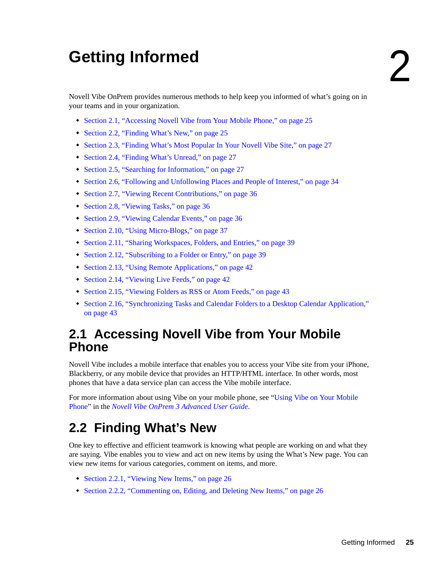# <span id="page-24-0"></span><sup>2</sup>**Getting Informed**

Novell Vibe OnPrem provides numerous methods to help keep you informed of what's going on in your teams and in your organization.

- [Section 2.1, "Accessing Novell Vibe from Your Mobile Phone," on page 25](#page-24-1)
- [Section 2.2, "Finding What's New," on page 25](#page-24-2)
- [Section 2.3, "Finding What's Most Popular In Your Novell Vibe Site," on page 27](#page-26-2)
- [Section 2.4, "Finding What's Unread," on page 27](#page-26-3)
- [Section 2.5, "Searching for Information," on page 27](#page-26-4)
- [Section 2.6, "Following and Unfollowing Places and People of Interest," on page 34](#page-33-2)
- [Section 2.7, "Viewing Recent Contributions," on page 36](#page-35-1)
- [Section 2.8, "Viewing Tasks," on page 36](#page-35-2)
- [Section 2.9, "Viewing Calendar Events," on page 36](#page-35-3)
- [Section 2.10, "Using Micro-Blogs," on page 37](#page-36-0)
- [Section 2.11, "Sharing Workspaces, Folders, and Entries," on page 39](#page-38-0)
- [Section 2.12, "Subscribing to a Folder or Entry," on page 39](#page-38-4)
- [Section 2.13, "Using Remote Applications," on page 42](#page-41-0)
- [Section 2.14, "Viewing Live Feeds," on page 42](#page-41-1)
- [Section 2.15, "Viewing Folders as RSS or Atom Feeds," on page 43](#page-42-3)
- [Section 2.16, "Synchronizing Tasks and Calendar Folders to a Desktop Calendar Application,"](#page-42-4)  [on page 43](#page-42-4)

# <span id="page-24-1"></span>**2.1 Accessing Novell Vibe from Your Mobile Phone**

Novell Vibe includes a mobile interface that enables you to access your Vibe site from your iPhone, Blackberry, or any mobile device that provides an HTTP/HTML interface. In other words, most phones that have a data service plan can access the Vibe mobile interface.

For more information about using Vibe on your mobile phone, see "[Using Vibe on Your Mobile](#page-134-1)  [Phone](#page-134-1)" in the *Novell Vibe OnPrem 3 Advanced User Guide*.

# <span id="page-24-3"></span><span id="page-24-2"></span>**2.2 Finding What's New**

One key to effective and efficient teamwork is knowing what people are working on and what they are saying. Vibe enables you to view and act on new items by using the What's New page. You can view new items for various categories, comment on items, and more.

- [Section 2.2.1, "Viewing New Items," on page 26](#page-25-0)
- [Section 2.2.2, "Commenting on, Editing, and Deleting New Items," on page 26](#page-25-1)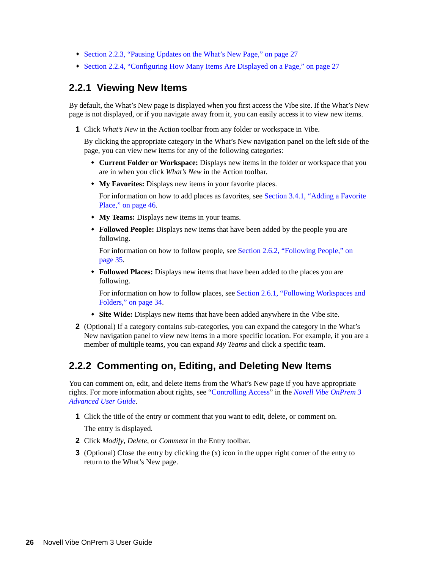- [Section 2.2.3, "Pausing Updates on the What's New Page," on page 27](#page-26-0)
- [Section 2.2.4, "Configuring How Many Items Are Displayed on a Page," on page 27](#page-26-1)

#### <span id="page-25-0"></span>**2.2.1 Viewing New Items**

By default, the What's New page is displayed when you first access the Vibe site. If the What's New page is not displayed, or if you navigate away from it, you can easily access it to view new items.

**1** Click *What's New* in the Action toolbar from any folder or workspace in Vibe.

By clicking the appropriate category in the What's New navigation panel on the left side of the page, you can view new items for any of the following categories:

- **Current Folder or Workspace:** Displays new items in the folder or workspace that you are in when you click *What's New* in the Action toolbar.
- **My Favorites:** Displays new items in your favorite places.

For information on how to add places as favorites, see [Section 3.4.1, "Adding a Favorite](#page-45-5)  [Place," on page 46.](#page-45-5)

- **My Teams:** Displays new items in your teams.
- **Followed People:** Displays new items that have been added by the people you are following.

For information on how to follow people, see [Section 2.6.2, "Following People," on](#page-34-0)  [page 35.](#page-34-0)

 **Followed Places:** Displays new items that have been added to the places you are following.

For information on how to follow places, see [Section 2.6.1, "Following Workspaces and](#page-33-3)  [Folders," on page 34](#page-33-3).

- **Site Wide:** Displays new items that have been added anywhere in the Vibe site.
- **2** (Optional) If a category contains sub-categories, you can expand the category in the What's New navigation panel to view new items in a more specific location. For example, if you are a member of multiple teams, you can expand *My Teams* and click a specific team.

#### <span id="page-25-1"></span>**2.2.2 Commenting on, Editing, and Deleting New Items**

You can comment on, edit, and delete items from the What's New page if you have appropriate rights. For more information about rights, see "Controlling Access" in the *Novell Vibe OnPrem 3 Advanced User Guide*.

**1** Click the title of the entry or comment that you want to edit, delete, or comment on.

The entry is displayed.

- **2** Click *Modify*, *Delete*, or *Comment* in the Entry toolbar.
- **3** (Optional) Close the entry by clicking the (x) icon in the upper right corner of the entry to return to the What's New page.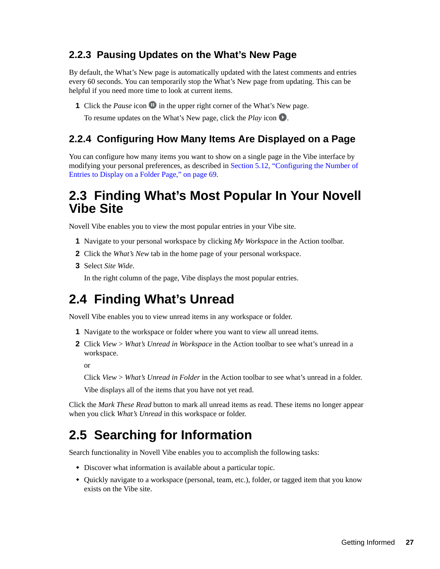### <span id="page-26-0"></span>**2.2.3 Pausing Updates on the What's New Page**

By default, the What's New page is automatically updated with the latest comments and entries every 60 seconds. You can temporarily stop the What's New page from updating. This can be helpful if you need more time to look at current items.

**1** Click the *Pause* icon **I** in the upper right corner of the What's New page.

To resume updates on the What's New page, click the *Play* icon .

### <span id="page-26-1"></span>**2.2.4 Configuring How Many Items Are Displayed on a Page**

You can configure how many items you want to show on a single page in the Vibe interface by modifying your personal preferences, as described in [Section 5.12, "Configuring the Number of](#page-68-3)  [Entries to Display on a Folder Page," on page 69](#page-68-3).

## <span id="page-26-2"></span>**2.3 Finding What's Most Popular In Your Novell Vibe Site**

Novell Vibe enables you to view the most popular entries in your Vibe site.

- **1** Navigate to your personal workspace by clicking *My Workspace* in the Action toolbar.
- **2** Click the *What's New* tab in the home page of your personal workspace.
- **3** Select *Site Wide*.

In the right column of the page, Vibe displays the most popular entries.

# <span id="page-26-3"></span>**2.4 Finding What's Unread**

Novell Vibe enables you to view unread items in any workspace or folder.

- **1** Navigate to the workspace or folder where you want to view all unread items.
- **2** Click *View* > *What's Unread in Workspace* in the Action toolbar to see what's unread in a workspace.

or

Click *View* > *What's Unread in Folder* in the Action toolbar to see what's unread in a folder.

Vibe displays all of the items that you have not yet read.

Click the *Mark These Read* button to mark all unread items as read. These items no longer appear when you click *What's Unread* in this workspace or folder.

# <span id="page-26-5"></span><span id="page-26-4"></span>**2.5 Searching for Information**

Search functionality in Novell Vibe enables you to accomplish the following tasks:

- Discover what information is available about a particular topic.
- Ouickly navigate to a workspace (personal, team, etc.), folder, or tagged item that you know exists on the Vibe site.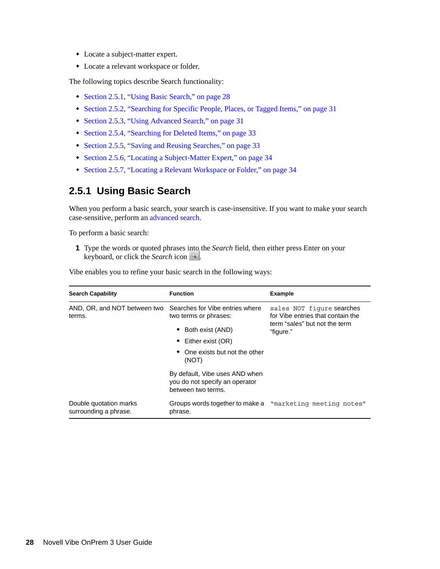- Locate a subject-matter expert.
- Locate a relevant workspace or folder.

The following topics describe Search functionality:

- [Section 2.5.1, "Using Basic Search," on page 28](#page-27-0)
- [Section 2.5.2, "Searching for Specific People, Places, or Tagged Items," on page 31](#page-30-0)
- [Section 2.5.3, "Using Advanced Search," on page 31](#page-30-1)
- [Section 2.5.4, "Searching for Deleted Items," on page 33](#page-32-0)
- [Section 2.5.5, "Saving and Reusing Searches," on page 33](#page-32-1)
- [Section 2.5.6, "Locating a Subject-Matter Expert," on page 34](#page-33-0)
- [Section 2.5.7, "Locating a Relevant Workspace or Folder," on page 34](#page-33-1)

#### <span id="page-27-0"></span>**2.5.1 Using Basic Search**

When you perform a basic search, your search is case-insensitive. If you want to make your search case-sensitive, perform an [advanced search.](#page-30-1)

To perform a basic search:

**1** Type the words or quoted phrases into the *Search* field, then either press Enter on your keyboard, or click the *Search* icon .

Vibe enables you to refine your basic search in the following ways:

| <b>Search Capability</b>                        | <b>Function</b>                                                                        | <b>Example</b>                                                                                               |  |  |
|-------------------------------------------------|----------------------------------------------------------------------------------------|--------------------------------------------------------------------------------------------------------------|--|--|
| AND, OR, and NOT between two<br>terms.          | Searches for Vibe entries where<br>two terms or phrases:                               | sales NOT figure searches<br>for Vibe entries that contain the<br>term "sales" but not the term<br>"figure." |  |  |
|                                                 | ◆ Both exist (AND)                                                                     |                                                                                                              |  |  |
|                                                 | $\bullet$ Either exist (OR)                                                            |                                                                                                              |  |  |
|                                                 | $\bullet$ One exists but not the other<br>(NOT)                                        |                                                                                                              |  |  |
|                                                 | By default, Vibe uses AND when<br>you do not specify an operator<br>between two terms. |                                                                                                              |  |  |
| Double quotation marks<br>surrounding a phrase. | Groups words together to make a "marketing meeting notes"<br>phrase.                   |                                                                                                              |  |  |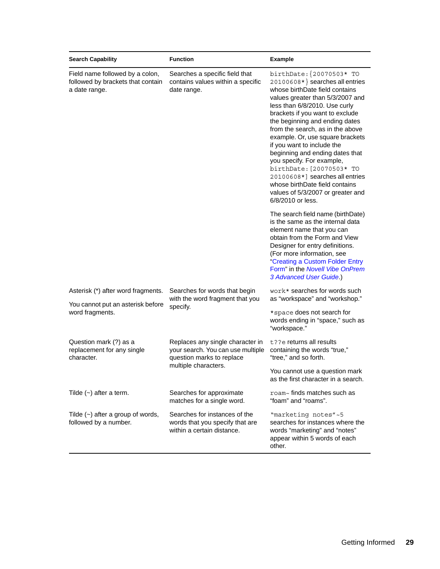| <b>Search Capability</b>                                                              | <b>Function</b>                                                                                    | <b>Example</b>                                                                                                                                                                                                                                                                                                                                                                                                                                                                                                                                                           |  |  |
|---------------------------------------------------------------------------------------|----------------------------------------------------------------------------------------------------|--------------------------------------------------------------------------------------------------------------------------------------------------------------------------------------------------------------------------------------------------------------------------------------------------------------------------------------------------------------------------------------------------------------------------------------------------------------------------------------------------------------------------------------------------------------------------|--|--|
| Field name followed by a colon,<br>followed by brackets that contain<br>a date range. | Searches a specific field that<br>contains values within a specific<br>date range.                 | birthDate: {20070503* TO<br>20100608*} searches all entries<br>whose birthDate field contains<br>values greater than 5/3/2007 and<br>less than 6/8/2010. Use curly<br>brackets if you want to exclude<br>the beginning and ending dates<br>from the search, as in the above<br>example. Or, use square brackets<br>if you want to include the<br>beginning and ending dates that<br>you specify. For example,<br>birthDate: [20070503* TO<br>20100608*] searches all entries<br>whose birthDate field contains<br>values of 5/3/2007 or greater and<br>6/8/2010 or less. |  |  |
|                                                                                       |                                                                                                    | The search field name (birthDate)<br>is the same as the internal data<br>element name that you can<br>obtain from the Form and View<br>Designer for entry definitions.<br>(For more information, see<br>"Creating a Custom Folder Entry<br>Form" in the Novell Vibe OnPrem<br>3 Advanced User Guide.)                                                                                                                                                                                                                                                                    |  |  |
| Asterisk (*) after word fragments.                                                    | Searches for words that begin<br>with the word fragment that you                                   | work* searches for words such<br>as "workspace" and "workshop."                                                                                                                                                                                                                                                                                                                                                                                                                                                                                                          |  |  |
| You cannot put an asterisk before<br>word fragments.                                  | specify.                                                                                           | *space does not search for<br>words ending in "space," such as<br>"workspace."                                                                                                                                                                                                                                                                                                                                                                                                                                                                                           |  |  |
| Question mark (?) as a<br>replacement for any single<br>character.                    | Replaces any single character in<br>your search. You can use multiple<br>question marks to replace | t??e returns all results<br>containing the words "true,"<br>"tree," and so forth.                                                                                                                                                                                                                                                                                                                                                                                                                                                                                        |  |  |
|                                                                                       | multiple characters.                                                                               | You cannot use a question mark<br>as the first character in a search.                                                                                                                                                                                                                                                                                                                                                                                                                                                                                                    |  |  |
| Tilde $(\sim)$ after a term.                                                          | Searches for approximate<br>matches for a single word.                                             | roam~ finds matches such as<br>"foam" and "roams".                                                                                                                                                                                                                                                                                                                                                                                                                                                                                                                       |  |  |
| Tilde $(\sim)$ after a group of words,<br>followed by a number.                       | Searches for instances of the<br>words that you specify that are<br>within a certain distance.     | "marketing notes"~5<br>searches for instances where the<br>words "marketing" and "notes"<br>appear within 5 words of each<br>other.                                                                                                                                                                                                                                                                                                                                                                                                                                      |  |  |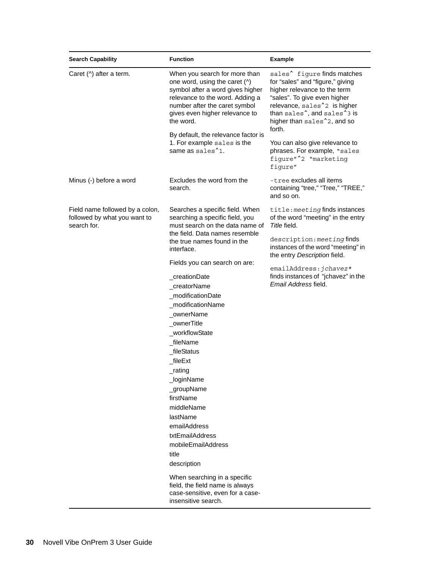| <b>Search Capability</b>                                                       | <b>Function</b>                                                                                                                                                                                                                                                                                                                                           | <b>Example</b>                                                                                                                                                                                                                                                                                       |  |  |  |
|--------------------------------------------------------------------------------|-----------------------------------------------------------------------------------------------------------------------------------------------------------------------------------------------------------------------------------------------------------------------------------------------------------------------------------------------------------|------------------------------------------------------------------------------------------------------------------------------------------------------------------------------------------------------------------------------------------------------------------------------------------------------|--|--|--|
| Caret (^) after a term.                                                        | When you search for more than<br>one word, using the caret (^)<br>symbol after a word gives higher<br>relevance to the word. Adding a<br>number after the caret symbol<br>gives even higher relevance to<br>the word.                                                                                                                                     | sales <sup>^</sup> figure finds matches<br>for "sales" and "figure," giving<br>higher relevance to the term<br>"sales". To give even higher<br>relevance, sales <sup>2</sup> is higher<br>than sales <sup>^</sup> , and sales <sup>^3</sup> is<br>higher than sales <sup>2</sup> 2, and so<br>forth. |  |  |  |
|                                                                                | By default, the relevance factor is<br>1. For example sales is the<br>same as sales <sup>1</sup> 1.                                                                                                                                                                                                                                                       | You can also give relevance to<br>phrases. For example, "sales<br>figure" <sup>1</sup> 2 "marketing<br>figure"                                                                                                                                                                                       |  |  |  |
| Minus (-) before a word                                                        | Excludes the word from the<br>search.                                                                                                                                                                                                                                                                                                                     | -tree excludes all items<br>containing "tree," "Tree," "TREE,"<br>and so on.                                                                                                                                                                                                                         |  |  |  |
| Field name followed by a colon,<br>followed by what you want to<br>search for. | Searches a specific field. When<br>searching a specific field, you<br>must search on the data name of<br>the field. Data names resemble                                                                                                                                                                                                                   | title: meeting finds instances<br>of the word "meeting" in the entry<br>Title field.<br>description: meeting finds<br>instances of the word "meeting" in<br>the entry Description field.                                                                                                             |  |  |  |
|                                                                                | the true names found in the<br>interface.                                                                                                                                                                                                                                                                                                                 |                                                                                                                                                                                                                                                                                                      |  |  |  |
|                                                                                | Fields you can search on are:<br>creationDate<br>_creatorName<br>_modificationDate<br>modificationName<br>_ownerName<br>ownerTitle<br>_workflowState<br>fileName<br>_fileStatus<br>fileExt<br>_rating<br>_loginName<br>_groupName<br>firstName<br>middleName<br>lastName<br>emailAddress<br>txtEmailAddress<br>mobileEmailAddress<br>title<br>description | emailAddress: jchavez*<br>finds instances of "jchavez" in the<br>Email Address field.                                                                                                                                                                                                                |  |  |  |
|                                                                                | When searching in a specific<br>field, the field name is always<br>case-sensitive, even for a case-<br>insensitive search.                                                                                                                                                                                                                                |                                                                                                                                                                                                                                                                                                      |  |  |  |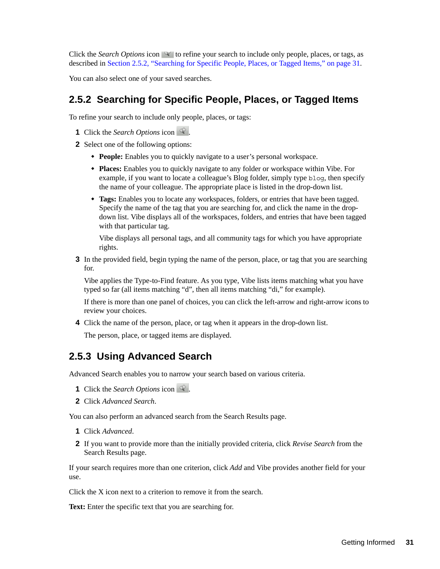Click the *Search Options* icon  $\mathcal{F}$  to refine your search to include only people, places, or tags, as described in [Section 2.5.2, "Searching for Specific People, Places, or Tagged Items," on page 31](#page-30-0).

You can also select one of your saved searches.

#### <span id="page-30-0"></span>**2.5.2 Searching for Specific People, Places, or Tagged Items**

To refine your search to include only people, places, or tags:

- **1** Click the *Search Options* icon  $\mathbb{R}$ .
- **2** Select one of the following options:
	- **People:** Enables you to quickly navigate to a user's personal workspace.
	- **Places:** Enables you to quickly navigate to any folder or workspace within Vibe. For example, if you want to locate a colleague's Blog folder, simply type blog, then specify the name of your colleague. The appropriate place is listed in the drop-down list.
	- **Tags:** Enables you to locate any workspaces, folders, or entries that have been tagged. Specify the name of the tag that you are searching for, and click the name in the dropdown list. Vibe displays all of the workspaces, folders, and entries that have been tagged with that particular tag.

Vibe displays all personal tags, and all community tags for which you have appropriate rights.

**3** In the provided field, begin typing the name of the person, place, or tag that you are searching for.

Vibe applies the Type-to-Find feature. As you type, Vibe lists items matching what you have typed so far (all items matching "d", then all items matching "di," for example).

If there is more than one panel of choices, you can click the left-arrow and right-arrow icons to review your choices.

**4** Click the name of the person, place, or tag when it appears in the drop-down list.

The person, place, or tagged items are displayed.

#### <span id="page-30-1"></span>**2.5.3 Using Advanced Search**

Advanced Search enables you to narrow your search based on various criteria.

- **1** Click the *Search Options* icon  $\mathbb{R}$ .
- **2** Click *Advanced Search*.

You can also perform an advanced search from the Search Results page.

- **1** Click *Advanced*.
- **2** If you want to provide more than the initially provided criteria, click *Revise Search* from the Search Results page.

If your search requires more than one criterion, click *Add* and Vibe provides another field for your use.

Click the X icon next to a criterion to remove it from the search.

Text: Enter the specific text that you are searching for.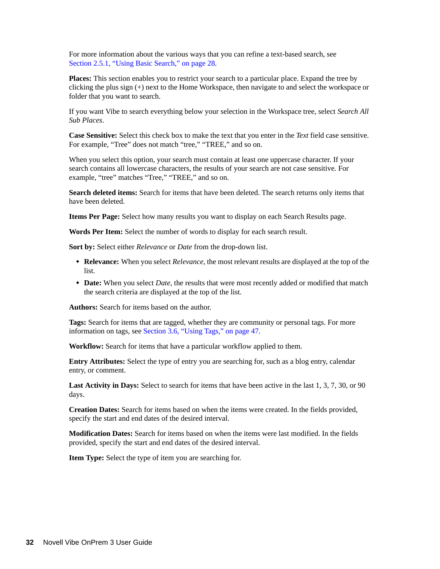For more information about the various ways that you can refine a text-based search, see [Section 2.5.1, "Using Basic Search," on page 28](#page-27-0).

**Places:** This section enables you to restrict your search to a particular place. Expand the tree by clicking the plus sign (+) next to the Home Workspace, then navigate to and select the workspace or folder that you want to search.

If you want Vibe to search everything below your selection in the Workspace tree, select *Search All Sub Places*.

**Case Sensitive:** Select this check box to make the text that you enter in the *Text* field case sensitive. For example, "Tree" does not match "tree," "TREE," and so on.

When you select this option, your search must contain at least one uppercase character. If your search contains all lowercase characters, the results of your search are not case sensitive. For example, "tree" matches "Tree," "TREE," and so on.

**Search deleted items:** Search for items that have been deleted. The search returns only items that have been deleted.

**Items Per Page:** Select how many results you want to display on each Search Results page.

**Words Per Item:** Select the number of words to display for each search result.

**Sort by:** Select either *Relevance* or *Date* from the drop-down list.

- **Relevance:** When you select *Relevance*, the most relevant results are displayed at the top of the list.
- **Date:** When you select *Date*, the results that were most recently added or modified that match the search criteria are displayed at the top of the list.

**Authors:** Search for items based on the author.

**Tags:** Search for items that are tagged, whether they are community or personal tags. For more information on tags, see [Section 3.6, "Using Tags," on page 47](#page-46-4).

**Workflow:** Search for items that have a particular workflow applied to them.

**Entry Attributes:** Select the type of entry you are searching for, such as a blog entry, calendar entry, or comment.

**Last Activity in Days:** Select to search for items that have been active in the last 1, 3, 7, 30, or 90 days.

**Creation Dates:** Search for items based on when the items were created. In the fields provided, specify the start and end dates of the desired interval.

**Modification Dates:** Search for items based on when the items were last modified. In the fields provided, specify the start and end dates of the desired interval.

**Item Type:** Select the type of item you are searching for.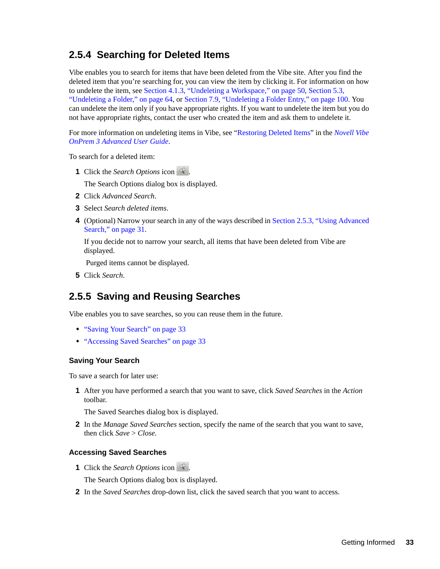### <span id="page-32-0"></span>**2.5.4 Searching for Deleted Items**

Vibe enables you to search for items that have been deleted from the Vibe site. After you find the deleted item that you're searching for, you can view the item by clicking it. For information on how to undelete the item, see [Section 4.1.3, "Undeleting a Workspace," on page 50](#page-49-2), [Section 5.3,](#page-63-2)  ["Undeleting a Folder," on page 64](#page-63-2), or [Section 7.9, "Undeleting a Folder Entry," on page 100](#page-99-3). You can undelete the item only if you have appropriate rights. If you want to undelete the item but you do not have appropriate rights, contact the user who created the item and ask them to undelete it.

For more information on undeleting items in Vibe, see "Restoring Deleted Items" in the *Novell Vibe OnPrem 3 Advanced User Guide*.

To search for a deleted item:

**1** Click the *Search Options* icon  $\mathbb{Q}$ .

The Search Options dialog box is displayed.

- **2** Click *Advanced Search*.
- **3** Select *Search deleted items*.
- **4** (Optional) Narrow your search in any of the ways described in [Section 2.5.3, "Using Advanced](#page-30-1)  [Search," on page 31.](#page-30-1)

If you decide not to narrow your search, all items that have been deleted from Vibe are displayed.

Purged items cannot be displayed.

**5** Click *Search*.

#### <span id="page-32-1"></span>**2.5.5 Saving and Reusing Searches**

Vibe enables you to save searches, so you can reuse them in the future.

- ["Saving Your Search" on page 33](#page-32-2)
- ["Accessing Saved Searches" on page 33](#page-32-3)

#### <span id="page-32-2"></span>**Saving Your Search**

To save a search for later use:

**1** After you have performed a search that you want to save, click *Saved Searches* in the *Action* toolbar.

The Saved Searches dialog box is displayed.

**2** In the *Manage Saved Searches* section, specify the name of the search that you want to save, then click *Save* > *Close*.

#### <span id="page-32-3"></span>**Accessing Saved Searches**

**1** Click the *Search Options* icon  $\mathbb{R}$ .

The Search Options dialog box is displayed.

**2** In the *Saved Searches* drop-down list, click the saved search that you want to access.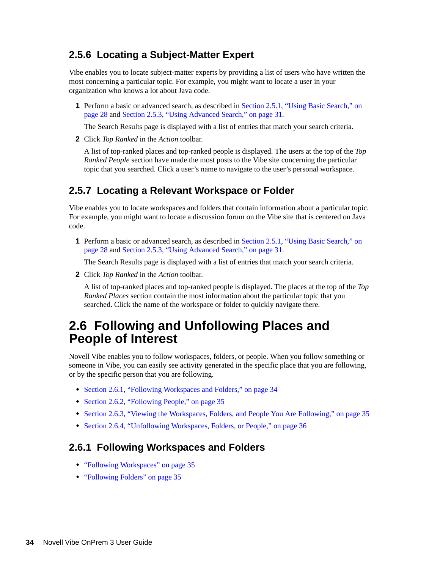#### <span id="page-33-0"></span>**2.5.6 Locating a Subject-Matter Expert**

Vibe enables you to locate subject-matter experts by providing a list of users who have written the most concerning a particular topic. For example, you might want to locate a user in your organization who knows a lot about Java code.

**1** Perform a basic or advanced search, as described in [Section 2.5.1, "Using Basic Search," on](#page-27-0)  [page 28](#page-27-0) and [Section 2.5.3, "Using Advanced Search," on page 31.](#page-30-1)

The Search Results page is displayed with a list of entries that match your search criteria.

**2** Click *Top Ranked* in the *Action* toolbar.

A list of top-ranked places and top-ranked people is displayed. The users at the top of the *Top Ranked People* section have made the most posts to the Vibe site concerning the particular topic that you searched. Click a user's name to navigate to the user's personal workspace.

#### <span id="page-33-1"></span>**2.5.7 Locating a Relevant Workspace or Folder**

Vibe enables you to locate workspaces and folders that contain information about a particular topic. For example, you might want to locate a discussion forum on the Vibe site that is centered on Java code.

**1** Perform a basic or advanced search, as described in [Section 2.5.1, "Using Basic Search," on](#page-27-0)  [page 28](#page-27-0) and [Section 2.5.3, "Using Advanced Search," on page 31.](#page-30-1)

The Search Results page is displayed with a list of entries that match your search criteria.

**2** Click *Top Ranked* in the *Action* toolbar.

A list of top-ranked places and top-ranked people is displayed. The places at the top of the *Top Ranked Places* section contain the most information about the particular topic that you searched. Click the name of the workspace or folder to quickly navigate there.

# <span id="page-33-2"></span>**2.6 Following and Unfollowing Places and People of Interest**

Novell Vibe enables you to follow workspaces, folders, or people. When you follow something or someone in Vibe, you can easily see activity generated in the specific place that you are following, or by the specific person that you are following.

- [Section 2.6.1, "Following Workspaces and Folders," on page 34](#page-33-3)
- [Section 2.6.2, "Following People," on page 35](#page-34-0)
- [Section 2.6.3, "Viewing the Workspaces, Folders, and People You Are Following," on page 35](#page-34-1)
- [Section 2.6.4, "Unfollowing Workspaces, Folders, or People," on page 36](#page-35-0)

#### <span id="page-33-3"></span>**2.6.1 Following Workspaces and Folders**

- ["Following Workspaces" on page 35](#page-34-2)
- ["Following Folders" on page 35](#page-34-3)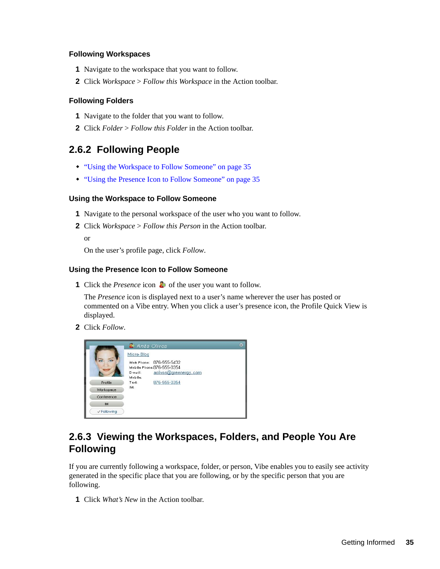#### <span id="page-34-2"></span>**Following Workspaces**

- **1** Navigate to the workspace that you want to follow.
- **2** Click *Workspace* > *Follow this Workspace* in the Action toolbar.

#### <span id="page-34-3"></span>**Following Folders**

- **1** Navigate to the folder that you want to follow.
- **2** Click *Folder* > *Follow this Folder* in the Action toolbar.

#### <span id="page-34-0"></span>**2.6.2 Following People**

- ["Using the Workspace to Follow Someone" on page 35](#page-34-4)
- ["Using the Presence Icon to Follow Someone" on page 35](#page-34-5)

#### <span id="page-34-4"></span>**Using the Workspace to Follow Someone**

- **1** Navigate to the personal workspace of the user who you want to follow.
- **2** Click *Workspace* > *Follow this Person* in the Action toolbar.

or

On the user's profile page, click *Follow*.

#### <span id="page-34-5"></span>**Using the Presence Icon to Follow Someone**

**1** Click the *Presence* icon **o** of the user you want to follow.

The *Presence* icon is displayed next to a user's name wherever the user has posted or commented on a Vibe entry. When you click a user's presence icon, the Profile Quick View is displayed.

**2** Click *Follow*.



#### <span id="page-34-1"></span>**2.6.3 Viewing the Workspaces, Folders, and People You Are Following**

If you are currently following a workspace, folder, or person, Vibe enables you to easily see activity generated in the specific place that you are following, or by the specific person that you are following.

**1** Click *What's New* in the Action toolbar.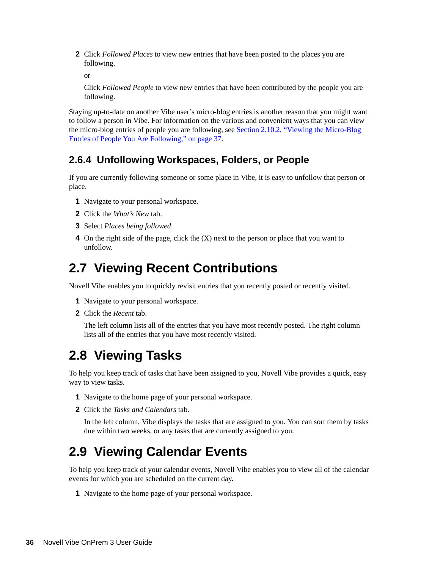**2** Click *Followed Places* to view new entries that have been posted to the places you are following.

or

Click *Followed People* to view new entries that have been contributed by the people you are following.

Staying up-to-date on another Vibe user's micro-blog entries is another reason that you might want to follow a person in Vibe. For information on the various and convenient ways that you can view the micro-blog entries of people you are following, see [Section 2.10.2, "Viewing the Micro-Blog](#page-36-2)  [Entries of People You Are Following," on page 37](#page-36-2).

#### <span id="page-35-0"></span>**2.6.4 Unfollowing Workspaces, Folders, or People**

If you are currently following someone or some place in Vibe, it is easy to unfollow that person or place.

- **1** Navigate to your personal workspace.
- **2** Click the *What's New* tab.
- **3** Select *Places being followed*.
- **4** On the right side of the page, click the (X) next to the person or place that you want to unfollow.

# <span id="page-35-1"></span>**2.7 Viewing Recent Contributions**

Novell Vibe enables you to quickly revisit entries that you recently posted or recently visited.

- **1** Navigate to your personal workspace.
- **2** Click the *Recent* tab.

The left column lists all of the entries that you have most recently posted. The right column lists all of the entries that you have most recently visited.

# <span id="page-35-2"></span>**2.8 Viewing Tasks**

To help you keep track of tasks that have been assigned to you, Novell Vibe provides a quick, easy way to view tasks.

- **1** Navigate to the home page of your personal workspace.
- **2** Click the *Tasks and Calendars* tab.

In the left column, Vibe displays the tasks that are assigned to you. You can sort them by tasks due within two weeks, or any tasks that are currently assigned to you.

# <span id="page-35-3"></span>**2.9 Viewing Calendar Events**

To help you keep track of your calendar events, Novell Vibe enables you to view all of the calendar events for which you are scheduled on the current day.

**1** Navigate to the home page of your personal workspace.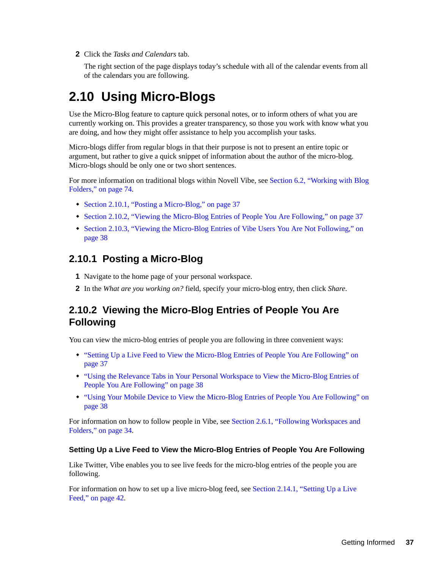**2** Click the *Tasks and Calendars* tab.

The right section of the page displays today's schedule with all of the calendar events from all of the calendars you are following.

# **2.10 Using Micro-Blogs**

Use the Micro-Blog feature to capture quick personal notes, or to inform others of what you are currently working on. This provides a greater transparency, so those you work with know what you are doing, and how they might offer assistance to help you accomplish your tasks.

Micro-blogs differ from regular blogs in that their purpose is not to present an entire topic or argument, but rather to give a quick snippet of information about the author of the micro-blog. Micro-blogs should be only one or two short sentences.

For more information on traditional blogs within Novell Vibe, see [Section 6.2, "Working with Blog](#page-73-0)  [Folders," on page 74](#page-73-0).

- [Section 2.10.1, "Posting a Micro-Blog," on page 37](#page-36-0)
- [Section 2.10.2, "Viewing the Micro-Blog Entries of People You Are Following," on page 37](#page-36-1)
- [Section 2.10.3, "Viewing the Micro-Blog Entries of Vibe Users You Are Not Following," on](#page-37-0)  [page 38](#page-37-0)

#### <span id="page-36-0"></span>**2.10.1 Posting a Micro-Blog**

- **1** Navigate to the home page of your personal workspace.
- **2** In the *What are you working on?* field, specify your micro-blog entry, then click *Share*.

## <span id="page-36-1"></span>**2.10.2 Viewing the Micro-Blog Entries of People You Are Following**

You can view the micro-blog entries of people you are following in three convenient ways:

- ["Setting Up a Live Feed to View the Micro-Blog Entries of People You Are Following" on](#page-36-2)  [page 37](#page-36-2)
- ["Using the Relevance Tabs in Your Personal Workspace to View the Micro-Blog Entries of](#page-37-1)  [People You Are Following" on page 38](#page-37-1)
- ["Using Your Mobile Device to View the Micro-Blog Entries of People You Are Following" on](#page-37-2)  [page 38](#page-37-2)

For information on how to follow people in Vibe, see [Section 2.6.1, "Following Workspaces and](#page-33-0)  [Folders," on page 34](#page-33-0).

#### <span id="page-36-2"></span>**Setting Up a Live Feed to View the Micro-Blog Entries of People You Are Following**

Like Twitter, Vibe enables you to see live feeds for the micro-blog entries of the people you are following.

For information on how to set up a live micro-blog feed, see [Section 2.14.1, "Setting Up a Live](#page-41-0)  [Feed," on page 42](#page-41-0).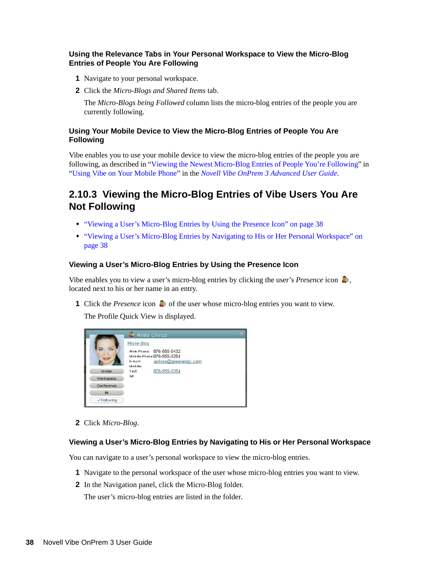#### <span id="page-37-1"></span>**Using the Relevance Tabs in Your Personal Workspace to View the Micro-Blog Entries of People You Are Following**

- **1** Navigate to your personal workspace.
- **2** Click the *Micro-Blogs and Shared Items* tab.

The *Micro-Blogs being Followed* column lists the micro-blog entries of the people you are currently following.

#### <span id="page-37-2"></span>**Using Your Mobile Device to View the Micro-Blog Entries of People You Are Following**

Vibe enables you to use your mobile device to view the micro-blog entries of the people you are following, as described in "Viewing the Newest Micro-Blog Entries of People You're Following" in "[Using Vibe on Your Mobile Phone](#page-134-0)" in the *Novell Vibe OnPrem 3 Advanced User Guide*.

## <span id="page-37-0"></span>**2.10.3 Viewing the Micro-Blog Entries of Vibe Users You Are Not Following**

- ["Viewing a User's Micro-Blog Entries by Using the Presence Icon" on page 38](#page-37-3)
- ["Viewing a User's Micro-Blog Entries by Navigating to His or Her Personal Workspace" on](#page-37-4)  [page 38](#page-37-4)

#### <span id="page-37-3"></span>**Viewing a User's Micro-Blog Entries by Using the Presence Icon**

Vibe enables you to view a user's micro-blog entries by clicking the user's *Presence* icon , located next to his or her name in an entry.

**1** Click the *Presence* icon  $\bullet$  of the user whose micro-blog entries you want to view.

The Profile Quick View is displayed.

|             | <b>D</b> Anita Olivos                                                                                              | $\circ$ |
|-------------|--------------------------------------------------------------------------------------------------------------------|---------|
|             | Micro-Blog<br>Work Phone: 876-555-5432<br>Mobile Phone:876-555-0354<br>aolivos@greenergy.com<br>E-mail:<br>Mobile: |         |
| Profile     | 876-555-0354<br>Text:                                                                                              |         |
| Workspace   | IM:                                                                                                                |         |
| Conference  |                                                                                                                    |         |
| IM.         |                                                                                                                    |         |
| √ Following |                                                                                                                    |         |

**2** Click *Micro-Blog*.

#### <span id="page-37-4"></span>**Viewing a User's Micro-Blog Entries by Navigating to His or Her Personal Workspace**

You can navigate to a user's personal workspace to view the micro-blog entries.

- **1** Navigate to the personal workspace of the user whose micro-blog entries you want to view.
- **2** In the Navigation panel, click the Micro-Blog folder.

The user's micro-blog entries are listed in the folder.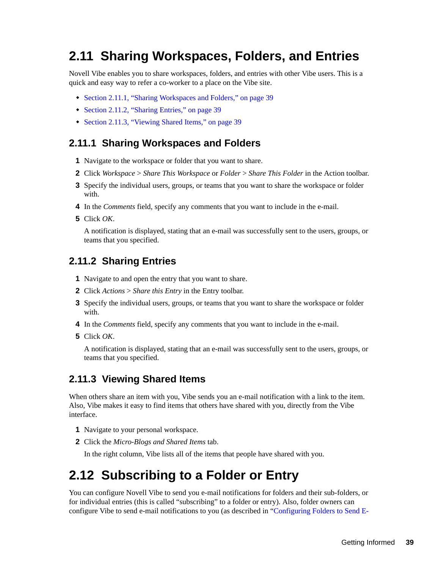# **2.11 Sharing Workspaces, Folders, and Entries**

Novell Vibe enables you to share workspaces, folders, and entries with other Vibe users. This is a quick and easy way to refer a co-worker to a place on the Vibe site.

- [Section 2.11.1, "Sharing Workspaces and Folders," on page 39](#page-38-0)
- [Section 2.11.2, "Sharing Entries," on page 39](#page-38-1)
- [Section 2.11.3, "Viewing Shared Items," on page 39](#page-38-2)

## <span id="page-38-0"></span>**2.11.1 Sharing Workspaces and Folders**

- **1** Navigate to the workspace or folder that you want to share.
- **2** Click *Workspace* > *Share This Workspace* or *Folder* > *Share This Folder* in the Action toolbar.
- **3** Specify the individual users, groups, or teams that you want to share the workspace or folder with.
- **4** In the *Comments* field, specify any comments that you want to include in the e-mail.
- **5** Click *OK*.

A notification is displayed, stating that an e-mail was successfully sent to the users, groups, or teams that you specified.

#### <span id="page-38-1"></span>**2.11.2 Sharing Entries**

- **1** Navigate to and open the entry that you want to share.
- **2** Click *Actions* > *Share this Entry* in the Entry toolbar.
- **3** Specify the individual users, groups, or teams that you want to share the workspace or folder with.
- **4** In the *Comments* field, specify any comments that you want to include in the e-mail.
- **5** Click *OK*.

A notification is displayed, stating that an e-mail was successfully sent to the users, groups, or teams that you specified.

#### <span id="page-38-2"></span>**2.11.3 Viewing Shared Items**

When others share an item with you, Vibe sends you an e-mail notification with a link to the item. Also, Vibe makes it easy to find items that others have shared with you, directly from the Vibe interface.

- **1** Navigate to your personal workspace.
- **2** Click the *Micro-Blogs and Shared Items* tab.

<span id="page-38-3"></span>In the right column, Vibe lists all of the items that people have shared with you.

# **2.12 Subscribing to a Folder or Entry**

You can configure Novell Vibe to send you e-mail notifications for folders and their sub-folders, or for individual entries (this is called "subscribing" to a folder or entry). Also, folder owners can configure Vibe to send e-mail notifications to you (as described in "Configuring Folders to Send E-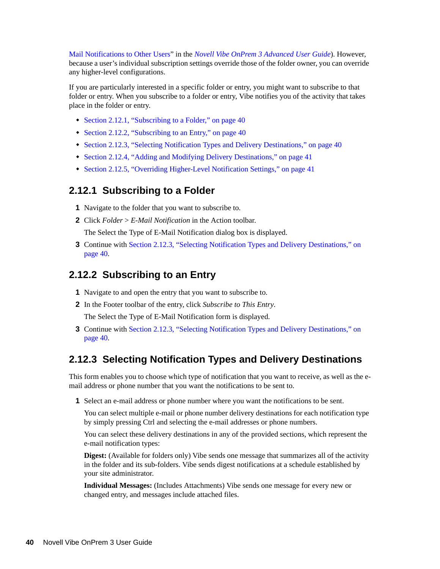Mail Notifications to Other Users" in the *Novell Vibe OnPrem 3 Advanced User Guide*). However, because a user's individual subscription settings override those of the folder owner, you can override any higher-level configurations.

If you are particularly interested in a specific folder or entry, you might want to subscribe to that folder or entry. When you subscribe to a folder or entry, Vibe notifies you of the activity that takes place in the folder or entry.

- [Section 2.12.1, "Subscribing to a Folder," on page 40](#page-39-0)
- [Section 2.12.2, "Subscribing to an Entry," on page 40](#page-39-1)
- [Section 2.12.3, "Selecting Notification Types and Delivery Destinations," on page 40](#page-39-2)
- [Section 2.12.4, "Adding and Modifying Delivery Destinations," on page 41](#page-40-0)
- [Section 2.12.5, "Overriding Higher-Level Notification Settings," on page 41](#page-40-1)

#### <span id="page-39-0"></span>**2.12.1 Subscribing to a Folder**

- **1** Navigate to the folder that you want to subscribe to.
- **2** Click *Folder* > *E-Mail Notification* in the Action toolbar.

The Select the Type of E-Mail Notification dialog box is displayed.

**3** Continue with [Section 2.12.3, "Selecting Notification Types and Delivery Destinations," on](#page-39-2)  [page 40.](#page-39-2)

#### <span id="page-39-1"></span>**2.12.2 Subscribing to an Entry**

- **1** Navigate to and open the entry that you want to subscribe to.
- **2** In the Footer toolbar of the entry, click *Subscribe to This Entry*.

The Select the Type of E-Mail Notification form is displayed.

**3** Continue with [Section 2.12.3, "Selecting Notification Types and Delivery Destinations," on](#page-39-2)  [page 40.](#page-39-2)

## <span id="page-39-2"></span>**2.12.3 Selecting Notification Types and Delivery Destinations**

This form enables you to choose which type of notification that you want to receive, as well as the email address or phone number that you want the notifications to be sent to.

**1** Select an e-mail address or phone number where you want the notifications to be sent.

You can select multiple e-mail or phone number delivery destinations for each notification type by simply pressing Ctrl and selecting the e-mail addresses or phone numbers.

You can select these delivery destinations in any of the provided sections, which represent the e-mail notification types:

**Digest:** (Available for folders only) Vibe sends one message that summarizes all of the activity in the folder and its sub-folders. Vibe sends digest notifications at a schedule established by your site administrator.

**Individual Messages:** (Includes Attachments) Vibe sends one message for every new or changed entry, and messages include attached files.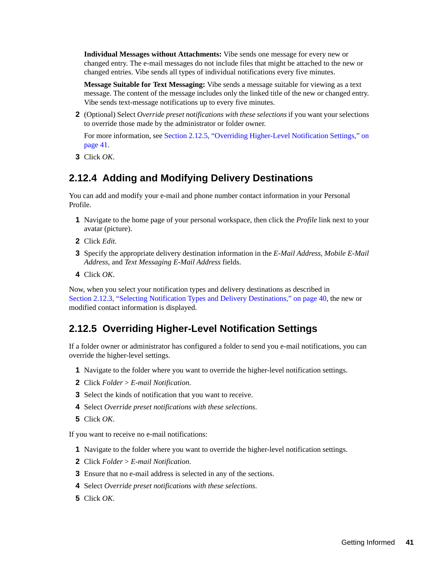**Individual Messages without Attachments:** Vibe sends one message for every new or changed entry. The e-mail messages do not include files that might be attached to the new or changed entries. Vibe sends all types of individual notifications every five minutes.

**Message Suitable for Text Messaging:** Vibe sends a message suitable for viewing as a text message. The content of the message includes only the linked title of the new or changed entry. Vibe sends text-message notifications up to every five minutes.

**2** (Optional) Select *Override preset notifications with these selections* if you want your selections to override those made by the administrator or folder owner.

For more information, see [Section 2.12.5, "Overriding Higher-Level Notification Settings," on](#page-40-1)  [page 41.](#page-40-1)

**3** Click *OK*.

## <span id="page-40-0"></span>**2.12.4 Adding and Modifying Delivery Destinations**

You can add and modify your e-mail and phone number contact information in your Personal Profile.

- **1** Navigate to the home page of your personal workspace, then click the *Profile* link next to your avatar (picture).
- **2** Click *Edit*.
- **3** Specify the appropriate delivery destination information in the *E-Mail Address*, *Mobile E-Mail Address*, and *Text Messaging E-Mail Address* fields.
- **4** Click *OK*.

Now, when you select your notification types and delivery destinations as described in [Section 2.12.3, "Selecting Notification Types and Delivery Destinations," on page 40](#page-39-2), the new or modified contact information is displayed.

## <span id="page-40-1"></span>**2.12.5 Overriding Higher-Level Notification Settings**

If a folder owner or administrator has configured a folder to send you e-mail notifications, you can override the higher-level settings.

- **1** Navigate to the folder where you want to override the higher-level notification settings.
- **2** Click *Folder* > *E-mail Notification*.
- **3** Select the kinds of notification that you want to receive.
- **4** Select *Override preset notifications with these selections*.
- **5** Click *OK*.

If you want to receive no e-mail notifications:

- **1** Navigate to the folder where you want to override the higher-level notification settings.
- **2** Click *Folder* > *E-mail Notification*.
- **3** Ensure that no e-mail address is selected in any of the sections.
- **4** Select *Override preset notifications with these selections*.
- **5** Click *OK*.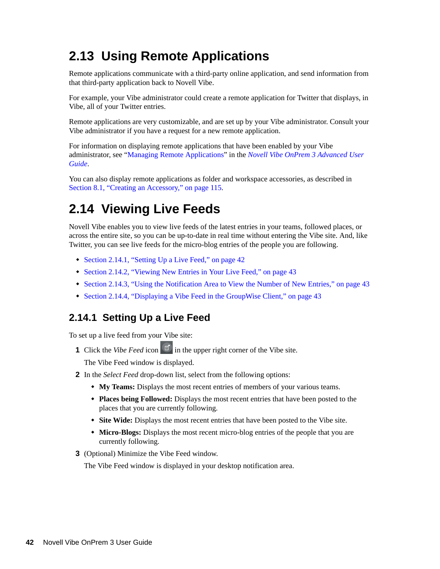# **2.13 Using Remote Applications**

Remote applications communicate with a third-party online application, and send information from that third-party application back to Novell Vibe.

For example, your Vibe administrator could create a remote application for Twitter that displays, in Vibe, all of your Twitter entries.

Remote applications are very customizable, and are set up by your Vibe administrator. Consult your Vibe administrator if you have a request for a new remote application.

For information on displaying remote applications that have been enabled by your Vibe administrator, see "Managing Remote Applications" in the *Novell Vibe OnPrem 3 Advanced User Guide*.

You can also display remote applications as folder and workspace accessories, as described in [Section 8.1, "Creating an Accessory," on page 115](#page-114-0).

# **2.14 Viewing Live Feeds**

Novell Vibe enables you to view live feeds of the latest entries in your teams, followed places, or across the entire site, so you can be up-to-date in real time without entering the Vibe site. And, like Twitter, you can see live feeds for the micro-blog entries of the people you are following.

- [Section 2.14.1, "Setting Up a Live Feed," on page 42](#page-41-0)
- [Section 2.14.2, "Viewing New Entries in Your Live Feed," on page 43](#page-42-1)
- [Section 2.14.3, "Using the Notification Area to View the Number of New Entries," on page 43](#page-42-2)
- [Section 2.14.4, "Displaying a Vibe Feed in the GroupWise Client," on page 43](#page-42-0)

## <span id="page-41-0"></span>**2.14.1 Setting Up a Live Feed**

To set up a live feed from your Vibe site:

**1** Click the *Vibe Feed* icon  $\boxed{\mathbb{E}^{\bullet}}$  in the upper right corner of the Vibe site.

The Vibe Feed window is displayed.

- **2** In the *Select Feed* drop-down list, select from the following options:
	- **My Teams:** Displays the most recent entries of members of your various teams.
	- **Places being Followed:** Displays the most recent entries that have been posted to the places that you are currently following.
	- **Site Wide:** Displays the most recent entries that have been posted to the Vibe site.
	- **Micro-Blogs:** Displays the most recent micro-blog entries of the people that you are currently following.
- **3** (Optional) Minimize the Vibe Feed window.

The Vibe Feed window is displayed in your desktop notification area.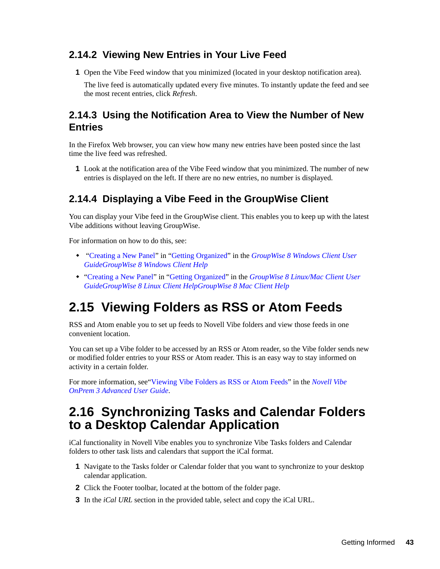## <span id="page-42-1"></span>**2.14.2 Viewing New Entries in Your Live Feed**

**1** Open the Vibe Feed window that you minimized (located in your desktop notification area).

The live feed is automatically updated every five minutes. To instantly update the feed and see the most recent entries, click *Refresh*.

## <span id="page-42-2"></span>**2.14.3 Using the Notification Area to View the Number of New Entries**

In the Firefox Web browser, you can view how many new entries have been posted since the last time the live feed was refreshed.

**1** Look at the notification area of the Vibe Feed window that you minimized. The number of new entries is displayed on the left. If there are no new entries, no number is displayed.

## <span id="page-42-0"></span>**2.14.4 Displaying a Vibe Feed in the GroupWise Client**

You can display your Vibe feed in the GroupWise client. This enables you to keep up with the latest Vibe additions without leaving GroupWise.

For information on how to do this, see:

- "Creating a New Panel" in "Getting Organized" in the *GroupWise 8 Windows Client User GuideGroupWise 8 Windows Client Help*
- <span id="page-42-3"></span> "Creating a New Panel" in "Getting Organized" in the *GroupWise 8 Linux/Mac Client User GuideGroupWise 8 Linux Client HelpGroupWise 8 Mac Client Help*

# **2.15 Viewing Folders as RSS or Atom Feeds**

RSS and Atom enable you to set up feeds to Novell Vibe folders and view those feeds in one convenient location.

You can set up a Vibe folder to be accessed by an RSS or Atom reader, so the Vibe folder sends new or modified folder entries to your RSS or Atom reader. This is an easy way to stay informed on activity in a certain folder.

For more information, see["Viewing Vibe Folders as RSS or Atom Feeds"](#page-42-3) in the *Novell Vibe OnPrem 3 Advanced User Guide*.

## **2.16 Synchronizing Tasks and Calendar Folders to a Desktop Calendar Application**

iCal functionality in Novell Vibe enables you to synchronize Vibe Tasks folders and Calendar folders to other task lists and calendars that support the iCal format.

- **1** Navigate to the Tasks folder or Calendar folder that you want to synchronize to your desktop calendar application.
- **2** Click the Footer toolbar, located at the bottom of the folder page.
- **3** In the *iCal URL* section in the provided table, select and copy the iCal URL.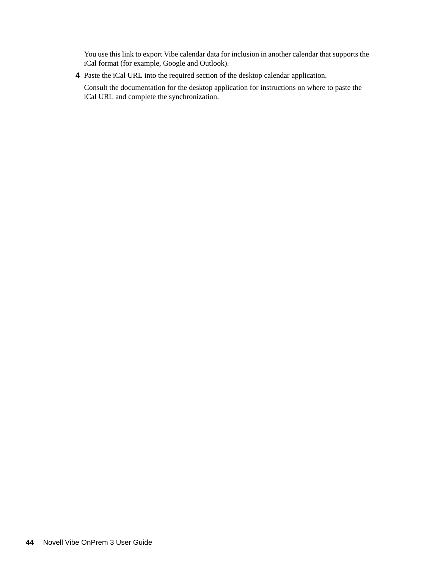You use this link to export Vibe calendar data for inclusion in another calendar that supports the iCal format (for example, Google and Outlook).

**4** Paste the iCal URL into the required section of the desktop calendar application.

Consult the documentation for the desktop application for instructions on where to paste the iCal URL and complete the synchronization.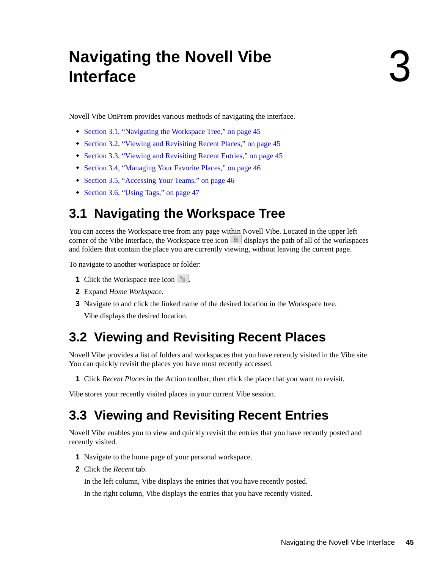# **Navigating the Novell Vibe Interface**

Novell Vibe OnPrem provides various methods of navigating the interface.

- [Section 3.1, "Navigating the Workspace Tree," on page 45](#page-44-0)
- [Section 3.2, "Viewing and Revisiting Recent Places," on page 45](#page-44-1)
- [Section 3.3, "Viewing and Revisiting Recent Entries," on page 45](#page-44-2)
- [Section 3.4, "Managing Your Favorite Places," on page 46](#page-45-0)
- [Section 3.5, "Accessing Your Teams," on page 46](#page-45-1)
- <span id="page-44-3"></span>• [Section 3.6, "Using Tags," on page 47](#page-46-0)

# <span id="page-44-0"></span>**3.1 Navigating the Workspace Tree**

You can access the Workspace tree from any page within Novell Vibe. Located in the upper left corner of the Vibe interface, the Workspace tree icon  $\mathbb{E}$  displays the path of all of the workspaces and folders that contain the place you are currently viewing, without leaving the current page.

To navigate to another workspace or folder:

- **1** Click the Workspace tree icon  $\frac{1}{2}$ .
- **2** Expand *Home Workspace*.
- **3** Navigate to and click the linked name of the desired location in the Workspace tree.

Vibe displays the desired location.

# <span id="page-44-1"></span>**3.2 Viewing and Revisiting Recent Places**

Novell Vibe provides a list of folders and workspaces that you have recently visited in the Vibe site. You can quickly revisit the places you have most recently accessed.

**1** Click *Recent Places* in the Action toolbar, then click the place that you want to revisit.

Vibe stores your recently visited places in your current Vibe session.

# <span id="page-44-2"></span>**3.3 Viewing and Revisiting Recent Entries**

Novell Vibe enables you to view and quickly revisit the entries that you have recently posted and recently visited.

- **1** Navigate to the home page of your personal workspace.
- **2** Click the *Recent* tab.

In the left column, Vibe displays the entries that you have recently posted.

In the right column, Vibe displays the entries that you have recently visited.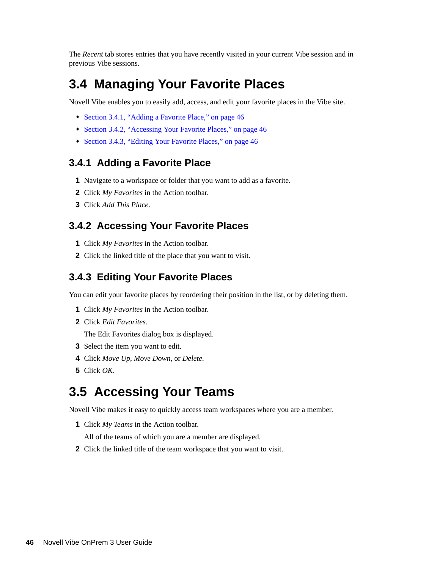The *Recent* tab stores entries that you have recently visited in your current Vibe session and in previous Vibe sessions.

## <span id="page-45-0"></span>**3.4 Managing Your Favorite Places**

Novell Vibe enables you to easily add, access, and edit your favorite places in the Vibe site.

- [Section 3.4.1, "Adding a Favorite Place," on page 46](#page-45-2)
- [Section 3.4.2, "Accessing Your Favorite Places," on page 46](#page-45-3)
- [Section 3.4.3, "Editing Your Favorite Places," on page 46](#page-45-4)

#### <span id="page-45-2"></span>**3.4.1 Adding a Favorite Place**

- **1** Navigate to a workspace or folder that you want to add as a favorite.
- **2** Click *My Favorites* in the Action toolbar.
- **3** Click *Add This Place*.

## <span id="page-45-3"></span>**3.4.2 Accessing Your Favorite Places**

- **1** Click *My Favorites* in the Action toolbar.
- **2** Click the linked title of the place that you want to visit.

#### <span id="page-45-4"></span>**3.4.3 Editing Your Favorite Places**

You can edit your favorite places by reordering their position in the list, or by deleting them.

- **1** Click *My Favorites* in the Action toolbar.
- **2** Click *Edit Favorites*.

The Edit Favorites dialog box is displayed.

- **3** Select the item you want to edit.
- **4** Click *Move Up*, *Move Down*, or *Delete*.
- **5** Click *OK*.

## <span id="page-45-1"></span>**3.5 Accessing Your Teams**

Novell Vibe makes it easy to quickly access team workspaces where you are a member.

- **1** Click *My Teams* in the Action toolbar.
	- All of the teams of which you are a member are displayed.
- **2** Click the linked title of the team workspace that you want to visit.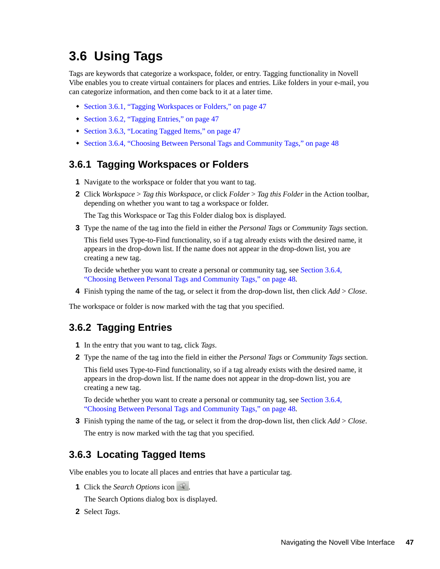# <span id="page-46-0"></span>**3.6 Using Tags**

Tags are keywords that categorize a workspace, folder, or entry. Tagging functionality in Novell Vibe enables you to create virtual containers for places and entries. Like folders in your e-mail, you can categorize information, and then come back to it at a later time.

- [Section 3.6.1, "Tagging Workspaces or Folders," on page 47](#page-46-1)
- [Section 3.6.2, "Tagging Entries," on page 47](#page-46-2)
- [Section 3.6.3, "Locating Tagged Items," on page 47](#page-46-3)
- [Section 3.6.4, "Choosing Between Personal Tags and Community Tags," on page 48](#page-47-0)

## <span id="page-46-1"></span>**3.6.1 Tagging Workspaces or Folders**

- **1** Navigate to the workspace or folder that you want to tag.
- **2** Click *Workspace* > *Tag this Workspace*, or click *Folder* > *Tag this Folder* in the Action toolbar, depending on whether you want to tag a workspace or folder.

The Tag this Workspace or Tag this Folder dialog box is displayed.

**3** Type the name of the tag into the field in either the *Personal Tags* or *Community Tags* section.

This field uses Type-to-Find functionality, so if a tag already exists with the desired name, it appears in the drop-down list. If the name does not appear in the drop-down list, you are creating a new tag.

To decide whether you want to create a personal or community tag, see [Section 3.6.4,](#page-47-0)  ["Choosing Between Personal Tags and Community Tags," on page 48](#page-47-0).

**4** Finish typing the name of the tag, or select it from the drop-down list, then click *Add* > *Close*.

The workspace or folder is now marked with the tag that you specified.

#### <span id="page-46-2"></span>**3.6.2 Tagging Entries**

- **1** In the entry that you want to tag, click *Tags*.
- **2** Type the name of the tag into the field in either the *Personal Tags* or *Community Tags* section.

This field uses Type-to-Find functionality, so if a tag already exists with the desired name, it appears in the drop-down list. If the name does not appear in the drop-down list, you are creating a new tag.

To decide whether you want to create a personal or community tag, see [Section 3.6.4,](#page-47-0)  ["Choosing Between Personal Tags and Community Tags," on page 48](#page-47-0).

**3** Finish typing the name of the tag, or select it from the drop-down list, then click *Add* > *Close*. The entry is now marked with the tag that you specified.

#### <span id="page-46-3"></span>**3.6.3 Locating Tagged Items**

Vibe enables you to locate all places and entries that have a particular tag.

**1** Click the *Search Options* icon  $\mathbb{R}$ .

The Search Options dialog box is displayed.

**2** Select *Tags*.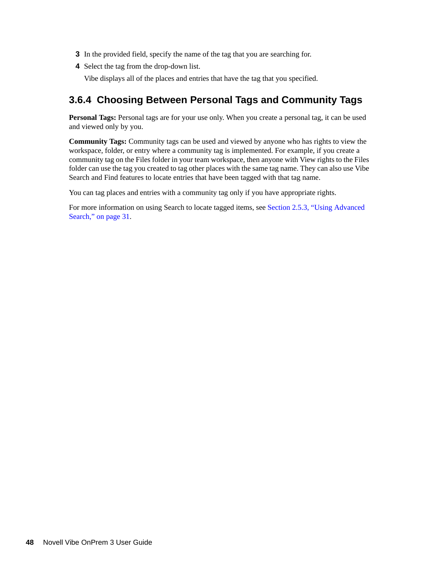- **3** In the provided field, specify the name of the tag that you are searching for.
- **4** Select the tag from the drop-down list.

Vibe displays all of the places and entries that have the tag that you specified.

## <span id="page-47-0"></span>**3.6.4 Choosing Between Personal Tags and Community Tags**

**Personal Tags:** Personal tags are for your use only. When you create a personal tag, it can be used and viewed only by you.

**Community Tags:** Community tags can be used and viewed by anyone who has rights to view the workspace, folder, or entry where a community tag is implemented. For example, if you create a community tag on the Files folder in your team workspace, then anyone with View rights to the Files folder can use the tag you created to tag other places with the same tag name. They can also use Vibe Search and Find features to locate entries that have been tagged with that tag name.

You can tag places and entries with a community tag only if you have appropriate rights.

For more information on using Search to locate tagged items, see [Section 2.5.3, "Using Advanced](#page-30-0)  [Search," on page 31.](#page-30-0)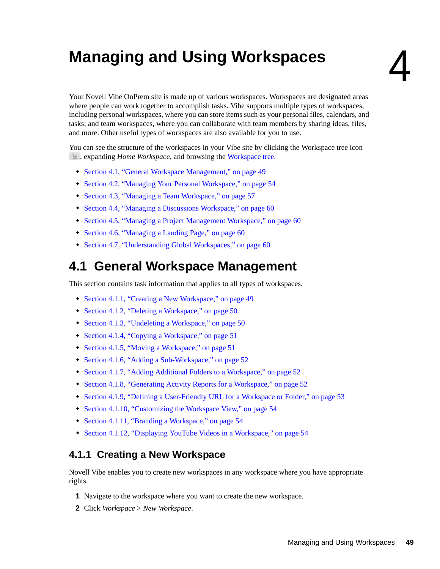# <sup>4</sup>**Managing and Using Workspaces**

Your Novell Vibe OnPrem site is made up of various workspaces. Workspaces are designated areas where people can work together to accomplish tasks. Vibe supports multiple types of workspaces, including personal workspaces, where you can store items such as your personal files, calendars, and tasks; and team workspaces, where you can collaborate with team members by sharing ideas, files, and more. Other useful types of workspaces are also available for you to use.

You can see the structure of the workspaces in your Vibe site by clicking the Workspace tree icon , expanding *Home Workspace*, and browsing the [Workspace tree](#page-44-3).

- [Section 4.1, "General Workspace Management," on page 49](#page-48-0)
- [Section 4.2, "Managing Your Personal Workspace," on page 54](#page-53-3)
- [Section 4.3, "Managing a Team Workspace," on page 57](#page-56-0)
- [Section 4.4, "Managing a Discussions Workspace," on page 60](#page-59-0)
- [Section 4.5, "Managing a Project Management Workspace," on page 60](#page-59-1)
- [Section 4.6, "Managing a Landing Page," on page 60](#page-59-2)
- [Section 4.7, "Understanding Global Workspaces," on page 60](#page-59-3)

## <span id="page-48-0"></span>**4.1 General Workspace Management**

This section contains task information that applies to all types of workspaces.

- [Section 4.1.1, "Creating a New Workspace," on page 49](#page-48-1)
- [Section 4.1.2, "Deleting a Workspace," on page 50](#page-49-0)
- [Section 4.1.3, "Undeleting a Workspace," on page 50](#page-49-1)
- [Section 4.1.4, "Copying a Workspace," on page 51](#page-50-0)
- [Section 4.1.5, "Moving a Workspace," on page 51](#page-50-1)
- [Section 4.1.6, "Adding a Sub-Workspace," on page 52](#page-51-0)
- [Section 4.1.7, "Adding Additional Folders to a Workspace," on page 52](#page-51-1)
- [Section 4.1.8, "Generating Activity Reports for a Workspace," on page 52](#page-51-2)
- [Section 4.1.9, "Defining a User-Friendly URL for a Workspace or Folder," on page 53](#page-52-0)
- [Section 4.1.10, "Customizing the Workspace View," on page 54](#page-53-0)
- [Section 4.1.11, "Branding a Workspace," on page 54](#page-53-1)
- [Section 4.1.12, "Displaying YouTube Videos in a Workspace," on page 54](#page-53-2)

## <span id="page-48-1"></span>**4.1.1 Creating a New Workspace**

Novell Vibe enables you to create new workspaces in any workspace where you have appropriate rights.

- **1** Navigate to the workspace where you want to create the new workspace.
- **2** Click *Workspace* > *New Workspace*.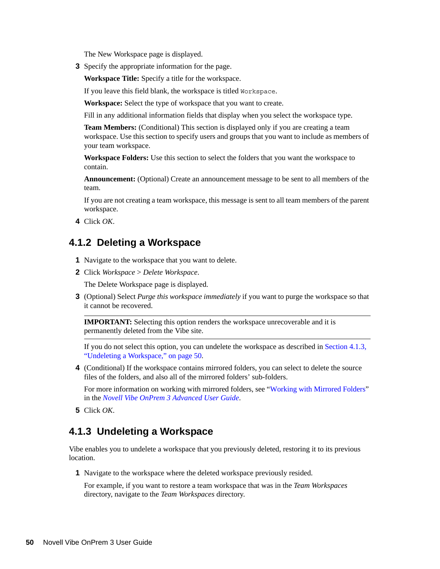The New Workspace page is displayed.

**3** Specify the appropriate information for the page.

**Workspace Title:** Specify a title for the workspace.

If you leave this field blank, the workspace is titled Workspace.

**Workspace:** Select the type of workspace that you want to create.

Fill in any additional information fields that display when you select the workspace type.

**Team Members:** (Conditional) This section is displayed only if you are creating a team workspace. Use this section to specify users and groups that you want to include as members of your team workspace.

**Workspace Folders:** Use this section to select the folders that you want the workspace to contain.

**Announcement:** (Optional) Create an announcement message to be sent to all members of the team.

If you are not creating a team workspace, this message is sent to all team members of the parent workspace.

**4** Click *OK*.

#### <span id="page-49-0"></span>**4.1.2 Deleting a Workspace**

- **1** Navigate to the workspace that you want to delete.
- **2** Click *Workspace* > *Delete Workspace*.

The Delete Workspace page is displayed.

**3** (Optional) Select *Purge this workspace immediately* if you want to purge the workspace so that it cannot be recovered.

**IMPORTANT:** Selecting this option renders the workspace unrecoverable and it is permanently deleted from the Vibe site.

If you do not select this option, you can undelete the workspace as described in [Section 4.1.3,](#page-49-1)  ["Undeleting a Workspace," on page 50.](#page-49-1)

**4** (Conditional) If the workspace contains mirrored folders, you can select to delete the source files of the folders, and also all of the mirrored folders' sub-folders.

For more information on working with mirrored folders, see "Working with Mirrored Folders" in the *Novell Vibe OnPrem 3 Advanced User Guide*.

**5** Click *OK*.

#### <span id="page-49-1"></span>**4.1.3 Undeleting a Workspace**

Vibe enables you to undelete a workspace that you previously deleted, restoring it to its previous location.

**1** Navigate to the workspace where the deleted workspace previously resided.

For example, if you want to restore a team workspace that was in the *Team Workspaces* directory, navigate to the *Team Workspaces* directory.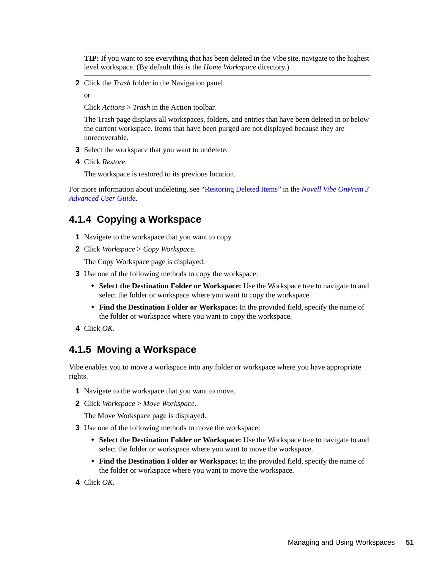**TIP:** If you want to see everything that has been deleted in the Vibe site, navigate to the highest level workspace. (By default this is the *Home Workspace* directory.)

- **2** Click the *Trash* folder in the Navigation panel.
	- or

Click *Actions* > *Trash* in the Action toolbar.

The Trash page displays all workspaces, folders, and entries that have been deleted in or below the current workspace. Items that have been purged are not displayed because they are unrecoverable.

- **3** Select the workspace that you want to undelete.
- **4** Click *Restore*.

The workspace is restored to its previous location.

For more information about undeleting, see "Restoring Deleted Items" in the *Novell Vibe OnPrem 3 Advanced User Guide*.

#### <span id="page-50-0"></span>**4.1.4 Copying a Workspace**

- **1** Navigate to the workspace that you want to copy.
- **2** Click *Workspace* > *Copy Workspace*.

The Copy Workspace page is displayed.

- **3** Use one of the following methods to copy the workspace:
	- **Select the Destination Folder or Workspace:** Use the Workspace tree to navigate to and select the folder or workspace where you want to copy the workspace.
	- **Find the Destination Folder or Workspace:** In the provided field, specify the name of the folder or workspace where you want to copy the workspace.
- **4** Click *OK*.

## <span id="page-50-1"></span>**4.1.5 Moving a Workspace**

Vibe enables you to move a workspace into any folder or workspace where you have appropriate rights.

- **1** Navigate to the workspace that you want to move.
- **2** Click *Workspace* > *Move Workspace*.

The Move Workspace page is displayed.

- **3** Use one of the following methods to move the workspace:
	- **Select the Destination Folder or Workspace:** Use the Workspace tree to navigate to and select the folder or workspace where you want to move the workspace.
	- **Find the Destination Folder or Workspace:** In the provided field, specify the name of the folder or workspace where you want to move the workspace.
- **4** Click *OK*.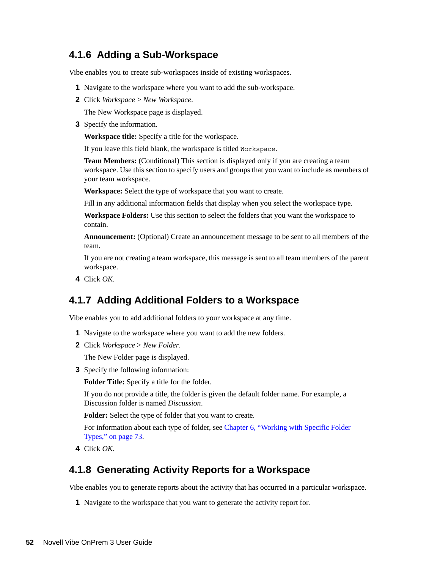## <span id="page-51-0"></span>**4.1.6 Adding a Sub-Workspace**

Vibe enables you to create sub-workspaces inside of existing workspaces.

- **1** Navigate to the workspace where you want to add the sub-workspace.
- **2** Click *Workspace* > *New Workspace*.

The New Workspace page is displayed.

**3** Specify the information.

**Workspace title:** Specify a title for the workspace.

If you leave this field blank, the workspace is titled Workspace.

**Team Members:** (Conditional) This section is displayed only if you are creating a team workspace. Use this section to specify users and groups that you want to include as members of your team workspace.

**Workspace:** Select the type of workspace that you want to create.

Fill in any additional information fields that display when you select the workspace type.

**Workspace Folders:** Use this section to select the folders that you want the workspace to contain.

**Announcement:** (Optional) Create an announcement message to be sent to all members of the team.

If you are not creating a team workspace, this message is sent to all team members of the parent workspace.

**4** Click *OK*.

#### <span id="page-51-1"></span>**4.1.7 Adding Additional Folders to a Workspace**

Vibe enables you to add additional folders to your workspace at any time.

- **1** Navigate to the workspace where you want to add the new folders.
- **2** Click *Workspace* > *New Folder*.

The New Folder page is displayed.

**3** Specify the following information:

**Folder Title:** Specify a title for the folder.

If you do not provide a title, the folder is given the default folder name. For example, a Discussion folder is named *Discussion*.

**Folder:** Select the type of folder that you want to create.

For information about each type of folder, see [Chapter 6, "Working with Specific Folder](#page-72-0)  [Types," on page 73.](#page-72-0)

**4** Click *OK*.

#### <span id="page-51-2"></span>**4.1.8 Generating Activity Reports for a Workspace**

Vibe enables you to generate reports about the activity that has occurred in a particular workspace.

**1** Navigate to the workspace that you want to generate the activity report for.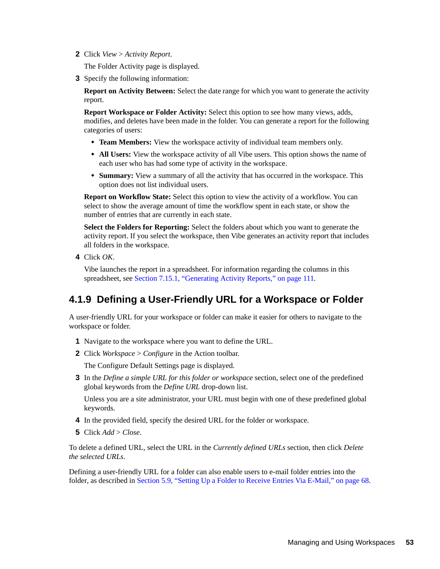**2** Click *View* > *Activity Report*.

The Folder Activity page is displayed.

**3** Specify the following information:

**Report on Activity Between:** Select the date range for which you want to generate the activity report.

**Report Workspace or Folder Activity:** Select this option to see how many views, adds, modifies, and deletes have been made in the folder. You can generate a report for the following categories of users:

- **Team Members:** View the workspace activity of individual team members only.
- **All Users:** View the workspace activity of all Vibe users. This option shows the name of each user who has had some type of activity in the workspace.
- **Summary:** View a summary of all the activity that has occurred in the workspace. This option does not list individual users.

**Report on Workflow State:** Select this option to view the activity of a workflow. You can select to show the average amount of time the workflow spent in each state, or show the number of entries that are currently in each state.

**Select the Folders for Reporting:** Select the folders about which you want to generate the activity report. If you select the workspace, then Vibe generates an activity report that includes all folders in the workspace.

**4** Click *OK*.

Vibe launches the report in a spreadsheet. For information regarding the columns in this spreadsheet, see [Section 7.15.1, "Generating Activity Reports," on page 111.](#page-110-0)

## <span id="page-52-0"></span>**4.1.9 Defining a User-Friendly URL for a Workspace or Folder**

A user-friendly URL for your workspace or folder can make it easier for others to navigate to the workspace or folder.

- **1** Navigate to the workspace where you want to define the URL.
- **2** Click *Workspace* > *Configure* in the Action toolbar.

The Configure Default Settings page is displayed.

**3** In the *Define a simple URL for this folder or workspace* section, select one of the predefined global keywords from the *Define URL* drop-down list.

Unless you are a site administrator, your URL must begin with one of these predefined global keywords.

- **4** In the provided field, specify the desired URL for the folder or workspace.
- **5** Click *Add* > *Close*.

To delete a defined URL, select the URL in the *Currently defined URLs* section, then click *Delete the selected URLs*.

Defining a user-friendly URL for a folder can also enable users to e-mail folder entries into the folder, as described in [Section 5.9, "Setting Up a Folder to Receive Entries Via E-Mail," on page 68](#page-67-0).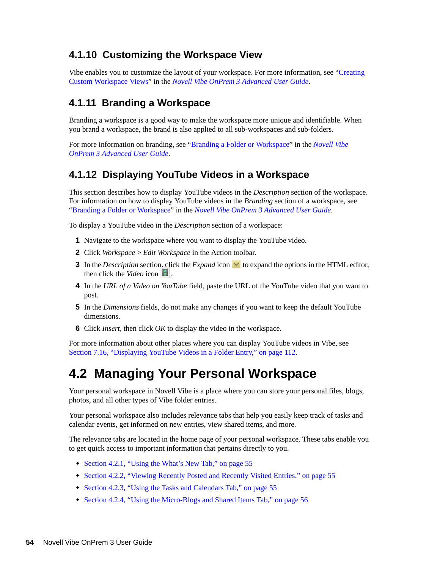## <span id="page-53-0"></span>**4.1.10 Customizing the Workspace View**

Vibe enables you to customize the layout of your workspace. For more information, see "Creating Custom Workspace Views" in the *Novell Vibe OnPrem 3 Advanced User Guide*.

## <span id="page-53-1"></span>**4.1.11 Branding a Workspace**

Branding a workspace is a good way to make the workspace more unique and identifiable. When you brand a workspace, the brand is also applied to all sub-workspaces and sub-folders.

For more information on branding, see "Branding a Folder or Workspace" in the *Novell Vibe OnPrem 3 Advanced User Guide*.

## <span id="page-53-2"></span>**4.1.12 Displaying YouTube Videos in a Workspace**

This section describes how to display YouTube videos in the *Description* section of the workspace. For information on how to display YouTube videos in the *Branding* section of a workspace, see "Branding a Folder or Workspace" in the *Novell Vibe OnPrem 3 Advanced User Guide*.

To display a YouTube video in the *Description* section of a workspace:

- **1** Navigate to the workspace where you want to display the YouTube video.
- **2** Click *Workspace* > *Edit Workspace* in the Action toolbar.
- **3** In the *Description* section, click the *Expand* icon  $\vee$  to expand the options in the HTML editor, then click the *Video* icon  $\|\cdot\|$ .
- **4** In the *URL of a Video on YouTube* field, paste the URL of the YouTube video that you want to post.
- **5** In the *Dimensions* fields, do not make any changes if you want to keep the default YouTube dimensions.
- **6** Click *Insert*, then click *OK* to display the video in the workspace.

For more information about other places where you can display YouTube videos in Vibe, see [Section 7.16, "Displaying YouTube Videos in a Folder Entry," on page 112](#page-111-0).

# <span id="page-53-3"></span>**4.2 Managing Your Personal Workspace**

Your personal workspace in Novell Vibe is a place where you can store your personal files, blogs, photos, and all other types of Vibe folder entries.

Your personal workspace also includes relevance tabs that help you easily keep track of tasks and calendar events, get informed on new entries, view shared items, and more.

The relevance tabs are located in the home page of your personal workspace. These tabs enable you to get quick access to important information that pertains directly to you.

- [Section 4.2.1, "Using the What's New Tab," on page 55](#page-54-0)
- [Section 4.2.2, "Viewing Recently Posted and Recently Visited Entries," on page 55](#page-54-1)
- [Section 4.2.3, "Using the Tasks and Calendars Tab," on page 55](#page-54-2)
- [Section 4.2.4, "Using the Micro-Blogs and Shared Items Tab," on page 56](#page-55-0)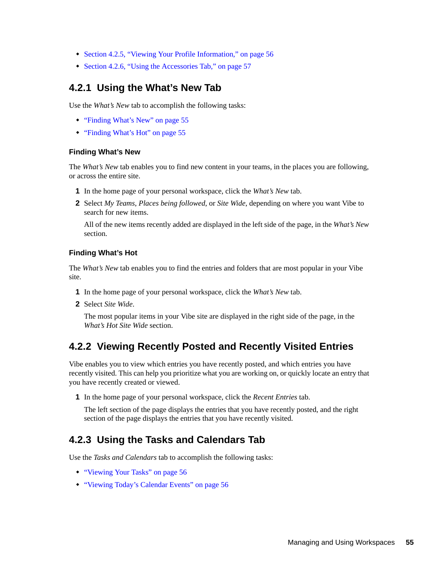- [Section 4.2.5, "Viewing Your Profile Information," on page 56](#page-55-1)
- [Section 4.2.6, "Using the Accessories Tab," on page 57](#page-56-1)

## <span id="page-54-0"></span>**4.2.1 Using the What's New Tab**

Use the *What's New* tab to accomplish the following tasks:

- ["Finding What's New" on page 55](#page-54-3)
- ["Finding What's Hot" on page 55](#page-54-4)

#### <span id="page-54-3"></span>**Finding What's New**

The *What's New* tab enables you to find new content in your teams, in the places you are following, or across the entire site.

- **1** In the home page of your personal workspace, click the *What's New* tab.
- **2** Select *My Teams*, *Places being followed*, or *Site Wide*, depending on where you want Vibe to search for new items.

All of the new items recently added are displayed in the left side of the page, in the *What's New* section.

#### <span id="page-54-4"></span>**Finding What's Hot**

The *What's New* tab enables you to find the entries and folders that are most popular in your Vibe site.

- **1** In the home page of your personal workspace, click the *What's New* tab.
- **2** Select *Site Wide*.

The most popular items in your Vibe site are displayed in the right side of the page, in the *What's Hot Site Wide* section.

## <span id="page-54-1"></span>**4.2.2 Viewing Recently Posted and Recently Visited Entries**

Vibe enables you to view which entries you have recently posted, and which entries you have recently visited. This can help you prioritize what you are working on, or quickly locate an entry that you have recently created or viewed.

**1** In the home page of your personal workspace, click the *Recent Entries* tab.

The left section of the page displays the entries that you have recently posted, and the right section of the page displays the entries that you have recently visited.

## <span id="page-54-2"></span>**4.2.3 Using the Tasks and Calendars Tab**

Use the *Tasks and Calendars* tab to accomplish the following tasks:

- ["Viewing Your Tasks" on page 56](#page-55-2)
- ["Viewing Today's Calendar Events" on page 56](#page-55-3)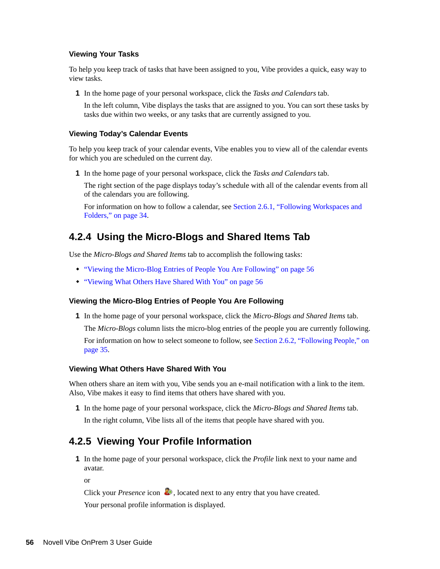#### <span id="page-55-2"></span>**Viewing Your Tasks**

To help you keep track of tasks that have been assigned to you, Vibe provides a quick, easy way to view tasks.

**1** In the home page of your personal workspace, click the *Tasks and Calendars* tab.

In the left column, Vibe displays the tasks that are assigned to you. You can sort these tasks by tasks due within two weeks, or any tasks that are currently assigned to you.

#### <span id="page-55-3"></span>**Viewing Today's Calendar Events**

To help you keep track of your calendar events, Vibe enables you to view all of the calendar events for which you are scheduled on the current day.

**1** In the home page of your personal workspace, click the *Tasks and Calendars* tab.

The right section of the page displays today's schedule with all of the calendar events from all of the calendars you are following.

For information on how to follow a calendar, see [Section 2.6.1, "Following Workspaces and](#page-33-1)  [Folders," on page 34](#page-33-1).

#### <span id="page-55-0"></span>**4.2.4 Using the Micro-Blogs and Shared Items Tab**

Use the *Micro-Blogs and Shared Items* tab to accomplish the following tasks:

- ["Viewing the Micro-Blog Entries of People You Are Following" on page 56](#page-55-4)
- ["Viewing What Others Have Shared With You" on page 56](#page-55-5)

#### <span id="page-55-4"></span>**Viewing the Micro-Blog Entries of People You Are Following**

**1** In the home page of your personal workspace, click the *Micro-Blogs and Shared Items* tab.

The *Micro-Blogs* column lists the micro-blog entries of the people you are currently following.

For information on how to select someone to follow, see [Section 2.6.2, "Following People," on](#page-34-0)  [page 35.](#page-34-0)

#### <span id="page-55-5"></span>**Viewing What Others Have Shared With You**

When others share an item with you, Vibe sends you an e-mail notification with a link to the item. Also, Vibe makes it easy to find items that others have shared with you.

**1** In the home page of your personal workspace, click the *Micro-Blogs and Shared Items* tab.

In the right column, Vibe lists all of the items that people have shared with you.

#### <span id="page-55-1"></span>**4.2.5 Viewing Your Profile Information**

**1** In the home page of your personal workspace, click the *Profile* link next to your name and avatar.

or

Click your *Presence* icon **.** because in ext to any entry that you have created.

Your personal profile information is displayed.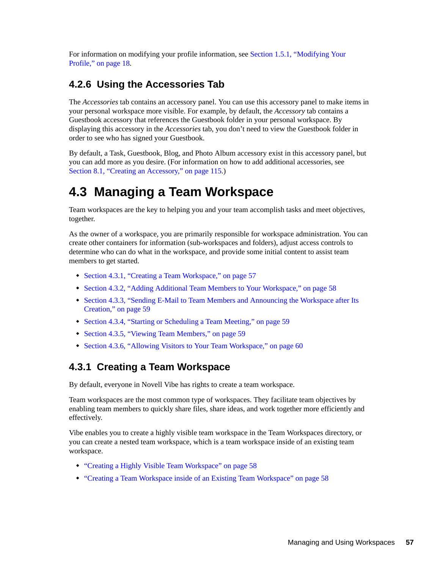For information on modifying your profile information, see [Section 1.5.1, "Modifying Your](#page-17-0)  [Profile," on page 18.](#page-17-0)

## <span id="page-56-1"></span>**4.2.6 Using the Accessories Tab**

The *Accessories* tab contains an accessory panel. You can use this accessory panel to make items in your personal workspace more visible. For example, by default, the *Accessory* tab contains a Guestbook accessory that references the Guestbook folder in your personal workspace. By displaying this accessory in the *Accessories* tab, you don't need to view the Guestbook folder in order to see who has signed your Guestbook.

By default, a Task, Guestbook, Blog, and Photo Album accessory exist in this accessory panel, but you can add more as you desire. (For information on how to add additional accessories, see [Section 8.1, "Creating an Accessory," on page 115](#page-114-0).)

# <span id="page-56-0"></span>**4.3 Managing a Team Workspace**

Team workspaces are the key to helping you and your team accomplish tasks and meet objectives, together.

As the owner of a workspace, you are primarily responsible for workspace administration. You can create other containers for information (sub-workspaces and folders), adjust access controls to determine who can do what in the workspace, and provide some initial content to assist team members to get started.

- [Section 4.3.1, "Creating a Team Workspace," on page 57](#page-56-2)
- [Section 4.3.2, "Adding Additional Team Members to Your Workspace," on page 58](#page-57-0)
- [Section 4.3.3, "Sending E-Mail to Team Members and Announcing the Workspace after Its](#page-58-1)  [Creation," on page 59](#page-58-1)
- [Section 4.3.4, "Starting or Scheduling a Team Meeting," on page 59](#page-58-0)
- [Section 4.3.5, "Viewing Team Members," on page 59](#page-58-2)
- [Section 4.3.6, "Allowing Visitors to Your Team Workspace," on page 60](#page-59-4)

## <span id="page-56-2"></span>**4.3.1 Creating a Team Workspace**

By default, everyone in Novell Vibe has rights to create a team workspace.

Team workspaces are the most common type of workspaces. They facilitate team objectives by enabling team members to quickly share files, share ideas, and work together more efficiently and effectively.

Vibe enables you to create a highly visible team workspace in the Team Workspaces directory, or you can create a nested team workspace, which is a team workspace inside of an existing team workspace.

- ["Creating a Highly Visible Team Workspace" on page 58](#page-57-1)
- ["Creating a Team Workspace inside of an Existing Team Workspace" on page 58](#page-57-2)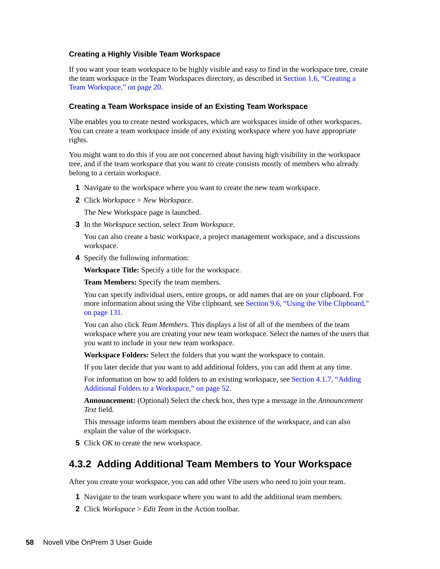#### <span id="page-57-1"></span>**Creating a Highly Visible Team Workspace**

If you want your team workspace to be highly visible and easy to find in the workspace tree, create the team workspace in the Team Workspaces directory, as described in [Section 1.6, "Creating a](#page-19-0)  [Team Workspace," on page 20](#page-19-0).

#### <span id="page-57-2"></span>**Creating a Team Workspace inside of an Existing Team Workspace**

Vibe enables you to create nested workspaces, which are workspaces inside of other workspaces. You can create a team workspace inside of any existing workspace where you have appropriate rights.

You might want to do this if you are not concerned about having high visibility in the workspace tree, and if the team workspace that you want to create consists mostly of members who already belong to a certain workspace.

- **1** Navigate to the workspace where you want to create the new team workspace.
- **2** Click *Workspace* > *New Workspace*.

The New Workspace page is launched.

**3** In the *Workspace* section, select *Team Workspace*.

You can also create a basic workspace, a project management workspace, and a discussions workspace.

**4** Specify the following information:

**Workspace Title:** Specify a title for the workspace.

**Team Members:** Specify the team members.

You can specify individual users, entire groups, or add names that are on your clipboard. For more information about using the Vibe clipboard, see [Section 9.6, "Using the Vibe Clipboard,"](#page-130-0)  [on page 131](#page-130-0).

You can also click *Team Members*. This displays a list of all of the members of the team workspace where you are creating your new team workspace. Select the names of the users that you want to include in your new team workspace.

**Workspace Folders:** Select the folders that you want the workspace to contain.

If you later decide that you want to add additional folders, you can add them at any time.

For information on how to add folders to an existing workspace, see [Section 4.1.7, "Adding](#page-51-1)  [Additional Folders to a Workspace," on page 52](#page-51-1).

**Announcement:** (Optional) Select the check box, then type a message in the *Announcement Text* field.

This message informs team members about the existence of the workspace, and can also explain the value of the workspace.

**5** Click *OK* to create the new workspace.

#### <span id="page-57-0"></span>**4.3.2 Adding Additional Team Members to Your Workspace**

After you create your workspace, you can add other Vibe users who need to join your team.

- **1** Navigate to the team workspace where you want to add the additional team members.
- **2** Click *Workspace* > *Edit Team* in the Action toolbar.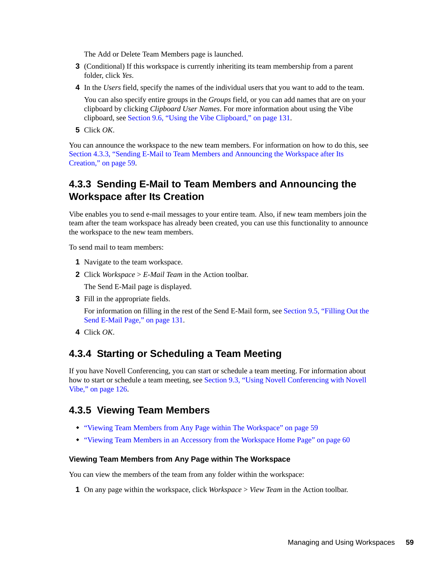The Add or Delete Team Members page is launched.

- **3** (Conditional) If this workspace is currently inheriting its team membership from a parent folder, click *Yes*.
- **4** In the *Users* field, specify the names of the individual users that you want to add to the team.

You can also specify entire groups in the *Groups* field, or you can add names that are on your clipboard by clicking *Clipboard User Names*. For more information about using the Vibe clipboard, see [Section 9.6, "Using the Vibe Clipboard," on page 131.](#page-130-0)

**5** Click *OK*.

You can announce the workspace to the new team members. For information on how to do this, see [Section 4.3.3, "Sending E-Mail to Team Members and Announcing the Workspace after Its](#page-58-1)  [Creation," on page 59](#page-58-1).

## <span id="page-58-1"></span>**4.3.3 Sending E-Mail to Team Members and Announcing the Workspace after Its Creation**

Vibe enables you to send e-mail messages to your entire team. Also, if new team members join the team after the team workspace has already been created, you can use this functionality to announce the workspace to the new team members.

To send mail to team members:

- **1** Navigate to the team workspace.
- **2** Click *Workspace* > *E-Mail Team* in the Action toolbar.

The Send E-Mail page is displayed.

**3** Fill in the appropriate fields.

For information on filling in the rest of the Send E-Mail form, see [Section 9.5, "Filling Out the](#page-130-1)  [Send E-Mail Page," on page 131.](#page-130-1)

**4** Click *OK*.

#### <span id="page-58-0"></span>**4.3.4 Starting or Scheduling a Team Meeting**

If you have Novell Conferencing, you can start or schedule a team meeting. For information about how to start or schedule a team meeting, see [Section 9.3, "Using Novell Conferencing with Novell](#page-125-0)  [Vibe," on page 126.](#page-125-0)

#### <span id="page-58-2"></span>**4.3.5 Viewing Team Members**

- ["Viewing Team Members from Any Page within The Workspace" on page 59](#page-58-3)
- ["Viewing Team Members in an Accessory from the Workspace Home Page" on page 60](#page-59-5)

#### <span id="page-58-3"></span>**Viewing Team Members from Any Page within The Workspace**

You can view the members of the team from any folder within the workspace:

**1** On any page within the workspace, click *Workspace* > *View Team* in the Action toolbar.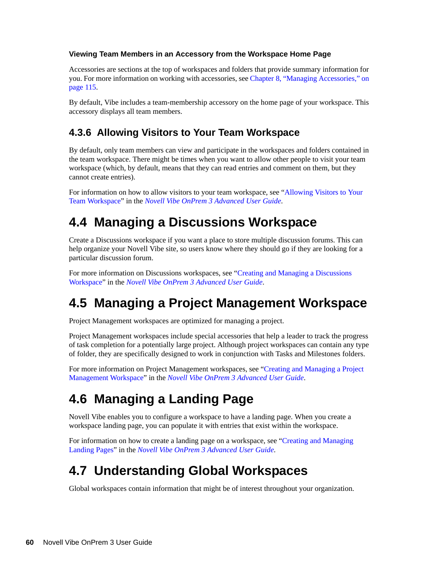#### <span id="page-59-5"></span>**Viewing Team Members in an Accessory from the Workspace Home Page**

Accessories are sections at the top of workspaces and folders that provide summary information for you. For more information on working with accessories, see [Chapter 8, "Managing Accessories," on](#page-114-1)  [page 115.](#page-114-1)

By default, Vibe includes a team-membership accessory on the home page of your workspace. This accessory displays all team members.

## <span id="page-59-6"></span><span id="page-59-4"></span>**4.3.6 Allowing Visitors to Your Team Workspace**

By default, only team members can view and participate in the workspaces and folders contained in the team workspace. There might be times when you want to allow other people to visit your team workspace (which, by default, means that they can read entries and comment on them, but they cannot create entries).

For information on how to allow visitors to your team workspace, see ["Allowing Visitors to Your](#page-59-6)  [Team Workspace](#page-59-6)" in the *Novell Vibe OnPrem 3 Advanced User Guide*.

# <span id="page-59-0"></span>**4.4 Managing a Discussions Workspace**

Create a Discussions workspace if you want a place to store multiple discussion forums. This can help organize your Novell Vibe site, so users know where they should go if they are looking for a particular discussion forum.

For more information on Discussions workspaces, see "Creating and Managing a Discussions Workspace" in the *Novell Vibe OnPrem 3 Advanced User Guide*.

# <span id="page-59-1"></span>**4.5 Managing a Project Management Workspace**

Project Management workspaces are optimized for managing a project.

Project Management workspaces include special accessories that help a leader to track the progress of task completion for a potentially large project. Although project workspaces can contain any type of folder, they are specifically designed to work in conjunction with Tasks and Milestones folders.

For more information on Project Management workspaces, see "Creating and Managing a Project Management Workspace" in the *Novell Vibe OnPrem 3 Advanced User Guide*.

# <span id="page-59-2"></span>**4.6 Managing a Landing Page**

Novell Vibe enables you to configure a workspace to have a landing page. When you create a workspace landing page, you can populate it with entries that exist within the workspace.

For information on how to create a landing page on a workspace, see "Creating and Managing Landing Pages" in the *Novell Vibe OnPrem 3 Advanced User Guide*.

# <span id="page-59-3"></span>**4.7 Understanding Global Workspaces**

Global workspaces contain information that might be of interest throughout your organization.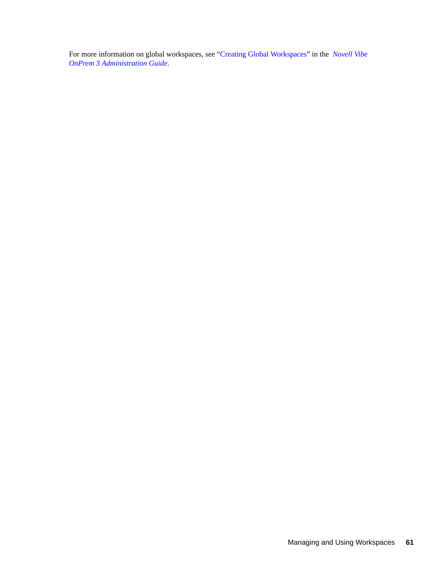For more information on global workspaces, see "Creating Global Workspaces" in the *Novell Vibe OnPrem 3 Administration Guide*.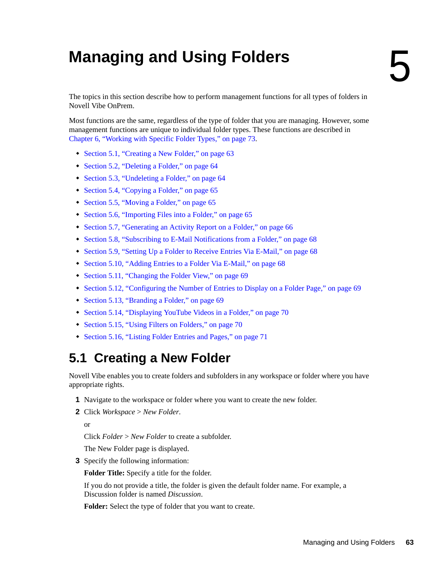# <sup>5</sup>**Managing and Using Folders**

The topics in this section describe how to perform management functions for all types of folders in Novell Vibe OnPrem.

Most functions are the same, regardless of the type of folder that you are managing. However, some management functions are unique to individual folder types. These functions are described in [Chapter 6, "Working with Specific Folder Types," on page 73](#page-72-0).

- [Section 5.1, "Creating a New Folder," on page 63](#page-62-0)
- [Section 5.2, "Deleting a Folder," on page 64](#page-63-0)
- [Section 5.3, "Undeleting a Folder," on page 64](#page-63-1)
- [Section 5.4, "Copying a Folder," on page 65](#page-64-0)
- [Section 5.5, "Moving a Folder," on page 65](#page-64-1)
- [Section 5.6, "Importing Files into a Folder," on page 65](#page-64-2)
- [Section 5.7, "Generating an Activity Report on a Folder," on page 66](#page-65-0)
- [Section 5.8, "Subscribing to E-Mail Notifications from a Folder," on page 68](#page-67-1)
- [Section 5.9, "Setting Up a Folder to Receive Entries Via E-Mail," on page 68](#page-67-2)
- [Section 5.10, "Adding Entries to a Folder Via E-Mail," on page 68](#page-67-3)
- [Section 5.11, "Changing the Folder View," on page 69](#page-68-0)
- [Section 5.12, "Configuring the Number of Entries to Display on a Folder Page," on page 69](#page-68-1)
- [Section 5.13, "Branding a Folder," on page 69](#page-68-2)
- [Section 5.14, "Displaying YouTube Videos in a Folder," on page 70](#page-69-1)
- [Section 5.15, "Using Filters on Folders," on page 70](#page-69-0)
- [Section 5.16, "Listing Folder Entries and Pages," on page 71](#page-70-0)

# <span id="page-62-0"></span>**5.1 Creating a New Folder**

Novell Vibe enables you to create folders and subfolders in any workspace or folder where you have appropriate rights.

- **1** Navigate to the workspace or folder where you want to create the new folder.
- **2** Click *Workspace* > *New Folder*.

or

Click *Folder* > *New Folder* to create a subfolder.

The New Folder page is displayed.

**3** Specify the following information:

**Folder Title:** Specify a title for the folder.

If you do not provide a title, the folder is given the default folder name. For example, a Discussion folder is named *Discussion*.

**Folder:** Select the type of folder that you want to create.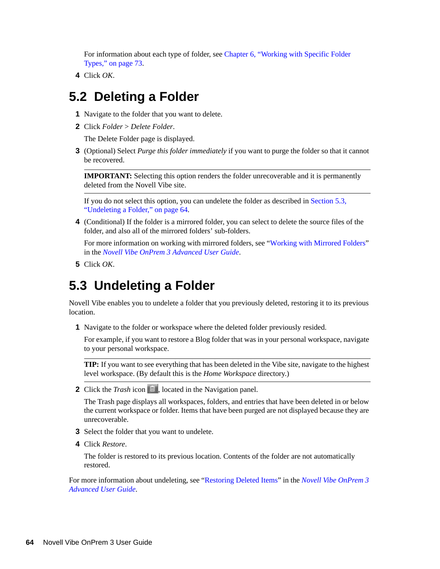For information about each type of folder, see [Chapter 6, "Working with Specific Folder](#page-72-0)  [Types," on page 73.](#page-72-0)

**4** Click *OK*.

## <span id="page-63-0"></span>**5.2 Deleting a Folder**

- **1** Navigate to the folder that you want to delete.
- **2** Click *Folder* > *Delete Folder*.

The Delete Folder page is displayed.

**3** (Optional) Select *Purge this folder immediately* if you want to purge the folder so that it cannot be recovered.

**IMPORTANT:** Selecting this option renders the folder unrecoverable and it is permanently deleted from the Novell Vibe site.

If you do not select this option, you can undelete the folder as described in [Section 5.3,](#page-63-1)  ["Undeleting a Folder," on page 64](#page-63-1).

**4** (Conditional) If the folder is a mirrored folder, you can select to delete the source files of the folder, and also all of the mirrored folders' sub-folders.

For more information on working with mirrored folders, see "Working with Mirrored Folders" in the *Novell Vibe OnPrem 3 Advanced User Guide*.

**5** Click *OK*.

## <span id="page-63-1"></span>**5.3 Undeleting a Folder**

Novell Vibe enables you to undelete a folder that you previously deleted, restoring it to its previous location.

**1** Navigate to the folder or workspace where the deleted folder previously resided.

For example, if you want to restore a Blog folder that was in your personal workspace, navigate to your personal workspace.

**TIP:** If you want to see everything that has been deleted in the Vibe site, navigate to the highest level workspace. (By default this is the *Home Workspace* directory.)

**2** Click the *Trash* icon **in** , located in the Navigation panel.

The Trash page displays all workspaces, folders, and entries that have been deleted in or below the current workspace or folder. Items that have been purged are not displayed because they are unrecoverable.

- **3** Select the folder that you want to undelete.
- **4** Click *Restore*.

The folder is restored to its previous location. Contents of the folder are not automatically restored.

For more information about undeleting, see "Restoring Deleted Items" in the *Novell Vibe OnPrem 3 Advanced User Guide*.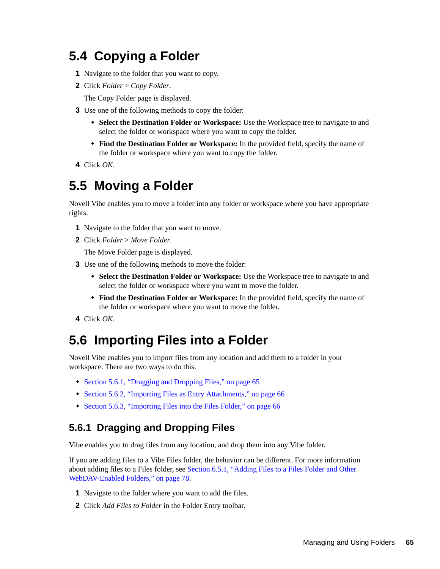# <span id="page-64-0"></span>**5.4 Copying a Folder**

- **1** Navigate to the folder that you want to copy.
- **2** Click *Folder* > *Copy Folder*.

The Copy Folder page is displayed.

- **3** Use one of the following methods to copy the folder:
	- **Select the Destination Folder or Workspace:** Use the Workspace tree to navigate to and select the folder or workspace where you want to copy the folder.
	- **Find the Destination Folder or Workspace:** In the provided field, specify the name of the folder or workspace where you want to copy the folder.
- **4** Click *OK*.

# <span id="page-64-1"></span>**5.5 Moving a Folder**

Novell Vibe enables you to move a folder into any folder or workspace where you have appropriate rights.

- **1** Navigate to the folder that you want to move.
- **2** Click *Folder* > *Move Folder*.

The Move Folder page is displayed.

- **3** Use one of the following methods to move the folder:
	- **Select the Destination Folder or Workspace:** Use the Workspace tree to navigate to and select the folder or workspace where you want to move the folder.
	- **Find the Destination Folder or Workspace:** In the provided field, specify the name of the folder or workspace where you want to move the folder.
- **4** Click *OK*.

## <span id="page-64-2"></span>**5.6 Importing Files into a Folder**

Novell Vibe enables you to import files from any location and add them to a folder in your workspace. There are two ways to do this.

- [Section 5.6.1, "Dragging and Dropping Files," on page 65](#page-64-3)
- [Section 5.6.2, "Importing Files as Entry Attachments," on page 66](#page-65-1)
- [Section 5.6.3, "Importing Files into the Files Folder," on page 66](#page-65-2)

## <span id="page-64-3"></span>**5.6.1 Dragging and Dropping Files**

Vibe enables you to drag files from any location, and drop them into any Vibe folder.

If you are adding files to a Vibe Files folder, the behavior can be different. For more information about adding files to a Files folder, see [Section 6.5.1, "Adding Files to a Files Folder and Other](#page-77-0)  [WebDAV-Enabled Folders," on page 78](#page-77-0).

- **1** Navigate to the folder where you want to add the files.
- **2** Click *Add Files to Folder* in the Folder Entry toolbar.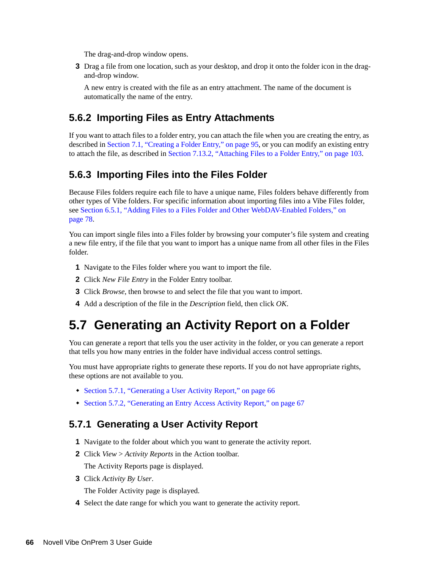The drag-and-drop window opens.

**3** Drag a file from one location, such as your desktop, and drop it onto the folder icon in the dragand-drop window.

A new entry is created with the file as an entry attachment. The name of the document is automatically the name of the entry.

#### <span id="page-65-1"></span>**5.6.2 Importing Files as Entry Attachments**

If you want to attach files to a folder entry, you can attach the file when you are creating the entry, as described in [Section 7.1, "Creating a Folder Entry," on page 95,](#page-94-0) or you can modify an existing entry to attach the file, as described in [Section 7.13.2, "Attaching Files to a Folder Entry," on page 103.](#page-102-0)

## <span id="page-65-2"></span>**5.6.3 Importing Files into the Files Folder**

Because Files folders require each file to have a unique name, Files folders behave differently from other types of Vibe folders. For specific information about importing files into a Vibe Files folder, see [Section 6.5.1, "Adding Files to a Files Folder and Other WebDAV-Enabled Folders," on](#page-77-0)  [page 78.](#page-77-0)

You can import single files into a Files folder by browsing your computer's file system and creating a new file entry, if the file that you want to import has a unique name from all other files in the Files folder.

- **1** Navigate to the Files folder where you want to import the file.
- **2** Click *New File Entry* in the Folder Entry toolbar.
- **3** Click *Browse*, then browse to and select the file that you want to import.
- **4** Add a description of the file in the *Description* field, then click *OK*.

## <span id="page-65-0"></span>**5.7 Generating an Activity Report on a Folder**

You can generate a report that tells you the user activity in the folder, or you can generate a report that tells you how many entries in the folder have individual access control settings.

You must have appropriate rights to generate these reports. If you do not have appropriate rights, these options are not available to you.

- [Section 5.7.1, "Generating a User Activity Report," on page 66](#page-65-3)
- [Section 5.7.2, "Generating an Entry Access Activity Report," on page 67](#page-66-0)

#### <span id="page-65-3"></span>**5.7.1 Generating a User Activity Report**

- **1** Navigate to the folder about which you want to generate the activity report.
- **2** Click *View* > *Activity Reports* in the Action toolbar.

The Activity Reports page is displayed.

**3** Click *Activity By User*.

The Folder Activity page is displayed.

**4** Select the date range for which you want to generate the activity report.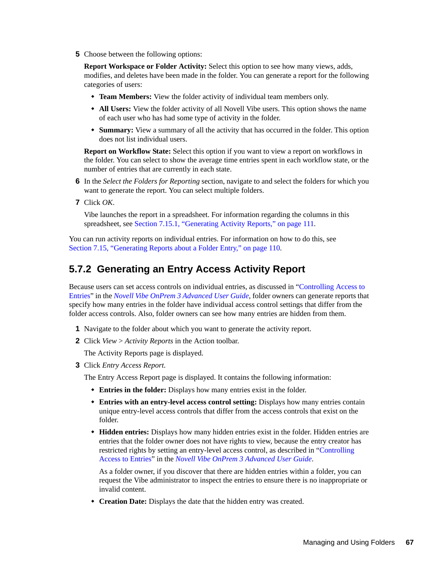**5** Choose between the following options:

**Report Workspace or Folder Activity:** Select this option to see how many views, adds, modifies, and deletes have been made in the folder. You can generate a report for the following categories of users:

- **Team Members:** View the folder activity of individual team members only.
- **All Users:** View the folder activity of all Novell Vibe users. This option shows the name of each user who has had some type of activity in the folder.
- **Summary:** View a summary of all the activity that has occurred in the folder. This option does not list individual users.

**Report on Workflow State:** Select this option if you want to view a report on workflows in the folder. You can select to show the average time entries spent in each workflow state, or the number of entries that are currently in each state.

- **6** In the *Select the Folders for Reporting* section, navigate to and select the folders for which you want to generate the report. You can select multiple folders.
- **7** Click *OK*.

Vibe launches the report in a spreadsheet. For information regarding the columns in this spreadsheet, see [Section 7.15.1, "Generating Activity Reports," on page 111.](#page-110-0)

You can run activity reports on individual entries. For information on how to do this, see [Section 7.15, "Generating Reports about a Folder Entry," on page 110.](#page-109-0)

## <span id="page-66-0"></span>**5.7.2 Generating an Entry Access Activity Report**

Because users can set access controls on individual entries, as discussed in "Controlling Access to Entries" in the *Novell Vibe OnPrem 3 Advanced User Guide*, folder owners can generate reports that specify how many entries in the folder have individual access control settings that differ from the folder access controls. Also, folder owners can see how many entries are hidden from them.

- **1** Navigate to the folder about which you want to generate the activity report.
- **2** Click *View* > *Activity Reports* in the Action toolbar.

The Activity Reports page is displayed.

**3** Click *Entry Access Report*.

The Entry Access Report page is displayed. It contains the following information:

- **Entries in the folder:** Displays how many entries exist in the folder.
- **Entries with an entry-level access control setting:** Displays how many entries contain unique entry-level access controls that differ from the access controls that exist on the folder.
- **Hidden entries:** Displays how many hidden entries exist in the folder. Hidden entries are entries that the folder owner does not have rights to view, because the entry creator has restricted rights by setting an entry-level access control, as described in "Controlling Access to Entries" in the *Novell Vibe OnPrem 3 Advanced User Guide*.

As a folder owner, if you discover that there are hidden entries within a folder, you can request the Vibe administrator to inspect the entries to ensure there is no inappropriate or invalid content.

**Creation Date:** Displays the date that the hidden entry was created.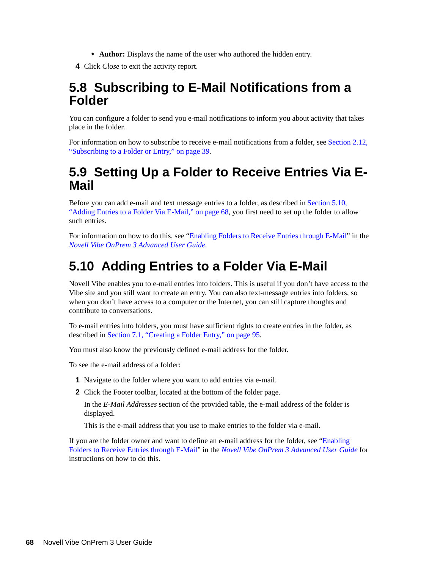- **Author:** Displays the name of the user who authored the hidden entry.
- **4** Click *Close* to exit the activity report.

## <span id="page-67-1"></span>**5.8 Subscribing to E-Mail Notifications from a Folder**

You can configure a folder to send you e-mail notifications to inform you about activity that takes place in the folder.

For information on how to subscribe to receive e-mail notifications from a folder, see [Section 2.12,](#page-38-3)  ["Subscribing to a Folder or Entry," on page 39.](#page-38-3)

## <span id="page-67-2"></span><span id="page-67-0"></span>**5.9 Setting Up a Folder to Receive Entries Via E-Mail**

Before you can add e-mail and text message entries to a folder, as described in [Section 5.10,](#page-67-3)  ["Adding Entries to a Folder Via E-Mail," on page 68](#page-67-3), you first need to set up the folder to allow such entries.

For information on how to do this, see "Enabling Folders to Receive Entries through E-Mail" in the *Novell Vibe OnPrem 3 Advanced User Guide*.

# <span id="page-67-3"></span>**5.10 Adding Entries to a Folder Via E-Mail**

Novell Vibe enables you to e-mail entries into folders. This is useful if you don't have access to the Vibe site and you still want to create an entry. You can also text-message entries into folders, so when you don't have access to a computer or the Internet, you can still capture thoughts and contribute to conversations.

To e-mail entries into folders, you must have sufficient rights to create entries in the folder, as described in [Section 7.1, "Creating a Folder Entry," on page 95.](#page-94-0)

You must also know the previously defined e-mail address for the folder.

To see the e-mail address of a folder:

- **1** Navigate to the folder where you want to add entries via e-mail.
- **2** Click the Footer toolbar, located at the bottom of the folder page.

In the *E-Mail Addresses* section of the provided table, the e-mail address of the folder is displayed.

This is the e-mail address that you use to make entries to the folder via e-mail.

If you are the folder owner and want to define an e-mail address for the folder, see "Enabling Folders to Receive Entries through E-Mail" in the *Novell Vibe OnPrem 3 Advanced User Guide* for instructions on how to do this.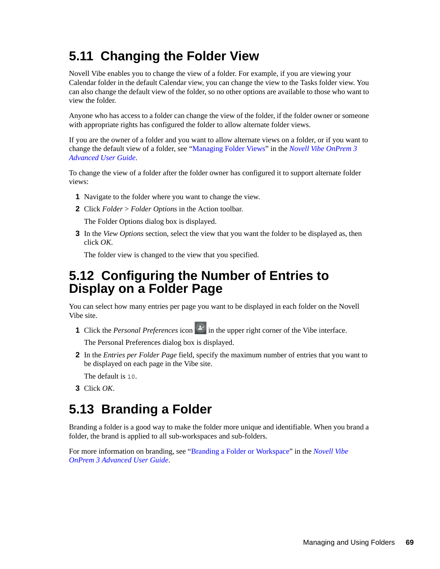# <span id="page-68-0"></span>**5.11 Changing the Folder View**

Novell Vibe enables you to change the view of a folder. For example, if you are viewing your Calendar folder in the default Calendar view, you can change the view to the Tasks folder view. You can also change the default view of the folder, so no other options are available to those who want to view the folder.

Anyone who has access to a folder can change the view of the folder, if the folder owner or someone with appropriate rights has configured the folder to allow alternate folder views.

If you are the owner of a folder and you want to allow alternate views on a folder, or if you want to change the default view of a folder, see "Managing Folder Views" in the *Novell Vibe OnPrem 3 Advanced User Guide*.

To change the view of a folder after the folder owner has configured it to support alternate folder views:

- **1** Navigate to the folder where you want to change the view.
- **2** Click *Folder* > *Folder Options* in the Action toolbar.

The Folder Options dialog box is displayed.

**3** In the *View Options* section, select the view that you want the folder to be displayed as, then click *OK*.

The folder view is changed to the view that you specified.

## <span id="page-68-1"></span>**5.12 Configuring the Number of Entries to Display on a Folder Page**

You can select how many entries per page you want to be displayed in each folder on the Novell Vibe site.

**1** Click the *Personal Preferences* icon  $\mathbf{F}$  in the upper right corner of the Vibe interface.

The Personal Preferences dialog box is displayed.

**2** In the *Entries per Folder Page* field, specify the maximum number of entries that you want to be displayed on each page in the Vibe site.

The default is 10.

**3** Click *OK*.

## <span id="page-68-2"></span>**5.13 Branding a Folder**

Branding a folder is a good way to make the folder more unique and identifiable. When you brand a folder, the brand is applied to all sub-workspaces and sub-folders.

For more information on branding, see "Branding a Folder or Workspace" in the *Novell Vibe OnPrem 3 Advanced User Guide*.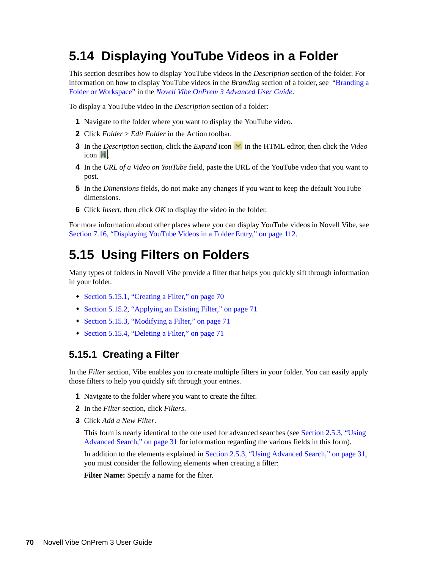# <span id="page-69-1"></span>**5.14 Displaying YouTube Videos in a Folder**

This section describes how to display YouTube videos in the *Description* section of the folder. For information on how to display YouTube videos in the *Branding* section of a folder, see "Branding a Folder or Workspace" in the *Novell Vibe OnPrem 3 Advanced User Guide*.

To display a YouTube video in the *Description* section of a folder:

- **1** Navigate to the folder where you want to display the YouTube video.
- **2** Click *Folder* > *Edit Folder* in the Action toolbar.
- **3** In the *Description* section, click the *Expand* icon **v** in the HTML editor, then click the *Video*  $i$ con  $\blacksquare$ .
- **4** In the *URL of a Video on YouTube* field, paste the URL of the YouTube video that you want to post.
- **5** In the *Dimensions* fields, do not make any changes if you want to keep the default YouTube dimensions.
- **6** Click *Insert*, then click *OK* to display the video in the folder.

For more information about other places where you can display YouTube videos in Novell Vibe, see [Section 7.16, "Displaying YouTube Videos in a Folder Entry," on page 112](#page-111-0).

## <span id="page-69-0"></span>**5.15 Using Filters on Folders**

Many types of folders in Novell Vibe provide a filter that helps you quickly sift through information in your folder.

- [Section 5.15.1, "Creating a Filter," on page 70](#page-69-2)
- [Section 5.15.2, "Applying an Existing Filter," on page 71](#page-70-1)
- [Section 5.15.3, "Modifying a Filter," on page 71](#page-70-2)
- [Section 5.15.4, "Deleting a Filter," on page 71](#page-70-3)

#### <span id="page-69-2"></span>**5.15.1 Creating a Filter**

In the *Filter* section, Vibe enables you to create multiple filters in your folder. You can easily apply those filters to help you quickly sift through your entries.

- **1** Navigate to the folder where you want to create the filter.
- **2** In the *Filter* section, click *Filters*.
- **3** Click *Add a New Filter*.

This form is nearly identical to the one used for advanced searches (see [Section 2.5.3, "Using](#page-30-0)  [Advanced Search," on page 31](#page-30-0) for information regarding the various fields in this form).

In addition to the elements explained in [Section 2.5.3, "Using Advanced Search," on page 31](#page-30-0), you must consider the following elements when creating a filter:

**Filter Name:** Specify a name for the filter.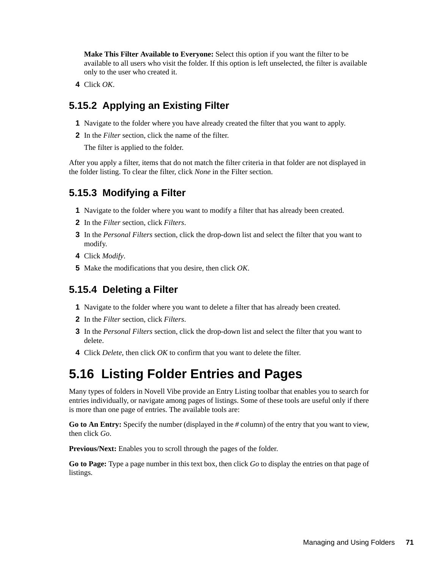**Make This Filter Available to Everyone:** Select this option if you want the filter to be available to all users who visit the folder. If this option is left unselected, the filter is available only to the user who created it.

**4** Click *OK*.

## <span id="page-70-1"></span>**5.15.2 Applying an Existing Filter**

- **1** Navigate to the folder where you have already created the filter that you want to apply.
- **2** In the *Filter* section, click the name of the filter.

The filter is applied to the folder.

After you apply a filter, items that do not match the filter criteria in that folder are not displayed in the folder listing. To clear the filter, click *None* in the Filter section.

## <span id="page-70-2"></span>**5.15.3 Modifying a Filter**

- **1** Navigate to the folder where you want to modify a filter that has already been created.
- **2** In the *Filter* section, click *Filters*.
- **3** In the *Personal Filters* section, click the drop-down list and select the filter that you want to modify.
- **4** Click *Modify*.
- **5** Make the modifications that you desire, then click *OK*.

## <span id="page-70-3"></span>**5.15.4 Deleting a Filter**

- **1** Navigate to the folder where you want to delete a filter that has already been created.
- **2** In the *Filter* section, click *Filters*.
- **3** In the *Personal Filters* section, click the drop-down list and select the filter that you want to delete.
- **4** Click *Delete*, then click *OK* to confirm that you want to delete the filter.

## <span id="page-70-0"></span>**5.16 Listing Folder Entries and Pages**

Many types of folders in Novell Vibe provide an Entry Listing toolbar that enables you to search for entries individually, or navigate among pages of listings. Some of these tools are useful only if there is more than one page of entries. The available tools are:

**Go to An Entry:** Specify the number (displayed in the *#* column) of the entry that you want to view, then click *Go*.

**Previous/Next:** Enables you to scroll through the pages of the folder.

**Go to Page:** Type a page number in this text box, then click *Go* to display the entries on that page of listings.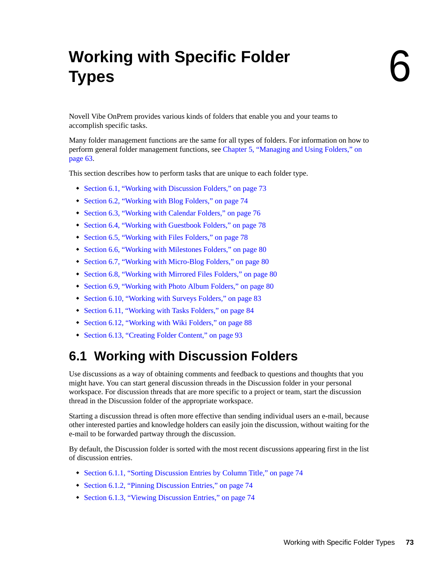# <sup>6</sup>**Working with Specific Folder Types**

Novell Vibe OnPrem provides various kinds of folders that enable you and your teams to accomplish specific tasks.

Many folder management functions are the same for all types of folders. For information on how to perform general folder management functions, see [Chapter 5, "Managing and Using Folders," on](#page-62-0)  [page 63.](#page-62-0)

This section describes how to perform tasks that are unique to each folder type.

- [Section 6.1, "Working with Discussion Folders," on page 73](#page-72-0)
- [Section 6.2, "Working with Blog Folders," on page 74](#page-73-3)
- [Section 6.3, "Working with Calendar Folders," on page 76](#page-75-0)
- [Section 6.4, "Working with Guestbook Folders," on page 78](#page-77-0)
- [Section 6.5, "Working with Files Folders," on page 78](#page-77-1)
- [Section 6.6, "Working with Milestones Folders," on page 80](#page-79-0)
- [Section 6.7, "Working with Micro-Blog Folders," on page 80](#page-79-1)
- [Section 6.8, "Working with Mirrored Files Folders," on page 80](#page-79-3)
- [Section 6.9, "Working with Photo Album Folders," on page 80](#page-79-2)
- [Section 6.10, "Working with Surveys Folders," on page 83](#page-82-0)
- [Section 6.11, "Working with Tasks Folders," on page 84](#page-83-0)
- [Section 6.12, "Working with Wiki Folders," on page 88](#page-87-0)
- [Section 6.13, "Creating Folder Content," on page 93](#page-92-0)

# <span id="page-72-0"></span>**6.1 Working with Discussion Folders**

Use discussions as a way of obtaining comments and feedback to questions and thoughts that you might have. You can start general discussion threads in the Discussion folder in your personal workspace. For discussion threads that are more specific to a project or team, start the discussion thread in the Discussion folder of the appropriate workspace.

Starting a discussion thread is often more effective than sending individual users an e-mail, because other interested parties and knowledge holders can easily join the discussion, without waiting for the e-mail to be forwarded partway through the discussion.

By default, the Discussion folder is sorted with the most recent discussions appearing first in the list of discussion entries.

- [Section 6.1.1, "Sorting Discussion Entries by Column Title," on page 74](#page-73-0)
- [Section 6.1.2, "Pinning Discussion Entries," on page 74](#page-73-1)
- [Section 6.1.3, "Viewing Discussion Entries," on page 74](#page-73-2)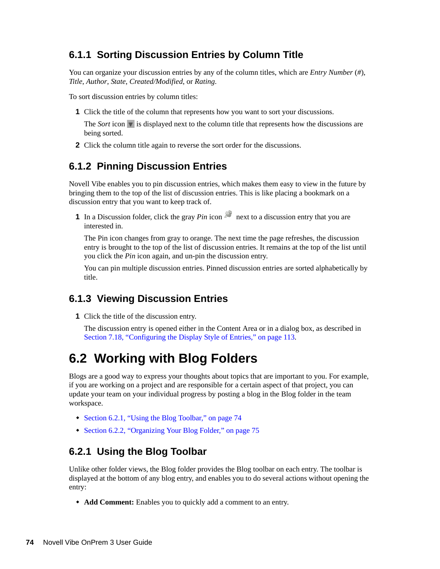## <span id="page-73-0"></span>**6.1.1 Sorting Discussion Entries by Column Title**

You can organize your discussion entries by any of the column titles, which are *Entry Number* (*#*), *Title*, *Author*, *State*, *Created/Modified*, or *Rating*.

To sort discussion entries by column titles:

**1** Click the title of the column that represents how you want to sort your discussions.

The *Sort* icon is displayed next to the column title that represents how the discussions are being sorted.

**2** Click the column title again to reverse the sort order for the discussions.

## <span id="page-73-1"></span>**6.1.2 Pinning Discussion Entries**

Novell Vibe enables you to pin discussion entries, which makes them easy to view in the future by bringing them to the top of the list of discussion entries. This is like placing a bookmark on a discussion entry that you want to keep track of.

**1** In a Discussion folder, click the gray *Pin* icon **next to a discussion entry that you are** interested in.

The Pin icon changes from gray to orange. The next time the page refreshes, the discussion entry is brought to the top of the list of discussion entries. It remains at the top of the list until you click the *Pin* icon again, and un-pin the discussion entry.

You can pin multiple discussion entries. Pinned discussion entries are sorted alphabetically by title.

### <span id="page-73-2"></span>**6.1.3 Viewing Discussion Entries**

**1** Click the title of the discussion entry.

The discussion entry is opened either in the Content Area or in a dialog box, as described in [Section 7.18, "Configuring the Display Style of Entries," on page 113](#page-112-0).

## <span id="page-73-3"></span>**6.2 Working with Blog Folders**

Blogs are a good way to express your thoughts about topics that are important to you. For example, if you are working on a project and are responsible for a certain aspect of that project, you can update your team on your individual progress by posting a blog in the Blog folder in the team workspace.

- [Section 6.2.1, "Using the Blog Toolbar," on page 74](#page-73-4)
- <span id="page-73-5"></span>• [Section 6.2.2, "Organizing Your Blog Folder," on page 75](#page-74-0)

### <span id="page-73-4"></span>**6.2.1 Using the Blog Toolbar**

Unlike other folder views, the Blog folder provides the Blog toolbar on each entry. The toolbar is displayed at the bottom of any blog entry, and enables you to do several actions without opening the entry:

**Add Comment:** Enables you to quickly add a comment to an entry.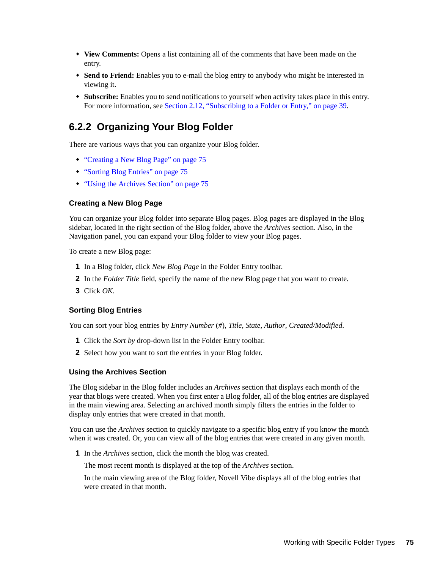- **View Comments:** Opens a list containing all of the comments that have been made on the entry.
- **Send to Friend:** Enables you to e-mail the blog entry to anybody who might be interested in viewing it.
- **Subscribe:** Enables you to send notifications to yourself when activity takes place in this entry. For more information, see [Section 2.12, "Subscribing to a Folder or Entry," on page 39.](#page-38-0)

## <span id="page-74-0"></span>**6.2.2 Organizing Your Blog Folder**

There are various ways that you can organize your Blog folder.

- ["Creating a New Blog Page" on page 75](#page-74-1)
- ["Sorting Blog Entries" on page 75](#page-74-2)
- ["Using the Archives Section" on page 75](#page-74-3)

#### <span id="page-74-1"></span>**Creating a New Blog Page**

You can organize your Blog folder into separate Blog pages. Blog pages are displayed in the Blog sidebar, located in the right section of the Blog folder, above the *Archives* section. Also, in the Navigation panel, you can expand your Blog folder to view your Blog pages.

To create a new Blog page:

- **1** In a Blog folder, click *New Blog Page* in the Folder Entry toolbar.
- **2** In the *Folder Title* field, specify the name of the new Blog page that you want to create.
- **3** Click *OK*.

#### <span id="page-74-2"></span>**Sorting Blog Entries**

You can sort your blog entries by *Entry Number* (*#*), *Title*, *State*, *Author*, *Created/Modified*.

- **1** Click the *Sort by* drop-down list in the Folder Entry toolbar.
- **2** Select how you want to sort the entries in your Blog folder.

#### <span id="page-74-3"></span>**Using the Archives Section**

The Blog sidebar in the Blog folder includes an *Archives* section that displays each month of the year that blogs were created. When you first enter a Blog folder, all of the blog entries are displayed in the main viewing area. Selecting an archived month simply filters the entries in the folder to display only entries that were created in that month.

You can use the *Archives* section to quickly navigate to a specific blog entry if you know the month when it was created. Or, you can view all of the blog entries that were created in any given month.

**1** In the *Archives* section, click the month the blog was created.

The most recent month is displayed at the top of the *Archives* section.

In the main viewing area of the Blog folder, Novell Vibe displays all of the blog entries that were created in that month.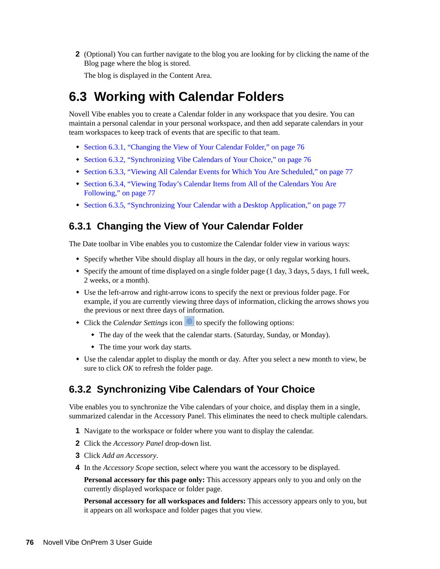**2** (Optional) You can further navigate to the blog you are looking for by clicking the name of the Blog page where the blog is stored.

The blog is displayed in the Content Area.

# <span id="page-75-0"></span>**6.3 Working with Calendar Folders**

Novell Vibe enables you to create a Calendar folder in any workspace that you desire. You can maintain a personal calendar in your personal workspace, and then add separate calendars in your team workspaces to keep track of events that are specific to that team.

- [Section 6.3.1, "Changing the View of Your Calendar Folder," on page 76](#page-75-1)
- [Section 6.3.2, "Synchronizing Vibe Calendars of Your Choice," on page 76](#page-75-2)
- [Section 6.3.3, "Viewing All Calendar Events for Which You Are Scheduled," on page 77](#page-76-0)
- [Section 6.3.4, "Viewing Today's Calendar Items from All of the Calendars You Are](#page-76-1)  [Following," on page 77](#page-76-1)
- [Section 6.3.5, "Synchronizing Your Calendar with a Desktop Application," on page 77](#page-76-2)

### <span id="page-75-1"></span>**6.3.1 Changing the View of Your Calendar Folder**

The Date toolbar in Vibe enables you to customize the Calendar folder view in various ways:

- Specify whether Vibe should display all hours in the day, or only regular working hours.
- $\bullet$  Specify the amount of time displayed on a single folder page (1 day, 3 days, 5 days, 1 full week, 2 weeks, or a month).
- Use the left-arrow and right-arrow icons to specify the next or previous folder page. For example, if you are currently viewing three days of information, clicking the arrows shows you the previous or next three days of information.
- Click the *Calendar Settings* icon **the specify the following options:** 
	- The day of the week that the calendar starts. (Saturday, Sunday, or Monday).
	- The time your work day starts.
- Use the calendar applet to display the month or day. After you select a new month to view, be sure to click *OK* to refresh the folder page.

### <span id="page-75-2"></span>**6.3.2 Synchronizing Vibe Calendars of Your Choice**

Vibe enables you to synchronize the Vibe calendars of your choice, and display them in a single, summarized calendar in the Accessory Panel. This eliminates the need to check multiple calendars.

- **1** Navigate to the workspace or folder where you want to display the calendar.
- **2** Click the *Accessory Panel* drop-down list.
- **3** Click *Add an Accessory*.
- <span id="page-75-3"></span>**4** In the *Accessory Scope* section, select where you want the accessory to be displayed.

**Personal accessory for this page only:** This accessory appears only to you and only on the currently displayed workspace or folder page.

**Personal accessory for all workspaces and folders:** This accessory appears only to you, but it appears on all workspace and folder pages that you view.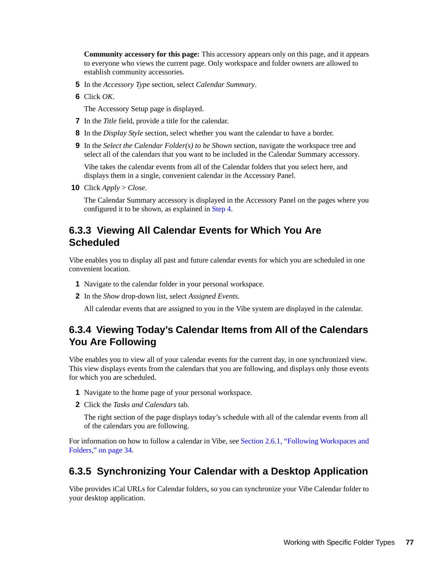**Community accessory for this page:** This accessory appears only on this page, and it appears to everyone who views the current page. Only workspace and folder owners are allowed to establish community accessories.

- **5** In the *Accessory Type* section, select *Calendar Summary*.
- **6** Click *OK*.

The Accessory Setup page is displayed.

- **7** In the *Title* field, provide a title for the calendar.
- **8** In the *Display Style* section, select whether you want the calendar to have a border.
- **9** In the *Select the Calendar Folder(s) to be Shown* section, navigate the workspace tree and select all of the calendars that you want to be included in the Calendar Summary accessory.

Vibe takes the calendar events from all of the Calendar folders that you select here, and displays them in a single, convenient calendar in the Accessory Panel.

**10** Click *Apply* > *Close*.

The Calendar Summary accessory is displayed in the Accessory Panel on the pages where you configured it to be shown, as explained in [Step 4](#page-75-3).

## <span id="page-76-0"></span>**6.3.3 Viewing All Calendar Events for Which You Are Scheduled**

Vibe enables you to display all past and future calendar events for which you are scheduled in one convenient location.

- **1** Navigate to the calendar folder in your personal workspace.
- **2** In the *Show* drop-down list, select *Assigned Events*.

All calendar events that are assigned to you in the Vibe system are displayed in the calendar.

## <span id="page-76-1"></span>**6.3.4 Viewing Today's Calendar Items from All of the Calendars You Are Following**

Vibe enables you to view all of your calendar events for the current day, in one synchronized view. This view displays events from the calendars that you are following, and displays only those events for which you are scheduled.

- **1** Navigate to the home page of your personal workspace.
- **2** Click the *Tasks and Calendars* tab.

The right section of the page displays today's schedule with all of the calendar events from all of the calendars you are following.

For information on how to follow a calendar in Vibe, see [Section 2.6.1, "Following Workspaces and](#page-33-0)  [Folders," on page 34](#page-33-0).

### <span id="page-76-2"></span>**6.3.5 Synchronizing Your Calendar with a Desktop Application**

Vibe provides iCal URLs for Calendar folders, so you can synchronize your Vibe Calendar folder to your desktop application.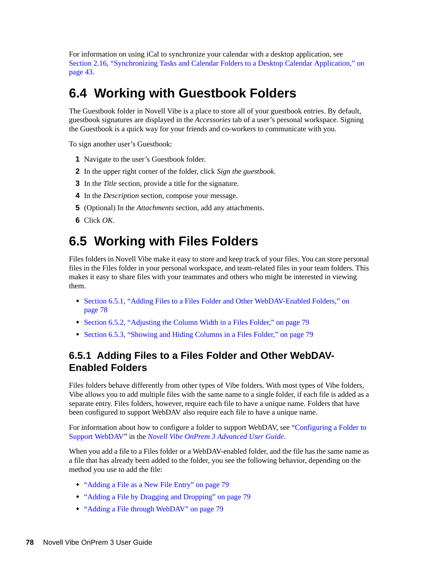For information on using iCal to synchronize your calendar with a desktop application, see [Section 2.16, "Synchronizing Tasks and Calendar Folders to a Desktop Calendar Application," on](#page-42-0)  [page 43.](#page-42-0)

# <span id="page-77-0"></span>**6.4 Working with Guestbook Folders**

The Guestbook folder in Novell Vibe is a place to store all of your guestbook entries. By default, guestbook signatures are displayed in the *Accessories* tab of a user's personal workspace. Signing the Guestbook is a quick way for your friends and co-workers to communicate with you.

To sign another user's Guestbook:

- **1** Navigate to the user's Guestbook folder.
- **2** In the upper right corner of the folder, click *Sign the guestbook*.
- **3** In the *Title* section, provide a title for the signature.
- **4** In the *Description* section, compose your message.
- **5** (Optional) In the *Attachments* section, add any attachments.
- **6** Click *OK*.

# <span id="page-77-1"></span>**6.5 Working with Files Folders**

Files folders in Novell Vibe make it easy to store and keep track of your files. You can store personal files in the Files folder in your personal workspace, and team-related files in your team folders. This makes it easy to share files with your teammates and others who might be interested in viewing them.

- [Section 6.5.1, "Adding Files to a Files Folder and Other WebDAV-Enabled Folders," on](#page-77-2)  [page 78](#page-77-2)
- [Section 6.5.2, "Adjusting the Column Width in a Files Folder," on page 79](#page-78-0)
- <span id="page-77-3"></span>[Section 6.5.3, "Showing and Hiding Columns in a Files Folder," on page 79](#page-78-4)

## <span id="page-77-2"></span>**6.5.1 Adding Files to a Files Folder and Other WebDAV-Enabled Folders**

Files folders behave differently from other types of Vibe folders. With most types of Vibe folders, Vibe allows you to add multiple files with the same name to a single folder, if each file is added as a separate entry. Files folders, however, require each file to have a unique name. Folders that have been configured to support WebDAV also require each file to have a unique name.

For information about how to configure a folder to support WebDAV, see "Configuring a Folder to Support WebDAV" in the *Novell Vibe OnPrem 3 Advanced User Guide*.

When you add a file to a Files folder or a WebDAV-enabled folder, and the file has the same name as a file that has already been added to the folder, you see the following behavior, depending on the method you use to add the file:

- ["Adding a File as a New File Entry" on page 79](#page-78-1)
- ["Adding a File by Dragging and Dropping" on page 79](#page-78-2)
- ["Adding a File through WebDAV" on page 79](#page-78-3)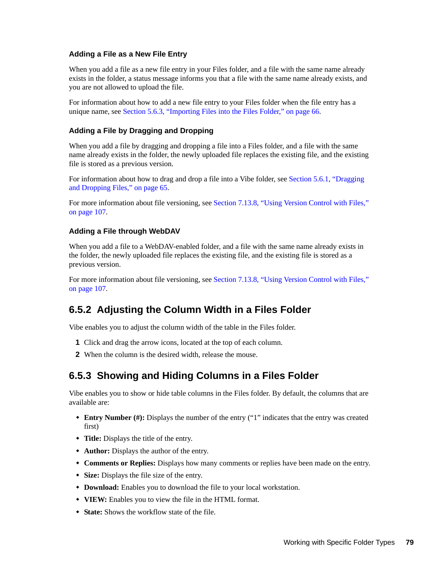#### <span id="page-78-1"></span>**Adding a File as a New File Entry**

When you add a file as a new file entry in your Files folder, and a file with the same name already exists in the folder, a status message informs you that a file with the same name already exists, and you are not allowed to upload the file.

For information about how to add a new file entry to your Files folder when the file entry has a unique name, see [Section 5.6.3, "Importing Files into the Files Folder," on page 66](#page-65-0).

#### <span id="page-78-2"></span>**Adding a File by Dragging and Dropping**

When you add a file by dragging and dropping a file into a Files folder, and a file with the same name already exists in the folder, the newly uploaded file replaces the existing file, and the existing file is stored as a previous version.

For information about how to drag and drop a file into a Vibe folder, see [Section 5.6.1, "Dragging](#page-64-0)  [and Dropping Files," on page 65](#page-64-0).

For more information about file versioning, see [Section 7.13.8, "Using Version Control with Files,"](#page-106-0)  [on page 107](#page-106-0).

#### <span id="page-78-3"></span>**Adding a File through WebDAV**

When you add a file to a WebDAV-enabled folder, and a file with the same name already exists in the folder, the newly uploaded file replaces the existing file, and the existing file is stored as a previous version.

For more information about file versioning, see [Section 7.13.8, "Using Version Control with Files,"](#page-106-0)  [on page 107](#page-106-0).

## <span id="page-78-0"></span>**6.5.2 Adjusting the Column Width in a Files Folder**

Vibe enables you to adjust the column width of the table in the Files folder.

- **1** Click and drag the arrow icons, located at the top of each column.
- **2** When the column is the desired width, release the mouse.

## <span id="page-78-4"></span>**6.5.3 Showing and Hiding Columns in a Files Folder**

Vibe enables you to show or hide table columns in the Files folder. By default, the columns that are available are:

- **Entry Number (#):** Displays the number of the entry ("1" indicates that the entry was created first)
- **Title:** Displays the title of the entry.
- **Author:** Displays the author of the entry.
- **Comments or Replies:** Displays how many comments or replies have been made on the entry.
- **Size:** Displays the file size of the entry.
- **Download:** Enables you to download the file to your local workstation.
- **VIEW:** Enables you to view the file in the HTML format.
- **State:** Shows the workflow state of the file.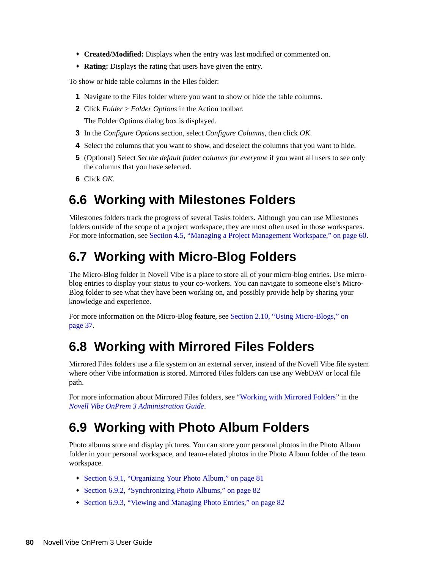- **Created/Modified:** Displays when the entry was last modified or commented on.
- **Rating:** Displays the rating that users have given the entry.

To show or hide table columns in the Files folder:

- **1** Navigate to the Files folder where you want to show or hide the table columns.
- **2** Click *Folder* > *Folder Options* in the Action toolbar.

The Folder Options dialog box is displayed.

- **3** In the *Configure Options* section, select *Configure Columns*, then click *OK*.
- **4** Select the columns that you want to show, and deselect the columns that you want to hide.
- **5** (Optional) Select *Set the default folder columns for everyone* if you want all users to see only the columns that you have selected.
- **6** Click *OK*.

# <span id="page-79-0"></span>**6.6 Working with Milestones Folders**

Milestones folders track the progress of several Tasks folders. Although you can use Milestones folders outside of the scope of a project workspace, they are most often used in those workspaces. For more information, see [Section 4.5, "Managing a Project Management Workspace," on page 60](#page-59-0).

# <span id="page-79-1"></span>**6.7 Working with Micro-Blog Folders**

The Micro-Blog folder in Novell Vibe is a place to store all of your micro-blog entries. Use microblog entries to display your status to your co-workers. You can navigate to someone else's Micro-Blog folder to see what they have been working on, and possibly provide help by sharing your knowledge and experience.

For more information on the Micro-Blog feature, see [Section 2.10, "Using Micro-Blogs," on](#page-36-0)  [page 37.](#page-36-0)

# <span id="page-79-3"></span>**6.8 Working with Mirrored Files Folders**

Mirrored Files folders use a file system on an external server, instead of the Novell Vibe file system where other Vibe information is stored. Mirrored Files folders can use any WebDAV or local file path.

For more information about Mirrored Files folders, see "Working with Mirrored Folders" in the *Novell Vibe OnPrem 3 Administration Guide*.

# <span id="page-79-2"></span>**6.9 Working with Photo Album Folders**

Photo albums store and display pictures. You can store your personal photos in the Photo Album folder in your personal workspace, and team-related photos in the Photo Album folder of the team workspace.

- [Section 6.9.1, "Organizing Your Photo Album," on page 81](#page-80-0)
- [Section 6.9.2, "Synchronizing Photo Albums," on page 82](#page-81-0)
- [Section 6.9.3, "Viewing and Managing Photo Entries," on page 82](#page-81-1)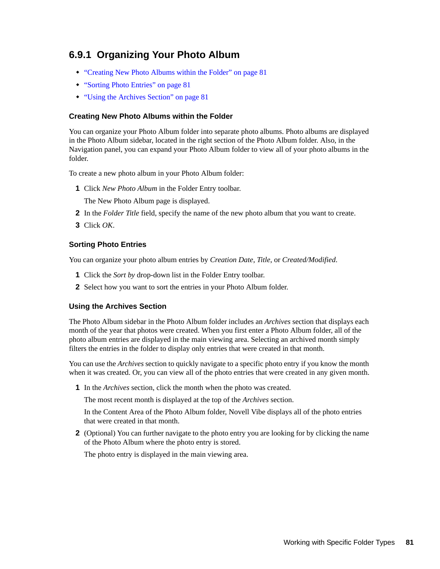## <span id="page-80-0"></span>**6.9.1 Organizing Your Photo Album**

- ["Creating New Photo Albums within the Folder" on page 81](#page-80-1)
- ["Sorting Photo Entries" on page 81](#page-80-2)
- ["Using the Archives Section" on page 81](#page-80-3)

#### <span id="page-80-1"></span>**Creating New Photo Albums within the Folder**

You can organize your Photo Album folder into separate photo albums. Photo albums are displayed in the Photo Album sidebar, located in the right section of the Photo Album folder. Also, in the Navigation panel, you can expand your Photo Album folder to view all of your photo albums in the folder.

To create a new photo album in your Photo Album folder:

- **1** Click *New Photo Album* in the Folder Entry toolbar. The New Photo Album page is displayed.
- **2** In the *Folder Title* field, specify the name of the new photo album that you want to create.
- **3** Click *OK*.

#### <span id="page-80-2"></span>**Sorting Photo Entries**

You can organize your photo album entries by *Creation Date*, *Title*, or *Created/Modified*.

- **1** Click the *Sort by* drop-down list in the Folder Entry toolbar.
- **2** Select how you want to sort the entries in your Photo Album folder.

#### <span id="page-80-3"></span>**Using the Archives Section**

The Photo Album sidebar in the Photo Album folder includes an *Archives* section that displays each month of the year that photos were created. When you first enter a Photo Album folder, all of the photo album entries are displayed in the main viewing area. Selecting an archived month simply filters the entries in the folder to display only entries that were created in that month.

You can use the *Archives* section to quickly navigate to a specific photo entry if you know the month when it was created. Or, you can view all of the photo entries that were created in any given month.

**1** In the *Archives* section, click the month when the photo was created.

The most recent month is displayed at the top of the *Archives* section.

In the Content Area of the Photo Album folder, Novell Vibe displays all of the photo entries that were created in that month.

**2** (Optional) You can further navigate to the photo entry you are looking for by clicking the name of the Photo Album where the photo entry is stored.

The photo entry is displayed in the main viewing area.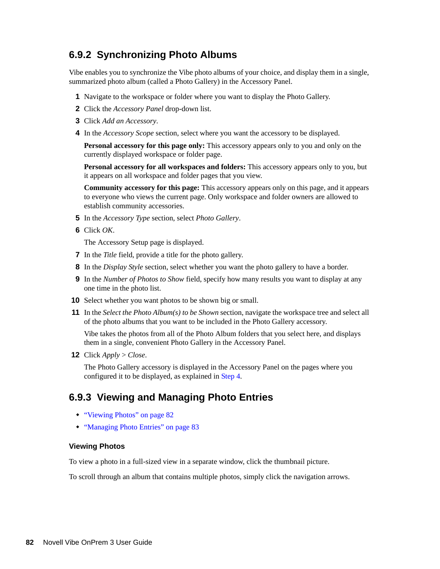## <span id="page-81-0"></span>**6.9.2 Synchronizing Photo Albums**

Vibe enables you to synchronize the Vibe photo albums of your choice, and display them in a single, summarized photo album (called a Photo Gallery) in the Accessory Panel.

- **1** Navigate to the workspace or folder where you want to display the Photo Gallery.
- **2** Click the *Accessory Panel* drop-down list.
- **3** Click *Add an Accessory*.
- <span id="page-81-2"></span>**4** In the *Accessory Scope* section, select where you want the accessory to be displayed.

**Personal accessory for this page only:** This accessory appears only to you and only on the currently displayed workspace or folder page.

**Personal accessory for all workspaces and folders:** This accessory appears only to you, but it appears on all workspace and folder pages that you view.

**Community accessory for this page:** This accessory appears only on this page, and it appears to everyone who views the current page. Only workspace and folder owners are allowed to establish community accessories.

- **5** In the *Accessory Type* section, select *Photo Gallery*.
- **6** Click *OK*.

The Accessory Setup page is displayed.

- **7** In the *Title* field, provide a title for the photo gallery.
- **8** In the *Display Style* section, select whether you want the photo gallery to have a border.
- **9** In the *Number of Photos to Show* field, specify how many results you want to display at any one time in the photo list.
- **10** Select whether you want photos to be shown big or small.
- **11** In the *Select the Photo Album(s) to be Shown* section, navigate the workspace tree and select all of the photo albums that you want to be included in the Photo Gallery accessory.

Vibe takes the photos from all of the Photo Album folders that you select here, and displays them in a single, convenient Photo Gallery in the Accessory Panel.

**12** Click *Apply* > *Close*.

The Photo Gallery accessory is displayed in the Accessory Panel on the pages where you configured it to be displayed, as explained in [Step 4](#page-81-2).

### <span id="page-81-1"></span>**6.9.3 Viewing and Managing Photo Entries**

- ["Viewing Photos" on page 82](#page-81-3)
- ["Managing Photo Entries" on page 83](#page-82-1)

#### <span id="page-81-3"></span>**Viewing Photos**

To view a photo in a full-sized view in a separate window, click the thumbnail picture.

To scroll through an album that contains multiple photos, simply click the navigation arrows.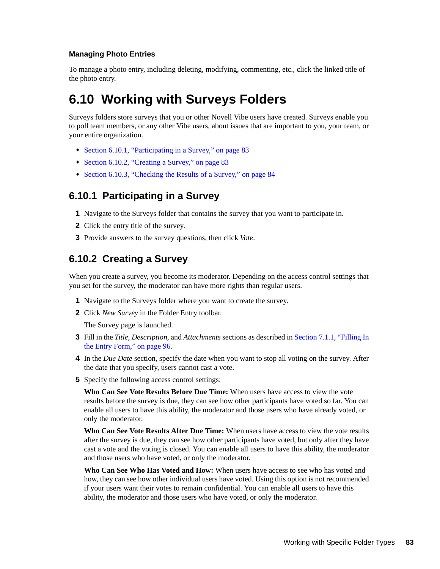#### <span id="page-82-1"></span>**Managing Photo Entries**

To manage a photo entry, including deleting, modifying, commenting, etc., click the linked title of the photo entry.

# <span id="page-82-0"></span>**6.10 Working with Surveys Folders**

Surveys folders store surveys that you or other Novell Vibe users have created. Surveys enable you to poll team members, or any other Vibe users, about issues that are important to you, your team, or your entire organization.

- [Section 6.10.1, "Participating in a Survey," on page 83](#page-82-2)
- [Section 6.10.2, "Creating a Survey," on page 83](#page-82-3)
- [Section 6.10.3, "Checking the Results of a Survey," on page 84](#page-83-1)

## <span id="page-82-2"></span>**6.10.1 Participating in a Survey**

- **1** Navigate to the Surveys folder that contains the survey that you want to participate in.
- **2** Click the entry title of the survey.
- <span id="page-82-4"></span>**3** Provide answers to the survey questions, then click *Vote*.

## <span id="page-82-3"></span>**6.10.2 Creating a Survey**

When you create a survey, you become its moderator. Depending on the access control settings that you set for the survey, the moderator can have more rights than regular users.

- **1** Navigate to the Surveys folder where you want to create the survey.
- **2** Click *New Survey* in the Folder Entry toolbar.

The Survey page is launched.

- **3** Fill in the *Title*, *Description*, and *Attachments* sections as described in [Section 7.1.1, "Filling In](#page-95-0)  [the Entry Form," on page 96](#page-95-0).
- **4** In the *Due Date* section, specify the date when you want to stop all voting on the survey. After the date that you specify, users cannot cast a vote.
- **5** Specify the following access control settings:

**Who Can See Vote Results Before Due Time:** When users have access to view the vote results before the survey is due, they can see how other participants have voted so far. You can enable all users to have this ability, the moderator and those users who have already voted, or only the moderator.

**Who Can See Vote Results After Due Time:** When users have access to view the vote results after the survey is due, they can see how other participants have voted, but only after they have cast a vote and the voting is closed. You can enable all users to have this ability, the moderator and those users who have voted, or only the moderator.

**Who Can See Who Has Voted and How:** When users have access to see who has voted and how, they can see how other individual users have voted. Using this option is not recommended if your users want their votes to remain confidential. You can enable all users to have this ability, the moderator and those users who have voted, or only the moderator.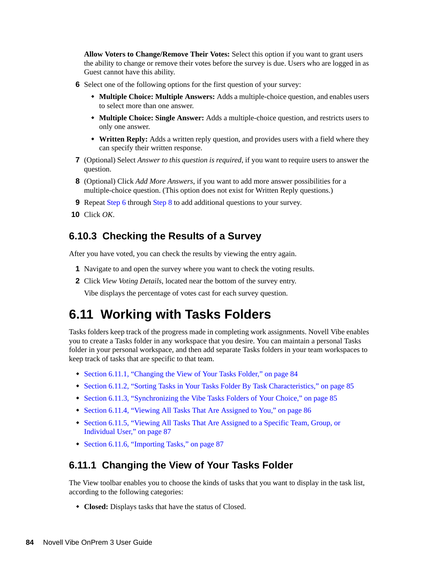**Allow Voters to Change/Remove Their Votes:** Select this option if you want to grant users the ability to change or remove their votes before the survey is due. Users who are logged in as Guest cannot have this ability.

- <span id="page-83-3"></span>**6** Select one of the following options for the first question of your survey:
	- **Multiple Choice: Multiple Answers:** Adds a multiple-choice question, and enables users to select more than one answer.
	- **Multiple Choice: Single Answer:** Adds a multiple-choice question, and restricts users to only one answer.
	- **Written Reply:** Adds a written reply question, and provides users with a field where they can specify their written response.
- **7** (Optional) Select *Answer to this question is required*, if you want to require users to answer the question.
- <span id="page-83-4"></span>**8** (Optional) Click *Add More Answers*, if you want to add more answer possibilities for a multiple-choice question. (This option does not exist for Written Reply questions.)
- **9** Repeat [Step 6](#page-83-3) through [Step 8](#page-83-4) to add additional questions to your survey.
- **10** Click *OK*.

### <span id="page-83-1"></span>**6.10.3 Checking the Results of a Survey**

After you have voted, you can check the results by viewing the entry again.

- **1** Navigate to and open the survey where you want to check the voting results.
- **2** Click *View Voting Details*, located near the bottom of the survey entry.

Vibe displays the percentage of votes cast for each survey question.

## <span id="page-83-0"></span>**6.11 Working with Tasks Folders**

Tasks folders keep track of the progress made in completing work assignments. Novell Vibe enables you to create a Tasks folder in any workspace that you desire. You can maintain a personal Tasks folder in your personal workspace, and then add separate Tasks folders in your team workspaces to keep track of tasks that are specific to that team.

- [Section 6.11.1, "Changing the View of Your Tasks Folder," on page 84](#page-83-2)
- [Section 6.11.2, "Sorting Tasks in Your Tasks Folder By Task Characteristics," on page 85](#page-84-0)
- [Section 6.11.3, "Synchronizing the Vibe Tasks Folders of Your Choice," on page 85](#page-84-1)
- [Section 6.11.4, "Viewing All Tasks That Are Assigned to You," on page 86](#page-85-0)
- [Section 6.11.5, "Viewing All Tasks That Are Assigned to a Specific Team, Group, or](#page-86-0)  [Individual User," on page 87](#page-86-0)
- [Section 6.11.6, "Importing Tasks," on page 87](#page-86-1)

### <span id="page-83-2"></span>**6.11.1 Changing the View of Your Tasks Folder**

The View toolbar enables you to choose the kinds of tasks that you want to display in the task list, according to the following categories:

**Closed:** Displays tasks that have the status of Closed.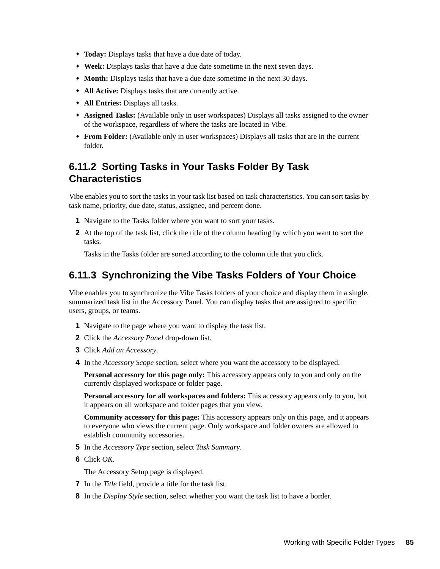- **Today:** Displays tasks that have a due date of today.
- **Week:** Displays tasks that have a due date sometime in the next seven days.
- **Month:** Displays tasks that have a due date sometime in the next 30 days.
- **All Active:** Displays tasks that are currently active.
- **All Entries:** Displays all tasks.
- **Assigned Tasks:** (Available only in user workspaces) Displays all tasks assigned to the owner of the workspace, regardless of where the tasks are located in Vibe.
- **From Folder:** (Available only in user workspaces) Displays all tasks that are in the current folder.

## <span id="page-84-0"></span>**6.11.2 Sorting Tasks in Your Tasks Folder By Task Characteristics**

Vibe enables you to sort the tasks in your task list based on task characteristics. You can sort tasks by task name, priority, due date, status, assignee, and percent done.

- **1** Navigate to the Tasks folder where you want to sort your tasks.
- **2** At the top of the task list, click the title of the column heading by which you want to sort the tasks.

Tasks in the Tasks folder are sorted according to the column title that you click.

## <span id="page-84-1"></span>**6.11.3 Synchronizing the Vibe Tasks Folders of Your Choice**

Vibe enables you to synchronize the Vibe Tasks folders of your choice and display them in a single, summarized task list in the Accessory Panel. You can display tasks that are assigned to specific users, groups, or teams.

- **1** Navigate to the page where you want to display the task list.
- **2** Click the *Accessory Panel* drop-down list.
- **3** Click *Add an Accessory*.
- <span id="page-84-2"></span>**4** In the *Accessory Scope* section, select where you want the accessory to be displayed.

**Personal accessory for this page only:** This accessory appears only to you and only on the currently displayed workspace or folder page.

**Personal accessory for all workspaces and folders:** This accessory appears only to you, but it appears on all workspace and folder pages that you view.

**Community accessory for this page:** This accessory appears only on this page, and it appears to everyone who views the current page. Only workspace and folder owners are allowed to establish community accessories.

- **5** In the *Accessory Type* section, select *Task Summary*.
- **6** Click *OK*.

The Accessory Setup page is displayed.

- **7** In the *Title* field, provide a title for the task list.
- **8** In the *Display Style* section, select whether you want the task list to have a border.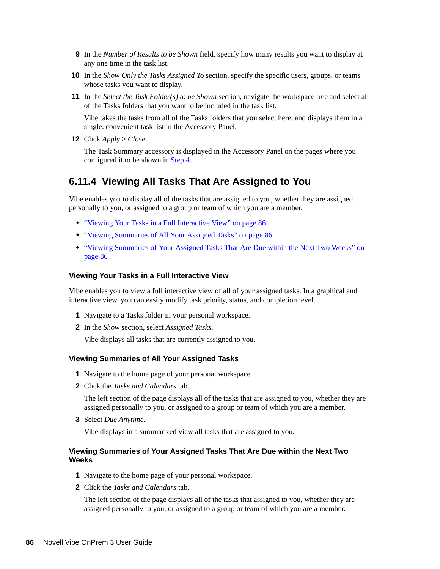- **9** In the *Number of Results to be Shown* field, specify how many results you want to display at any one time in the task list.
- **10** In the *Show Only the Tasks Assigned To* section, specify the specific users, groups, or teams whose tasks you want to display.
- **11** In the *Select the Task Folder(s) to be Shown* section, navigate the workspace tree and select all of the Tasks folders that you want to be included in the task list.

Vibe takes the tasks from all of the Tasks folders that you select here, and displays them in a single, convenient task list in the Accessory Panel.

**12** Click *Apply* > *Close*.

The Task Summary accessory is displayed in the Accessory Panel on the pages where you configured it to be shown in [Step 4](#page-84-2).

### <span id="page-85-0"></span>**6.11.4 Viewing All Tasks That Are Assigned to You**

Vibe enables you to display all of the tasks that are assigned to you, whether they are assigned personally to you, or assigned to a group or team of which you are a member.

- ["Viewing Your Tasks in a Full Interactive View" on page 86](#page-85-1)
- ["Viewing Summaries of All Your Assigned Tasks" on page 86](#page-85-2)
- ["Viewing Summaries of Your Assigned Tasks That Are Due within the Next Two Weeks" on](#page-85-3)  [page 86](#page-85-3)

#### <span id="page-85-1"></span>**Viewing Your Tasks in a Full Interactive View**

Vibe enables you to view a full interactive view of all of your assigned tasks. In a graphical and interactive view, you can easily modify task priority, status, and completion level.

- **1** Navigate to a Tasks folder in your personal workspace.
- **2** In the *Show* section, select *Assigned Tasks*.

Vibe displays all tasks that are currently assigned to you.

#### <span id="page-85-2"></span>**Viewing Summaries of All Your Assigned Tasks**

- **1** Navigate to the home page of your personal workspace.
- **2** Click the *Tasks and Calendars* tab.

The left section of the page displays all of the tasks that are assigned to you, whether they are assigned personally to you, or assigned to a group or team of which you are a member.

**3** Select *Due Anytime*.

Vibe displays in a summarized view all tasks that are assigned to you.

#### <span id="page-85-3"></span>**Viewing Summaries of Your Assigned Tasks That Are Due within the Next Two Weeks**

- **1** Navigate to the home page of your personal workspace.
- **2** Click the *Tasks and Calendars* tab.

The left section of the page displays all of the tasks that assigned to you, whether they are assigned personally to you, or assigned to a group or team of which you are a member.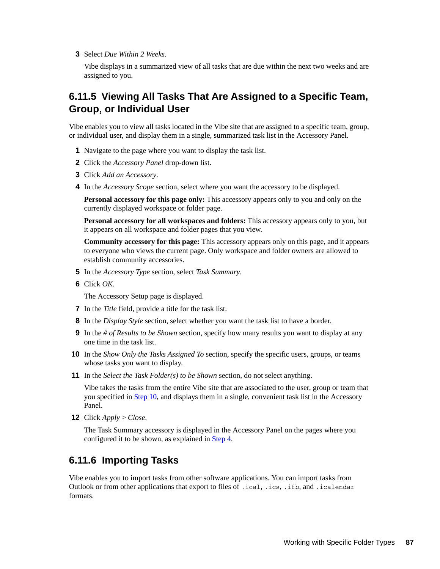**3** Select *Due Within 2 Weeks*.

Vibe displays in a summarized view of all tasks that are due within the next two weeks and are assigned to you.

## <span id="page-86-0"></span>**6.11.5 Viewing All Tasks That Are Assigned to a Specific Team, Group, or Individual User**

Vibe enables you to view all tasks located in the Vibe site that are assigned to a specific team, group, or individual user, and display them in a single, summarized task list in the Accessory Panel.

- **1** Navigate to the page where you want to display the task list.
- **2** Click the *Accessory Panel* drop-down list.
- **3** Click *Add an Accessory*.
- <span id="page-86-2"></span>**4** In the *Accessory Scope* section, select where you want the accessory to be displayed.

**Personal accessory for this page only:** This accessory appears only to you and only on the currently displayed workspace or folder page.

**Personal accessory for all workspaces and folders:** This accessory appears only to you, but it appears on all workspace and folder pages that you view.

**Community accessory for this page:** This accessory appears only on this page, and it appears to everyone who views the current page. Only workspace and folder owners are allowed to establish community accessories.

- **5** In the *Accessory Type* section, select *Task Summary*.
- **6** Click *OK*.

The Accessory Setup page is displayed.

- **7** In the *Title* field, provide a title for the task list.
- **8** In the *Display Style* section, select whether you want the task list to have a border.
- **9** In the *# of Results to be Shown* section, specify how many results you want to display at any one time in the task list.
- <span id="page-86-3"></span>**10** In the *Show Only the Tasks Assigned To* section, specify the specific users, groups, or teams whose tasks you want to display.
- **11** In the *Select the Task Folder(s) to be Shown* section, do not select anything.

Vibe takes the tasks from the entire Vibe site that are associated to the user, group or team that you specified in [Step 10](#page-86-3), and displays them in a single, convenient task list in the Accessory Panel.

**12** Click *Apply* > *Close*.

The Task Summary accessory is displayed in the Accessory Panel on the pages where you configured it to be shown, as explained in [Step 4](#page-86-2).

## <span id="page-86-1"></span>**6.11.6 Importing Tasks**

Vibe enables you to import tasks from other software applications. You can import tasks from Outlook or from other applications that export to files of .ical, .ics, .ifb, and .icalendar formats.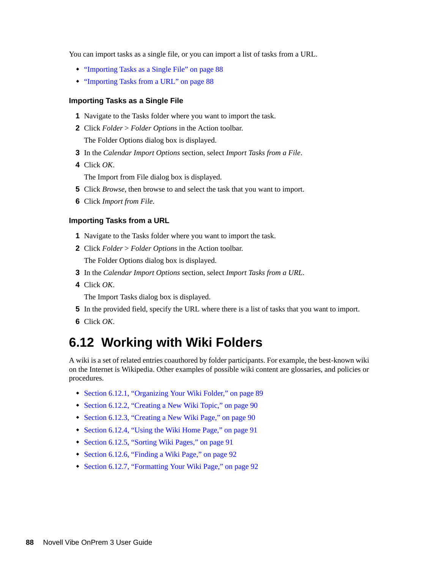You can import tasks as a single file, or you can import a list of tasks from a URL.

- ["Importing Tasks as a Single File" on page 88](#page-87-1)
- ["Importing Tasks from a URL" on page 88](#page-87-2)

#### <span id="page-87-1"></span>**Importing Tasks as a Single File**

- **1** Navigate to the Tasks folder where you want to import the task.
- **2** Click *Folder* > *Folder Options* in the Action toolbar. The Folder Options dialog box is displayed.
- **3** In the *Calendar Import Options* section, select *Import Tasks from a File*.
- **4** Click *OK*.

The Import from File dialog box is displayed.

- **5** Click *Browse*, then browse to and select the task that you want to import.
- **6** Click *Import from File*.

#### <span id="page-87-2"></span>**Importing Tasks from a URL**

- **1** Navigate to the Tasks folder where you want to import the task.
- **2** Click *Folder* > *Folder Options* in the Action toolbar. The Folder Options dialog box is displayed.
- **3** In the *Calendar Import Options* section, select *Import Tasks from a URL*.
- **4** Click *OK*.

The Import Tasks dialog box is displayed.

- **5** In the provided field, specify the URL where there is a list of tasks that you want to import.
- **6** Click *OK*.

## <span id="page-87-0"></span>**6.12 Working with Wiki Folders**

A wiki is a set of related entries coauthored by folder participants. For example, the best-known wiki on the Internet is Wikipedia. Other examples of possible wiki content are glossaries, and policies or procedures.

- [Section 6.12.1, "Organizing Your Wiki Folder," on page 89](#page-88-0)
- [Section 6.12.2, "Creating a New Wiki Topic," on page 90](#page-89-0)
- [Section 6.12.3, "Creating a New Wiki Page," on page 90](#page-89-1)
- [Section 6.12.4, "Using the Wiki Home Page," on page 91](#page-90-0)
- [Section 6.12.5, "Sorting Wiki Pages," on page 91](#page-90-1)
- [Section 6.12.6, "Finding a Wiki Page," on page 92](#page-91-0)
- [Section 6.12.7, "Formatting Your Wiki Page," on page 92](#page-91-1)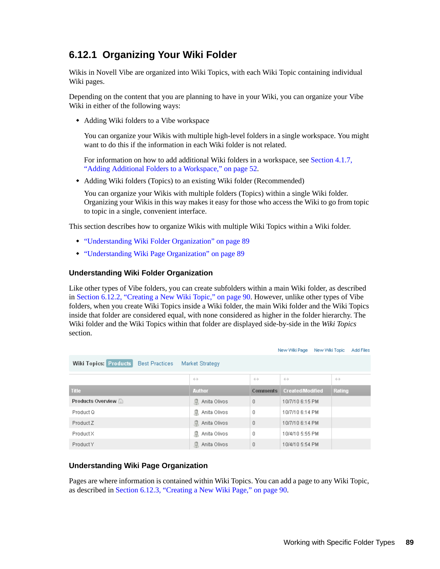## <span id="page-88-0"></span>**6.12.1 Organizing Your Wiki Folder**

Wikis in Novell Vibe are organized into Wiki Topics, with each Wiki Topic containing individual Wiki pages.

Depending on the content that you are planning to have in your Wiki, you can organize your Vibe Wiki in either of the following ways:

Adding Wiki folders to a Vibe workspace

You can organize your Wikis with multiple high-level folders in a single workspace. You might want to do this if the information in each Wiki folder is not related.

For information on how to add additional Wiki folders in a workspace, see [Section 4.1.7,](#page-51-0)  ["Adding Additional Folders to a Workspace," on page 52.](#page-51-0)

Adding Wiki folders (Topics) to an existing Wiki folder (Recommended)

You can organize your Wikis with multiple folders (Topics) within a single Wiki folder. Organizing your Wikis in this way makes it easy for those who access the Wiki to go from topic to topic in a single, convenient interface.

This section describes how to organize Wikis with multiple Wiki Topics within a Wiki folder.

- ["Understanding Wiki Folder Organization" on page 89](#page-88-1)
- ["Understanding Wiki Page Organization" on page 89](#page-88-2)

#### <span id="page-88-1"></span>**Understanding Wiki Folder Organization**

Like other types of Vibe folders, you can create subfolders within a main Wiki folder, as described in [Section 6.12.2, "Creating a New Wiki Topic," on page 90.](#page-89-0) However, unlike other types of Vibe folders, when you create Wiki Topics inside a Wiki folder, the main Wiki folder and the Wiki Topics inside that folder are considered equal, with none considered as higher in the folder hierarchy. The Wiki folder and the Wiki Topics within that folder are displayed side-by-side in the *Wiki Topics* section.

|                                                                          |                   |                   | New Wiki Page<br>New Wiki Topic | Add Files         |  |
|--------------------------------------------------------------------------|-------------------|-------------------|---------------------------------|-------------------|--|
| <b>Wiki Topics: Products</b><br><b>Best Practices</b><br>Market Strategy |                   |                   |                                 |                   |  |
|                                                                          | $\leftrightarrow$ | $\leftrightarrow$ | $\leftrightarrow$               | $\leftrightarrow$ |  |
| <b>Title</b>                                                             | <b>Author</b>     | <b>Comments</b>   | <b>Created/Modified</b>         | Rating            |  |
| Products Overview                                                        | Anita Olivos<br>息 | 0                 | 10/7/10 6:15 PM                 |                   |  |
| Product Q                                                                | Anita Olivos<br>息 | 0                 | 10/7/10 6:14 PM                 |                   |  |
| Product Z                                                                | Anita Olivos<br>凬 | 0                 | 10/7/10 6:14 PM                 |                   |  |
| Product X                                                                | 瓜<br>Anita Olivos | 0                 | 10/4/10 5:55 PM                 |                   |  |
| Product Y                                                                | Anita Olivos<br>息 | 0                 | 10/4/10 5:54 PM                 |                   |  |

#### <span id="page-88-2"></span>**Understanding Wiki Page Organization**

Pages are where information is contained within Wiki Topics. You can add a page to any Wiki Topic, as described in [Section 6.12.3, "Creating a New Wiki Page," on page 90](#page-89-1).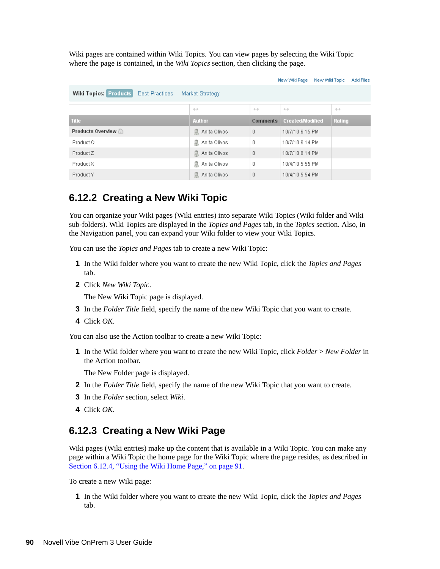Wiki pages are contained within Wiki Topics. You can view pages by selecting the Wiki Topic where the page is contained, in the *Wiki Topics* section, then clicking the page.

|                                                                          |                   |                   | New Wiki Page<br>New Wiki Topic | Add Files         |
|--------------------------------------------------------------------------|-------------------|-------------------|---------------------------------|-------------------|
| <b>Wiki Topics: Products</b><br><b>Best Practices</b><br>Market Strategy |                   |                   |                                 |                   |
|                                                                          | $\leftrightarrow$ | $\leftrightarrow$ | $\leftrightarrow$               | $\leftrightarrow$ |
| <b>Title</b>                                                             | <b>Author</b>     | <b>Comments</b>   | <b>Created/Modified</b>         | Rating            |
| Products Overview                                                        | Anita Olivos<br>息 | 0                 | 10/7/10 6:15 PM                 |                   |
| Product Q                                                                | Anita Olivos<br>息 | 0                 | 10/7/10 6:14 PM                 |                   |
| Product Z                                                                | Anita Olivos<br>息 | $\mathbf 0$       | 10/7/10 6:14 PM                 |                   |
| Product X                                                                | Anita Olivos<br>息 | 0                 | 10/4/10 5:55 PM                 |                   |
| Product Y                                                                | Anita Olivos<br>息 | $\overline{0}$    | 10/4/10 5:54 PM                 |                   |

## <span id="page-89-0"></span>**6.12.2 Creating a New Wiki Topic**

You can organize your Wiki pages (Wiki entries) into separate Wiki Topics (Wiki folder and Wiki sub-folders). Wiki Topics are displayed in the *Topics and Pages* tab, in the *Topics* section. Also, in the Navigation panel, you can expand your Wiki folder to view your Wiki Topics.

You can use the *Topics and Pages* tab to create a new Wiki Topic:

- **1** In the Wiki folder where you want to create the new Wiki Topic, click the *Topics and Pages* tab.
- **2** Click *New Wiki Topic*.

The New Wiki Topic page is displayed.

- **3** In the *Folder Title* field, specify the name of the new Wiki Topic that you want to create.
- **4** Click *OK*.

You can also use the Action toolbar to create a new Wiki Topic:

**1** In the Wiki folder where you want to create the new Wiki Topic, click *Folder* > *New Folder* in the Action toolbar.

The New Folder page is displayed.

- **2** In the *Folder Title* field, specify the name of the new Wiki Topic that you want to create.
- **3** In the *Folder* section, select *Wiki*.
- **4** Click *OK*.

### <span id="page-89-1"></span>**6.12.3 Creating a New Wiki Page**

Wiki pages (Wiki entries) make up the content that is available in a Wiki Topic. You can make any page within a Wiki Topic the home page for the Wiki Topic where the page resides, as described in [Section 6.12.4, "Using the Wiki Home Page," on page 91](#page-90-0).

To create a new Wiki page:

**1** In the Wiki folder where you want to create the new Wiki Topic, click the *Topics and Pages* tab.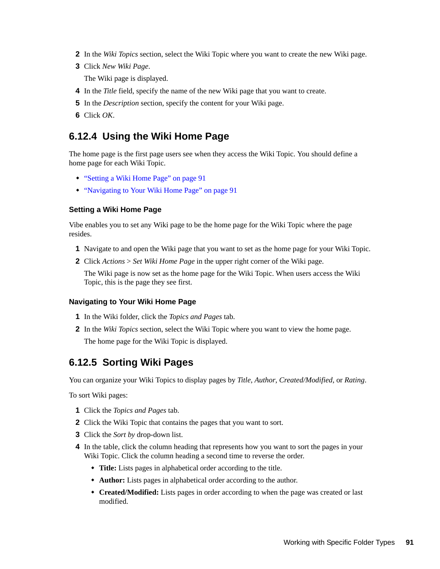- **2** In the *Wiki Topics* section, select the Wiki Topic where you want to create the new Wiki page.
- **3** Click *New Wiki Page*.

The Wiki page is displayed.

- **4** In the *Title* field, specify the name of the new Wiki page that you want to create.
- **5** In the *Description* section, specify the content for your Wiki page.
- **6** Click *OK*.

## <span id="page-90-0"></span>**6.12.4 Using the Wiki Home Page**

The home page is the first page users see when they access the Wiki Topic. You should define a home page for each Wiki Topic.

- ["Setting a Wiki Home Page" on page 91](#page-90-2)
- ["Navigating to Your Wiki Home Page" on page 91](#page-90-3)

#### <span id="page-90-2"></span>**Setting a Wiki Home Page**

Vibe enables you to set any Wiki page to be the home page for the Wiki Topic where the page resides.

- **1** Navigate to and open the Wiki page that you want to set as the home page for your Wiki Topic.
- **2** Click *Actions* > *Set Wiki Home Page* in the upper right corner of the Wiki page.

The Wiki page is now set as the home page for the Wiki Topic. When users access the Wiki Topic, this is the page they see first.

#### <span id="page-90-3"></span>**Navigating to Your Wiki Home Page**

- **1** In the Wiki folder, click the *Topics and Pages* tab.
- **2** In the *Wiki Topics* section, select the Wiki Topic where you want to view the home page. The home page for the Wiki Topic is displayed.

## <span id="page-90-1"></span>**6.12.5 Sorting Wiki Pages**

You can organize your Wiki Topics to display pages by *Title*, *Author*, *Created/Modified*, or *Rating*.

To sort Wiki pages:

- **1** Click the *Topics and Pages* tab.
- **2** Click the Wiki Topic that contains the pages that you want to sort.
- **3** Click the *Sort by* drop-down list.
- **4** In the table, click the column heading that represents how you want to sort the pages in your Wiki Topic. Click the column heading a second time to reverse the order.
	- **Title:** Lists pages in alphabetical order according to the title.
	- **Author:** Lists pages in alphabetical order according to the author.
	- **Created/Modified:** Lists pages in order according to when the page was created or last modified.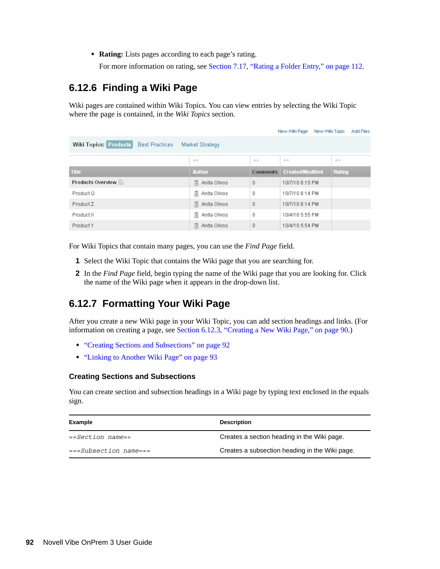**Rating:** Lists pages according to each page's rating.

For more information on rating, see [Section 7.17, "Rating a Folder Entry," on page 112](#page-111-0).

## <span id="page-91-0"></span>**6.12.6 Finding a Wiki Page**

Wiki pages are contained within Wiki Topics. You can view entries by selecting the Wiki Topic where the page is contained, in the *Wiki Topics* section.

|                                                                          |                   |                   | New Wiki Page<br>New Wiki Topic | Add Files         |  |
|--------------------------------------------------------------------------|-------------------|-------------------|---------------------------------|-------------------|--|
| <b>Wiki Topics: Products</b><br><b>Best Practices</b><br>Market Strategy |                   |                   |                                 |                   |  |
|                                                                          | $\leftrightarrow$ | $\leftrightarrow$ | $\leftrightarrow$               | $\leftrightarrow$ |  |
| <b>Title</b>                                                             | <b>Author</b>     | <b>Comments</b>   | <b>Created/Modified</b>         | Rating            |  |
| Products Overview                                                        | Anita Olivos<br>息 | $\theta$          | 10/7/10 6:15 PM                 |                   |  |
| Product Q                                                                | Anita Olivos<br>息 | 0                 | 10/7/10 6:14 PM                 |                   |  |
| Product Z                                                                | Anita Olivos<br>息 | $\theta$          | 10/7/10 6:14 PM                 |                   |  |
| Product X                                                                | Anita Olivos<br>息 | 0                 | 10/4/10 5:55 PM                 |                   |  |
| Product Y                                                                | Anita Olivos<br>臮 | $\theta$          | 10/4/10 5:54 PM                 |                   |  |

For Wiki Topics that contain many pages, you can use the *Find Page* field.

- **1** Select the Wiki Topic that contains the Wiki page that you are searching for.
- **2** In the *Find Page* field, begin typing the name of the Wiki page that you are looking for. Click the name of the Wiki page when it appears in the drop-down list.

## <span id="page-91-1"></span>**6.12.7 Formatting Your Wiki Page**

After you create a new Wiki page in your Wiki Topic, you can add section headings and links. (For information on creating a page, see [Section 6.12.3, "Creating a New Wiki Page," on page 90](#page-89-1).)

- ["Creating Sections and Subsections" on page 92](#page-91-2)
- ["Linking to Another Wiki Page" on page 93](#page-92-1)

#### <span id="page-91-2"></span>**Creating Sections and Subsections**

You can create section and subsection headings in a Wiki page by typing text enclosed in the equals sign.

| Example                | <b>Description</b>                             |
|------------------------|------------------------------------------------|
| $==Section$ name==     | Creates a section heading in the Wiki page.    |
| $==Subsection name ==$ | Creates a subsection heading in the Wiki page. |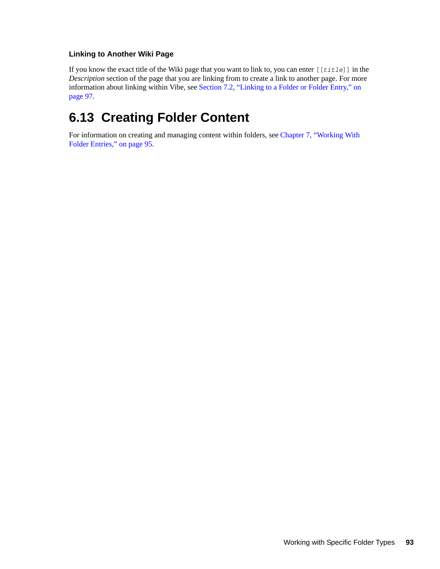#### <span id="page-92-1"></span>**Linking to Another Wiki Page**

If you know the exact title of the Wiki page that you want to link to, you can enter [[*title*]] in the *Description* section of the page that you are linking from to create a link to another page. For more information about linking within Vibe, see [Section 7.2, "Linking to a Folder or Folder Entry," on](#page-96-0)  [page 97.](#page-96-0)

# <span id="page-92-0"></span>**6.13 Creating Folder Content**

For information on creating and managing content within folders, see [Chapter 7, "Working With](#page-94-0)  [Folder Entries," on page 95.](#page-94-0)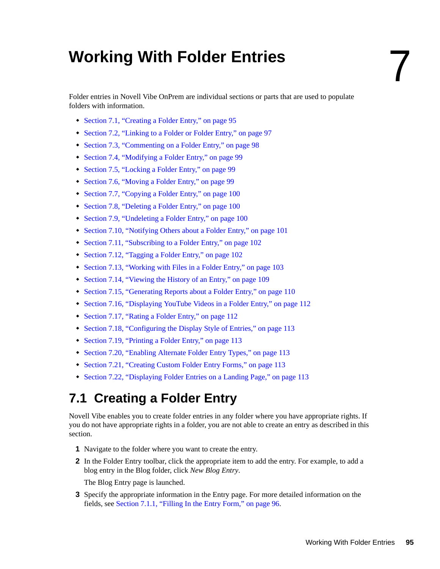# <span id="page-94-0"></span><sup>7</sup>**Working With Folder Entries**

Folder entries in Novell Vibe OnPrem are individual sections or parts that are used to populate folders with information.

- [Section 7.1, "Creating a Folder Entry," on page 95](#page-94-1)
- [Section 7.2, "Linking to a Folder or Folder Entry," on page 97](#page-96-1)
- [Section 7.3, "Commenting on a Folder Entry," on page 98](#page-97-0)
- [Section 7.4, "Modifying a Folder Entry," on page 99](#page-98-0)
- [Section 7.5, "Locking a Folder Entry," on page 99](#page-98-1)
- [Section 7.6, "Moving a Folder Entry," on page 99](#page-98-2)
- [Section 7.7, "Copying a Folder Entry," on page 100](#page-99-0)
- [Section 7.8, "Deleting a Folder Entry," on page 100](#page-99-1)
- [Section 7.9, "Undeleting a Folder Entry," on page 100](#page-99-2)
- [Section 7.10, "Notifying Others about a Folder Entry," on page 101](#page-100-0)
- [Section 7.11, "Subscribing to a Folder Entry," on page 102](#page-101-0)
- [Section 7.12, "Tagging a Folder Entry," on page 102](#page-101-1)
- [Section 7.13, "Working with Files in a Folder Entry," on page 103](#page-102-0)
- [Section 7.14, "Viewing the History of an Entry," on page 109](#page-108-0)
- [Section 7.15, "Generating Reports about a Folder Entry," on page 110](#page-109-0)
- [Section 7.16, "Displaying YouTube Videos in a Folder Entry," on page 112](#page-111-1)
- [Section 7.17, "Rating a Folder Entry," on page 112](#page-111-2)
- [Section 7.18, "Configuring the Display Style of Entries," on page 113](#page-112-4)
- [Section 7.19, "Printing a Folder Entry," on page 113](#page-112-5)
- [Section 7.20, "Enabling Alternate Folder Entry Types," on page 113](#page-112-1)
- [Section 7.21, "Creating Custom Folder Entry Forms," on page 113](#page-112-2)
- [Section 7.22, "Displaying Folder Entries on a Landing Page," on page 113](#page-112-3)

## <span id="page-94-1"></span>**7.1 Creating a Folder Entry**

Novell Vibe enables you to create folder entries in any folder where you have appropriate rights. If you do not have appropriate rights in a folder, you are not able to create an entry as described in this section.

- **1** Navigate to the folder where you want to create the entry.
- **2** In the Folder Entry toolbar, click the appropriate item to add the entry. For example, to add a blog entry in the Blog folder, click *New Blog Entry*.

The Blog Entry page is launched.

**3** Specify the appropriate information in the Entry page. For more detailed information on the fields, see [Section 7.1.1, "Filling In the Entry Form," on page 96.](#page-95-1)

7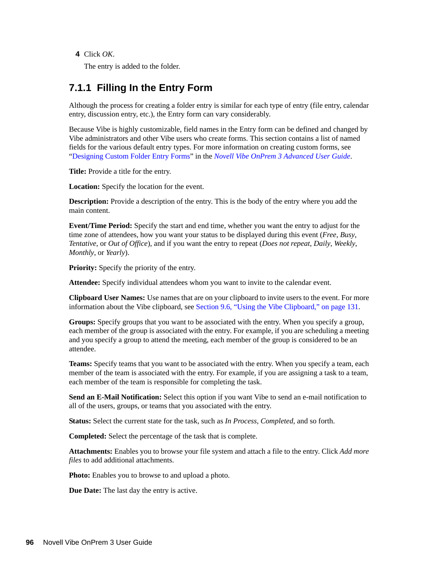**4** Click *OK*.

<span id="page-95-0"></span>The entry is added to the folder.

### <span id="page-95-1"></span>**7.1.1 Filling In the Entry Form**

Although the process for creating a folder entry is similar for each type of entry (file entry, calendar entry, discussion entry, etc.), the Entry form can vary considerably.

Because Vibe is highly customizable, field names in the Entry form can be defined and changed by Vibe administrators and other Vibe users who create forms. This section contains a list of named fields for the various default entry types. For more information on creating custom forms, see "Designing Custom Folder Entry Forms" in the *Novell Vibe OnPrem 3 Advanced User Guide*.

**Title:** Provide a title for the entry.

**Location:** Specify the location for the event.

**Description:** Provide a description of the entry. This is the body of the entry where you add the main content.

**Event/Time Period:** Specify the start and end time, whether you want the entry to adjust for the time zone of attendees, how you want your status to be displayed during this event (*Free*, *Busy*, *Tentative*, or *Out of Office*), and if you want the entry to repeat (*Does not repeat*, *Daily*, *Weekly*, *Monthly*, or *Yearly*).

**Priority:** Specify the priority of the entry.

**Attendee:** Specify individual attendees whom you want to invite to the calendar event.

**Clipboard User Names:** Use names that are on your clipboard to invite users to the event. For more information about the Vibe clipboard, see [Section 9.6, "Using the Vibe Clipboard," on page 131.](#page-130-0)

**Groups:** Specify groups that you want to be associated with the entry. When you specify a group, each member of the group is associated with the entry. For example, if you are scheduling a meeting and you specify a group to attend the meeting, each member of the group is considered to be an attendee.

**Teams:** Specify teams that you want to be associated with the entry. When you specify a team, each member of the team is associated with the entry. For example, if you are assigning a task to a team, each member of the team is responsible for completing the task.

**Send an E-Mail Notification:** Select this option if you want Vibe to send an e-mail notification to all of the users, groups, or teams that you associated with the entry.

**Status:** Select the current state for the task, such as *In Process*, *Completed*, and so forth.

**Completed:** Select the percentage of the task that is complete.

**Attachments:** Enables you to browse your file system and attach a file to the entry. Click *Add more files* to add additional attachments.

**Photo:** Enables you to browse to and upload a photo.

**Due Date:** The last day the entry is active.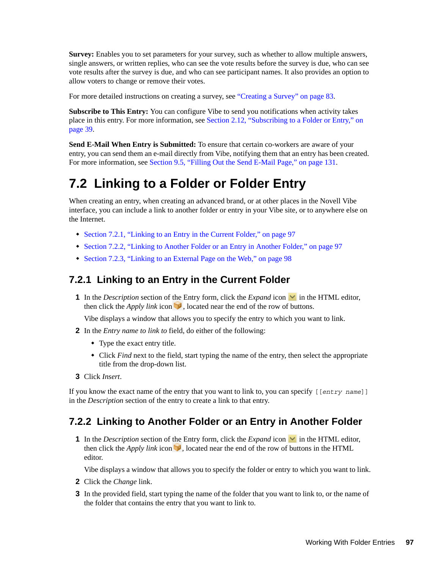**Survey:** Enables you to set parameters for your survey, such as whether to allow multiple answers, single answers, or written replies, who can see the vote results before the survey is due, who can see vote results after the survey is due, and who can see participant names. It also provides an option to allow voters to change or remove their votes.

For more detailed instructions on creating a survey, see ["Creating a Survey" on page 83](#page-82-4).

**Subscribe to This Entry:** You can configure Vibe to send you notifications when activity takes place in this entry. For more information, see [Section 2.12, "Subscribing to a Folder or Entry," on](#page-38-0)  [page 39.](#page-38-0)

**Send E-Mail When Entry is Submitted:** To ensure that certain co-workers are aware of your entry, you can send them an e-mail directly from Vibe, notifying them that an entry has been created. For more information, see [Section 9.5, "Filling Out the Send E-Mail Page," on page 131.](#page-130-1)

# <span id="page-96-1"></span><span id="page-96-0"></span>**7.2 Linking to a Folder or Folder Entry**

When creating an entry, when creating an advanced brand, or at other places in the Novell Vibe interface, you can include a link to another folder or entry in your Vibe site, or to anywhere else on the Internet.

- [Section 7.2.1, "Linking to an Entry in the Current Folder," on page 97](#page-96-2)
- [Section 7.2.2, "Linking to Another Folder or an Entry in Another Folder," on page 97](#page-96-3)
- [Section 7.2.3, "Linking to an External Page on the Web," on page 98](#page-97-1)

### <span id="page-96-2"></span>**7.2.1 Linking to an Entry in the Current Folder**

**1** In the *Description* section of the Entry form, click the *Expand* icon  $\blacksquare$  in the HTML editor, then click the *Apply link* icon , located near the end of the row of buttons.

Vibe displays a window that allows you to specify the entry to which you want to link.

- **2** In the *Entry name to link to* field, do either of the following:
	- Type the exact entry title.
	- Click *Find* next to the field, start typing the name of the entry, then select the appropriate title from the drop-down list.
- **3** Click *Insert*.

If you know the exact name of the entry that you want to link to, you can specify [[*entry name*]] in the *Description* section of the entry to create a link to that entry.

## <span id="page-96-3"></span>**7.2.2 Linking to Another Folder or an Entry in Another Folder**

**1** In the *Description* section of the Entry form, click the *Expand* icon  $\vee$  in the HTML editor, then click the *Apply link* icon  $\blacksquare$ , located near the end of the row of buttons in the HTML editor.

Vibe displays a window that allows you to specify the folder or entry to which you want to link.

- **2** Click the *Change* link.
- **3** In the provided field, start typing the name of the folder that you want to link to, or the name of the folder that contains the entry that you want to link to.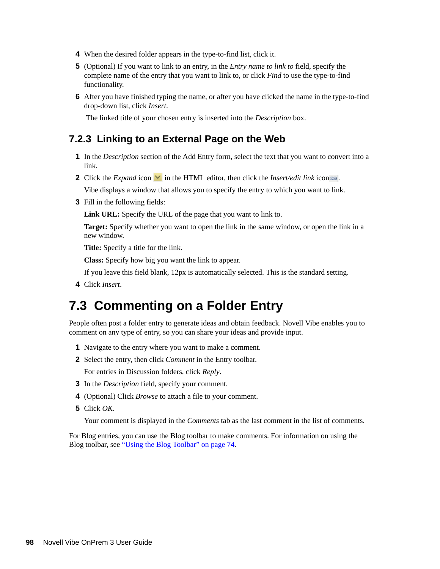- **4** When the desired folder appears in the type-to-find list, click it.
- **5** (Optional) If you want to link to an entry, in the *Entry name to link to* field, specify the complete name of the entry that you want to link to, or click *Find* to use the type-to-find functionality.
- **6** After you have finished typing the name, or after you have clicked the name in the type-to-find drop-down list, click *Insert*.

The linked title of your chosen entry is inserted into the *Description* box.

### <span id="page-97-1"></span>**7.2.3 Linking to an External Page on the Web**

- **1** In the *Description* section of the Add Entry form, select the text that you want to convert into a link.
- **2** Click the *Expand* icon  $\vee$  in the HTML editor, then click the *Insert/edit link* icon  $\circ$ .

Vibe displays a window that allows you to specify the entry to which you want to link.

**3** Fill in the following fields:

**Link URL:** Specify the URL of the page that you want to link to.

**Target:** Specify whether you want to open the link in the same window, or open the link in a new window.

**Title:** Specify a title for the link.

**Class:** Specify how big you want the link to appear.

If you leave this field blank, 12px is automatically selected. This is the standard setting.

**4** Click *Insert*.

## <span id="page-97-0"></span>**7.3 Commenting on a Folder Entry**

People often post a folder entry to generate ideas and obtain feedback. Novell Vibe enables you to comment on any type of entry, so you can share your ideas and provide input.

- **1** Navigate to the entry where you want to make a comment.
- **2** Select the entry, then click *Comment* in the Entry toolbar.

For entries in Discussion folders, click *Reply*.

- **3** In the *Description* field, specify your comment.
- **4** (Optional) Click *Browse* to attach a file to your comment.
- **5** Click *OK*.

Your comment is displayed in the *Comments* tab as the last comment in the list of comments.

For Blog entries, you can use the Blog toolbar to make comments. For information on using the Blog toolbar, see ["Using the Blog Toolbar" on page 74](#page-73-5).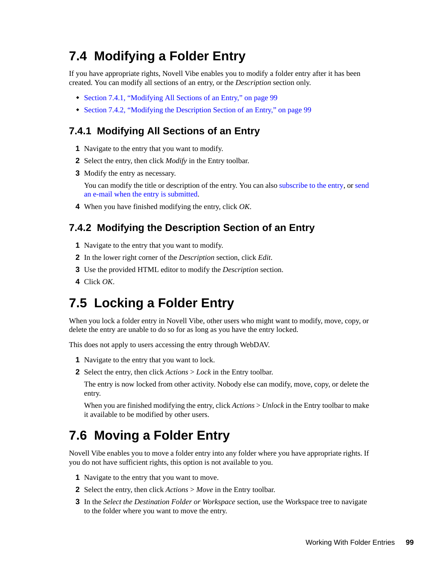# <span id="page-98-0"></span>**7.4 Modifying a Folder Entry**

If you have appropriate rights, Novell Vibe enables you to modify a folder entry after it has been created. You can modify all sections of an entry, or the *Description* section only.

- [Section 7.4.1, "Modifying All Sections of an Entry," on page 99](#page-98-3)
- [Section 7.4.2, "Modifying the Description Section of an Entry," on page 99](#page-98-4)

## <span id="page-98-3"></span>**7.4.1 Modifying All Sections of an Entry**

- **1** Navigate to the entry that you want to modify.
- **2** Select the entry, then click *Modify* in the Entry toolbar.
- **3** Modify the entry as necessary.

You can modify the title or description of the entry. You can also [subscribe to the entry](#page-39-0), or [send](#page-100-1)  [an e-mail when the entry is submitted](#page-100-1).

**4** When you have finished modifying the entry, click *OK*.

## <span id="page-98-4"></span>**7.4.2 Modifying the Description Section of an Entry**

- **1** Navigate to the entry that you want to modify.
- **2** In the lower right corner of the *Description* section, click *Edit*.
- **3** Use the provided HTML editor to modify the *Description* section.
- **4** Click *OK*.

## <span id="page-98-1"></span>**7.5 Locking a Folder Entry**

When you lock a folder entry in Novell Vibe, other users who might want to modify, move, copy, or delete the entry are unable to do so for as long as you have the entry locked.

This does not apply to users accessing the entry through WebDAV.

- **1** Navigate to the entry that you want to lock.
- **2** Select the entry, then click *Actions* > *Lock* in the Entry toolbar.

The entry is now locked from other activity. Nobody else can modify, move, copy, or delete the entry.

When you are finished modifying the entry, click *Actions* > *Unlock* in the Entry toolbar to make it available to be modified by other users.

## <span id="page-98-2"></span>**7.6 Moving a Folder Entry**

Novell Vibe enables you to move a folder entry into any folder where you have appropriate rights. If you do not have sufficient rights, this option is not available to you.

- **1** Navigate to the entry that you want to move.
- **2** Select the entry, then click *Actions* > *Move* in the Entry toolbar.
- **3** In the *Select the Destination Folder or Workspace* section, use the Workspace tree to navigate to the folder where you want to move the entry.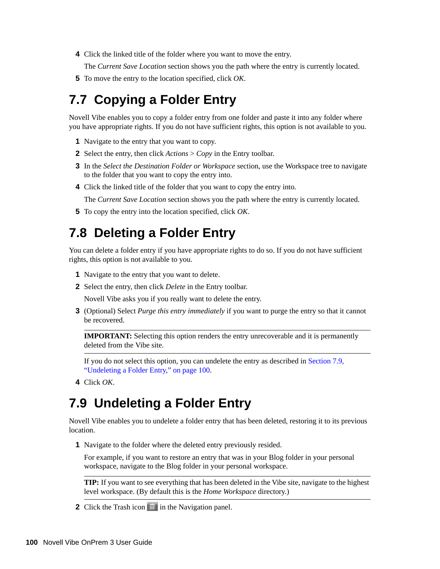**4** Click the linked title of the folder where you want to move the entry.

The *Current Save Location* section shows you the path where the entry is currently located.

**5** To move the entry to the location specified, click *OK*.

## <span id="page-99-0"></span>**7.7 Copying a Folder Entry**

Novell Vibe enables you to copy a folder entry from one folder and paste it into any folder where you have appropriate rights. If you do not have sufficient rights, this option is not available to you.

- **1** Navigate to the entry that you want to copy.
- **2** Select the entry, then click *Actions* > *Copy* in the Entry toolbar.
- **3** In the *Select the Destination Folder or Workspace* section, use the Workspace tree to navigate to the folder that you want to copy the entry into.
- **4** Click the linked title of the folder that you want to copy the entry into.

The *Current Save Location* section shows you the path where the entry is currently located.

**5** To copy the entry into the location specified, click *OK*.

## <span id="page-99-1"></span>**7.8 Deleting a Folder Entry**

You can delete a folder entry if you have appropriate rights to do so. If you do not have sufficient rights, this option is not available to you.

- **1** Navigate to the entry that you want to delete.
- **2** Select the entry, then click *Delete* in the Entry toolbar.

Novell Vibe asks you if you really want to delete the entry.

**3** (Optional) Select *Purge this entry immediately* if you want to purge the entry so that it cannot be recovered.

**IMPORTANT:** Selecting this option renders the entry unrecoverable and it is permanently deleted from the Vibe site.

If you do not select this option, you can undelete the entry as described in [Section 7.9,](#page-99-2)  ["Undeleting a Folder Entry," on page 100](#page-99-2).

**4** Click *OK*.

## <span id="page-99-2"></span>**7.9 Undeleting a Folder Entry**

Novell Vibe enables you to undelete a folder entry that has been deleted, restoring it to its previous location.

**1** Navigate to the folder where the deleted entry previously resided.

For example, if you want to restore an entry that was in your Blog folder in your personal workspace, navigate to the Blog folder in your personal workspace.

**TIP:** If you want to see everything that has been deleted in the Vibe site, navigate to the highest level workspace. (By default this is the *Home Workspace* directory.)

**2** Click the Trash icon **in** in the Navigation panel.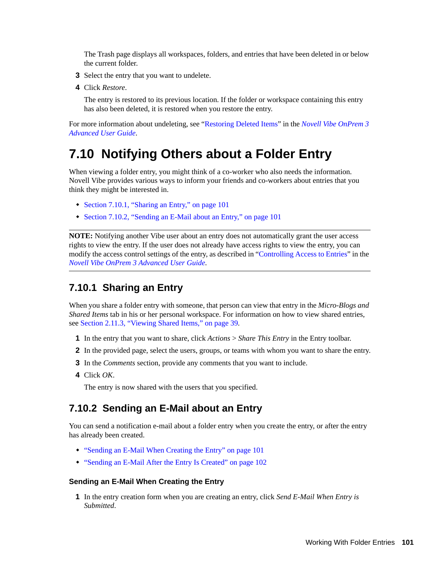The Trash page displays all workspaces, folders, and entries that have been deleted in or below the current folder.

- **3** Select the entry that you want to undelete.
- **4** Click *Restore*.

The entry is restored to its previous location. If the folder or workspace containing this entry has also been deleted, it is restored when you restore the entry.

For more information about undeleting, see "Restoring Deleted Items" in the *Novell Vibe OnPrem 3 Advanced User Guide*.

## <span id="page-100-0"></span>**7.10 Notifying Others about a Folder Entry**

When viewing a folder entry, you might think of a co-worker who also needs the information. Novell Vibe provides various ways to inform your friends and co-workers about entries that you think they might be interested in.

- [Section 7.10.1, "Sharing an Entry," on page 101](#page-100-2)
- [Section 7.10.2, "Sending an E-Mail about an Entry," on page 101](#page-100-3)

**NOTE:** Notifying another Vibe user about an entry does not automatically grant the user access rights to view the entry. If the user does not already have access rights to view the entry, you can modify the access control settings of the entry, as described in "Controlling Access to Entries" in the *Novell Vibe OnPrem 3 Advanced User Guide*.

## <span id="page-100-2"></span>**7.10.1 Sharing an Entry**

When you share a folder entry with someone, that person can view that entry in the *Micro-Blogs and Shared Items* tab in his or her personal workspace. For information on how to view shared entries, see [Section 2.11.3, "Viewing Shared Items," on page 39](#page-38-1).

- **1** In the entry that you want to share, click *Actions* > *Share This Entry* in the Entry toolbar.
- **2** In the provided page, select the users, groups, or teams with whom you want to share the entry.
- **3** In the *Comments* section, provide any comments that you want to include.
- **4** Click *OK*.

The entry is now shared with the users that you specified.

### <span id="page-100-3"></span>**7.10.2 Sending an E-Mail about an Entry**

You can send a notification e-mail about a folder entry when you create the entry, or after the entry has already been created.

- ["Sending an E-Mail When Creating the Entry" on page 101](#page-100-1)
- ["Sending an E-Mail After the Entry Is Created" on page 102](#page-101-2)

#### <span id="page-100-1"></span>**Sending an E-Mail When Creating the Entry**

**1** In the entry creation form when you are creating an entry, click *Send E-Mail When Entry is Submitted*.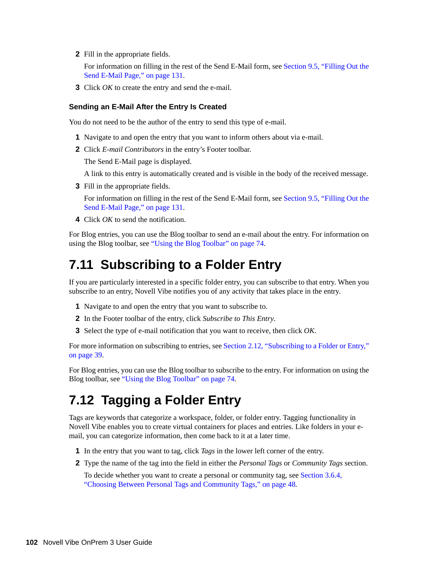**2** Fill in the appropriate fields.

For information on filling in the rest of the Send E-Mail form, see [Section 9.5, "Filling Out the](#page-130-1)  [Send E-Mail Page," on page 131.](#page-130-1)

**3** Click *OK* to create the entry and send the e-mail.

#### <span id="page-101-2"></span>**Sending an E-Mail After the Entry Is Created**

You do not need to be the author of the entry to send this type of e-mail.

- **1** Navigate to and open the entry that you want to inform others about via e-mail.
- **2** Click *E-mail Contributors* in the entry's Footer toolbar.

The Send E-Mail page is displayed.

A link to this entry is automatically created and is visible in the body of the received message.

**3** Fill in the appropriate fields.

For information on filling in the rest of the Send E-Mail form, see [Section 9.5, "Filling Out the](#page-130-1)  [Send E-Mail Page," on page 131.](#page-130-1)

**4** Click *OK* to send the notification.

For Blog entries, you can use the Blog toolbar to send an e-mail about the entry. For information on using the Blog toolbar, see ["Using the Blog Toolbar" on page 74](#page-73-5).

## <span id="page-101-0"></span>**7.11 Subscribing to a Folder Entry**

If you are particularly interested in a specific folder entry, you can subscribe to that entry. When you subscribe to an entry, Novell Vibe notifies you of any activity that takes place in the entry.

- **1** Navigate to and open the entry that you want to subscribe to.
- **2** In the Footer toolbar of the entry, click *Subscribe to This Entry*.
- **3** Select the type of e-mail notification that you want to receive, then click *OK*.

For more information on subscribing to entries, see [Section 2.12, "Subscribing to a Folder or Entry,"](#page-38-0)  [on page 39](#page-38-0).

For Blog entries, you can use the Blog toolbar to subscribe to the entry. For information on using the Blog toolbar, see ["Using the Blog Toolbar" on page 74](#page-73-5).

# <span id="page-101-1"></span>**7.12 Tagging a Folder Entry**

Tags are keywords that categorize a workspace, folder, or folder entry. Tagging functionality in Novell Vibe enables you to create virtual containers for places and entries. Like folders in your email, you can categorize information, then come back to it at a later time.

- **1** In the entry that you want to tag, click *Tags* in the lower left corner of the entry.
- **2** Type the name of the tag into the field in either the *Personal Tags* or *Community Tags* section.

To decide whether you want to create a personal or community tag, see [Section 3.6.4,](#page-47-0)  ["Choosing Between Personal Tags and Community Tags," on page 48](#page-47-0).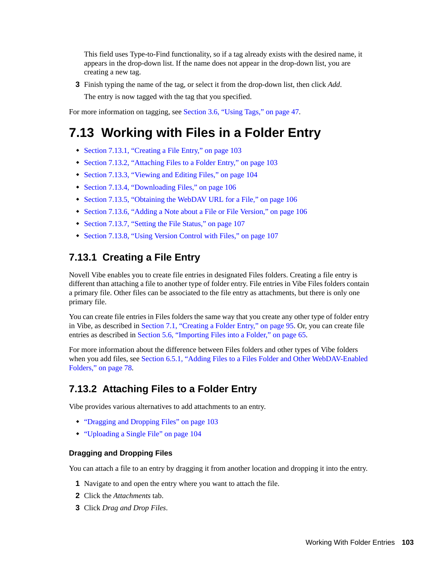This field uses Type-to-Find functionality, so if a tag already exists with the desired name, it appears in the drop-down list. If the name does not appear in the drop-down list, you are creating a new tag.

**3** Finish typing the name of the tag, or select it from the drop-down list, then click *Add*.

The entry is now tagged with the tag that you specified.

For more information on tagging, see [Section 3.6, "Using Tags," on page 47.](#page-46-0)

# <span id="page-102-0"></span>**7.13 Working with Files in a Folder Entry**

- [Section 7.13.1, "Creating a File Entry," on page 103](#page-102-1)
- [Section 7.13.2, "Attaching Files to a Folder Entry," on page 103](#page-102-2)
- [Section 7.13.3, "Viewing and Editing Files," on page 104](#page-103-0)
- [Section 7.13.4, "Downloading Files," on page 106](#page-105-0)
- [Section 7.13.5, "Obtaining the WebDAV URL for a File," on page 106](#page-105-1)
- [Section 7.13.6, "Adding a Note about a File or File Version," on page 106](#page-105-2)
- [Section 7.13.7, "Setting the File Status," on page 107](#page-106-1)
- [Section 7.13.8, "Using Version Control with Files," on page 107](#page-106-2)

## <span id="page-102-1"></span>**7.13.1 Creating a File Entry**

Novell Vibe enables you to create file entries in designated Files folders. Creating a file entry is different than attaching a file to another type of folder entry. File entries in Vibe Files folders contain a primary file. Other files can be associated to the file entry as attachments, but there is only one primary file.

You can create file entries in Files folders the same way that you create any other type of folder entry in Vibe, as described in [Section 7.1, "Creating a Folder Entry," on page 95.](#page-94-1) Or, you can create file entries as described in [Section 5.6, "Importing Files into a Folder," on page 65.](#page-64-1)

For more information about the difference between Files folders and other types of Vibe folders when you add files, see [Section 6.5.1, "Adding Files to a Files Folder and Other WebDAV-Enabled](#page-77-3)  [Folders," on page 78](#page-77-3).

## <span id="page-102-2"></span>**7.13.2 Attaching Files to a Folder Entry**

Vibe provides various alternatives to add attachments to an entry.

- ["Dragging and Dropping Files" on page 103](#page-102-3)
- ["Uploading a Single File" on page 104](#page-103-1)

#### <span id="page-102-3"></span>**Dragging and Dropping Files**

You can attach a file to an entry by dragging it from another location and dropping it into the entry.

- **1** Navigate to and open the entry where you want to attach the file.
- **2** Click the *Attachments* tab.
- **3** Click *Drag and Drop Files*.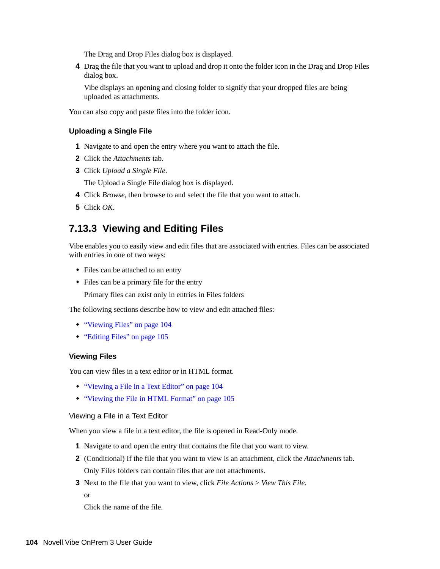The Drag and Drop Files dialog box is displayed.

**4** Drag the file that you want to upload and drop it onto the folder icon in the Drag and Drop Files dialog box.

Vibe displays an opening and closing folder to signify that your dropped files are being uploaded as attachments.

You can also copy and paste files into the folder icon.

#### <span id="page-103-1"></span>**Uploading a Single File**

- **1** Navigate to and open the entry where you want to attach the file.
- **2** Click the *Attachments* tab.
- **3** Click *Upload a Single File*.

The Upload a Single File dialog box is displayed.

- **4** Click *Browse*, then browse to and select the file that you want to attach.
- **5** Click *OK*.

## <span id="page-103-0"></span>**7.13.3 Viewing and Editing Files**

Vibe enables you to easily view and edit files that are associated with entries. Files can be associated with entries in one of two ways:

- Files can be attached to an entry
- Files can be a primary file for the entry

Primary files can exist only in entries in Files folders

The following sections describe how to view and edit attached files:

- ["Viewing Files" on page 104](#page-103-2)
- ["Editing Files" on page 105](#page-104-0)

#### <span id="page-103-2"></span>**Viewing Files**

You can view files in a text editor or in HTML format.

- ["Viewing a File in a Text Editor" on page 104](#page-103-3)
- ["Viewing the File in HTML Format" on page 105](#page-104-1)

#### <span id="page-103-3"></span>Viewing a File in a Text Editor

When you view a file in a text editor, the file is opened in Read-Only mode.

- **1** Navigate to and open the entry that contains the file that you want to view.
- **2** (Conditional) If the file that you want to view is an attachment, click the *Attachments* tab. Only Files folders can contain files that are not attachments.
- **3** Next to the file that you want to view, click *File Actions* > *View This File*. or

Click the name of the file.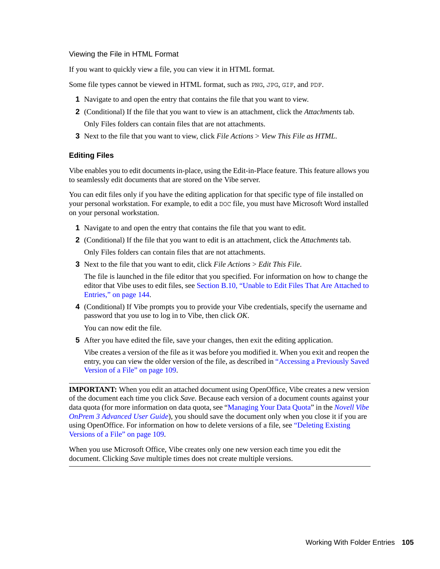#### <span id="page-104-1"></span>Viewing the File in HTML Format

If you want to quickly view a file, you can view it in HTML format.

Some file types cannot be viewed in HTML format, such as PNG, JPG, GIF, and PDF.

- **1** Navigate to and open the entry that contains the file that you want to view.
- **2** (Conditional) If the file that you want to view is an attachment, click the *Attachments* tab. Only Files folders can contain files that are not attachments.
- **3** Next to the file that you want to view, click *File Actions* > *View This File as HTML*.

#### <span id="page-104-0"></span>**Editing Files**

Vibe enables you to edit documents in-place, using the Edit-in-Place feature. This feature allows you to seamlessly edit documents that are stored on the Vibe server.

You can edit files only if you have the editing application for that specific type of file installed on your personal workstation. For example, to edit a DOC file, you must have Microsoft Word installed on your personal workstation.

- **1** Navigate to and open the entry that contains the file that you want to edit.
- **2** (Conditional) If the file that you want to edit is an attachment, click the *Attachments* tab.

Only Files folders can contain files that are not attachments.

**3** Next to the file that you want to edit, click *File Actions* > *Edit This File*.

The file is launched in the file editor that you specified. For information on how to change the editor that Vibe uses to edit files, see [Section B.10, "Unable to Edit Files That Are Attached to](#page-143-0)  [Entries," on page 144.](#page-143-0)

**4** (Conditional) If Vibe prompts you to provide your Vibe credentials, specify the username and password that you use to log in to Vibe, then click *OK*.

You can now edit the file.

**5** After you have edited the file, save your changes, then exit the editing application.

Vibe creates a version of the file as it was before you modified it. When you exit and reopen the entry, you can view the older version of the file, as described in ["Accessing a Previously Saved](#page-108-2)  [Version of a File" on page 109](#page-108-2).

**IMPORTANT:** When you edit an attached document using OpenOffice, Vibe creates a new version of the document each time you click *Save*. Because each version of a document counts against your data quota (for more information on data quota, see "Managing Your Data Quota" in the *Novell Vibe OnPrem 3 Advanced User Guide*), you should save the document only when you close it if you are using OpenOffice. For information on how to delete versions of a file, see ["Deleting Existing](#page-108-1)  [Versions of a File" on page 109](#page-108-1).

When you use Microsoft Office, Vibe creates only one new version each time you edit the document. Clicking *Save* multiple times does not create multiple versions.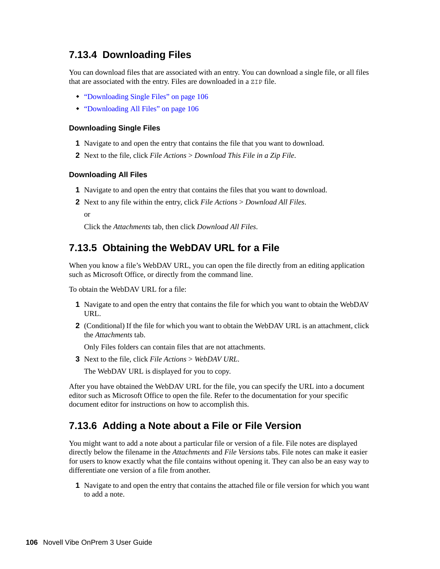## <span id="page-105-0"></span>**7.13.4 Downloading Files**

You can download files that are associated with an entry. You can download a single file, or all files that are associated with the entry. Files are downloaded in a ZIP file.

- ["Downloading Single Files" on page 106](#page-105-3)
- ["Downloading All Files" on page 106](#page-105-4)

#### <span id="page-105-3"></span>**Downloading Single Files**

- **1** Navigate to and open the entry that contains the file that you want to download.
- **2** Next to the file, click *File Actions* > *Download This File in a Zip File*.

#### <span id="page-105-4"></span>**Downloading All Files**

- **1** Navigate to and open the entry that contains the files that you want to download.
- **2** Next to any file within the entry, click *File Actions* > *Download All Files*.

or

Click the *Attachments* tab, then click *Download All Files*.

### <span id="page-105-1"></span>**7.13.5 Obtaining the WebDAV URL for a File**

When you know a file's WebDAV URL, you can open the file directly from an editing application such as Microsoft Office, or directly from the command line.

To obtain the WebDAV URL for a file:

- **1** Navigate to and open the entry that contains the file for which you want to obtain the WebDAV URL.
- **2** (Conditional) If the file for which you want to obtain the WebDAV URL is an attachment, click the *Attachments* tab.

Only Files folders can contain files that are not attachments.

**3** Next to the file, click *File Actions* > *WebDAV URL*.

The WebDAV URL is displayed for you to copy.

After you have obtained the WebDAV URL for the file, you can specify the URL into a document editor such as Microsoft Office to open the file. Refer to the documentation for your specific document editor for instructions on how to accomplish this.

### <span id="page-105-2"></span>**7.13.6 Adding a Note about a File or File Version**

You might want to add a note about a particular file or version of a file. File notes are displayed directly below the filename in the *Attachments* and *File Versions* tabs. File notes can make it easier for users to know exactly what the file contains without opening it. They can also be an easy way to differentiate one version of a file from another.

**1** Navigate to and open the entry that contains the attached file or file version for which you want to add a note.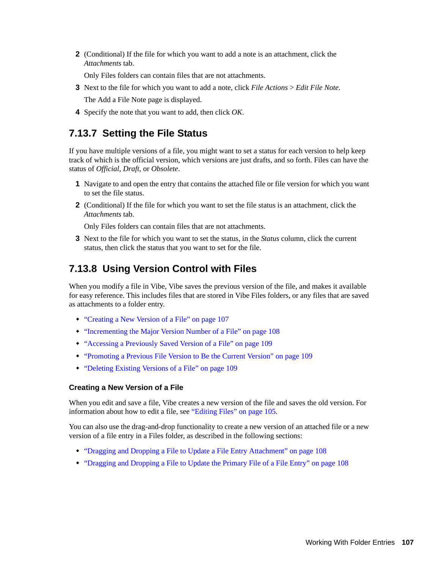**2** (Conditional) If the file for which you want to add a note is an attachment, click the *Attachments* tab.

Only Files folders can contain files that are not attachments.

**3** Next to the file for which you want to add a note, click *File Actions* > *Edit File Note*.

The Add a File Note page is displayed.

**4** Specify the note that you want to add, then click *OK*.

## <span id="page-106-1"></span>**7.13.7 Setting the File Status**

If you have multiple versions of a file, you might want to set a status for each version to help keep track of which is the official version, which versions are just drafts, and so forth. Files can have the status of *Official*, *Draft*, or *Obsolete*.

- **1** Navigate to and open the entry that contains the attached file or file version for which you want to set the file status.
- **2** (Conditional) If the file for which you want to set the file status is an attachment, click the *Attachments* tab.

Only Files folders can contain files that are not attachments.

<span id="page-106-0"></span>**3** Next to the file for which you want to set the status, in the *Status* column, click the current status, then click the status that you want to set for the file.

## <span id="page-106-2"></span>**7.13.8 Using Version Control with Files**

When you modify a file in Vibe, Vibe saves the previous version of the file, and makes it available for easy reference. This includes files that are stored in Vibe Files folders, or any files that are saved as attachments to a folder entry.

- ["Creating a New Version of a File" on page 107](#page-106-3)
- ["Incrementing the Major Version Number of a File" on page 108](#page-107-0)
- ["Accessing a Previously Saved Version of a File" on page 109](#page-108-2)
- ["Promoting a Previous File Version to Be the Current Version" on page 109](#page-108-3)
- ["Deleting Existing Versions of a File" on page 109](#page-108-1)

#### <span id="page-106-3"></span>**Creating a New Version of a File**

When you edit and save a file, Vibe creates a new version of the file and saves the old version. For information about how to edit a file, see ["Editing Files" on page 105.](#page-104-0)

You can also use the drag-and-drop functionality to create a new version of an attached file or a new version of a file entry in a Files folder, as described in the following sections:

- ["Dragging and Dropping a File to Update a File Entry Attachment" on page 108](#page-107-1)
- ["Dragging and Dropping a File to Update the Primary File of a File Entry" on page 108](#page-107-2)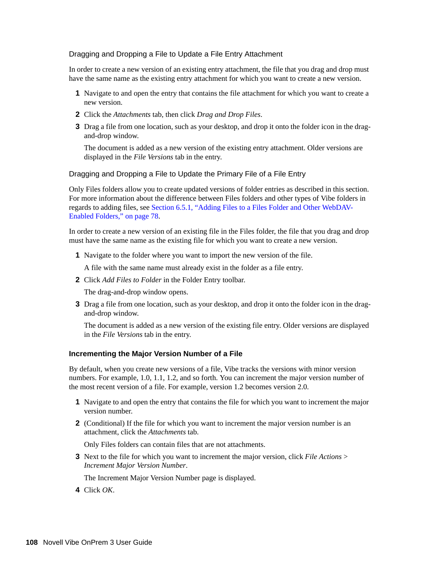#### <span id="page-107-1"></span>Dragging and Dropping a File to Update a File Entry Attachment

In order to create a new version of an existing entry attachment, the file that you drag and drop must have the same name as the existing entry attachment for which you want to create a new version.

- **1** Navigate to and open the entry that contains the file attachment for which you want to create a new version.
- **2** Click the *Attachments* tab, then click *Drag and Drop Files*.
- **3** Drag a file from one location, such as your desktop, and drop it onto the folder icon in the dragand-drop window.

The document is added as a new version of the existing entry attachment. Older versions are displayed in the *File Versions* tab in the entry.

#### <span id="page-107-2"></span>Dragging and Dropping a File to Update the Primary File of a File Entry

Only Files folders allow you to create updated versions of folder entries as described in this section. For more information about the difference between Files folders and other types of Vibe folders in regards to adding files, see [Section 6.5.1, "Adding Files to a Files Folder and Other WebDAV-](#page-77-3)[Enabled Folders," on page 78](#page-77-3).

In order to create a new version of an existing file in the Files folder, the file that you drag and drop must have the same name as the existing file for which you want to create a new version.

**1** Navigate to the folder where you want to import the new version of the file.

A file with the same name must already exist in the folder as a file entry.

**2** Click *Add Files to Folder* in the Folder Entry toolbar.

The drag-and-drop window opens.

**3** Drag a file from one location, such as your desktop, and drop it onto the folder icon in the dragand-drop window.

The document is added as a new version of the existing file entry. Older versions are displayed in the *File Versions* tab in the entry.

#### <span id="page-107-0"></span>**Incrementing the Major Version Number of a File**

By default, when you create new versions of a file, Vibe tracks the versions with minor version numbers. For example, 1.0, 1.1, 1.2, and so forth. You can increment the major version number of the most recent version of a file. For example, version 1.2 becomes version 2.0.

- **1** Navigate to and open the entry that contains the file for which you want to increment the major version number.
- **2** (Conditional) If the file for which you want to increment the major version number is an attachment, click the *Attachments* tab.

Only Files folders can contain files that are not attachments.

**3** Next to the file for which you want to increment the major version, click *File Actions* > *Increment Major Version Number*.

The Increment Major Version Number page is displayed.

**4** Click *OK*.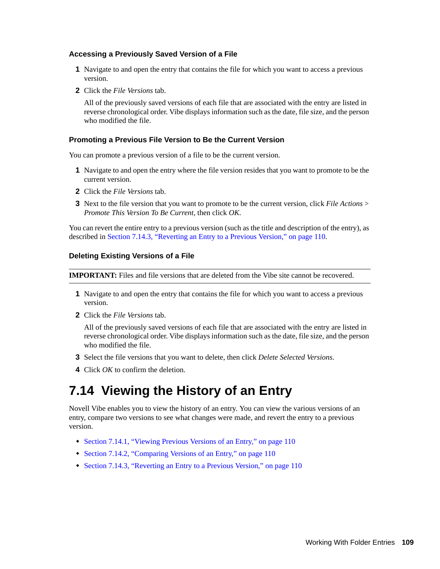#### **Accessing a Previously Saved Version of a File**

- **1** Navigate to and open the entry that contains the file for which you want to access a previous version.
- **2** Click the *File Versions* tab.

All of the previously saved versions of each file that are associated with the entry are listed in reverse chronological order. Vibe displays information such as the date, file size, and the person who modified the file.

#### **Promoting a Previous File Version to Be the Current Version**

You can promote a previous version of a file to be the current version.

- **1** Navigate to and open the entry where the file version resides that you want to promote to be the current version.
- **2** Click the *File Versions* tab.
- **3** Next to the file version that you want to promote to be the current version, click *File Actions* > *Promote This Version To Be Current*, then click *OK*.

You can revert the entire entry to a previous version (such as the title and description of the entry), as described in [Section 7.14.3, "Reverting an Entry to a Previous Version," on page 110.](#page-109-0)

#### **Deleting Existing Versions of a File**

**IMPORTANT:** Files and file versions that are deleted from the Vibe site cannot be recovered.

- **1** Navigate to and open the entry that contains the file for which you want to access a previous version.
- **2** Click the *File Versions* tab.

All of the previously saved versions of each file that are associated with the entry are listed in reverse chronological order. Vibe displays information such as the date, file size, and the person who modified the file.

- **3** Select the file versions that you want to delete, then click *Delete Selected Versions*.
- <span id="page-108-0"></span>**4** Click *OK* to confirm the deletion.

### **7.14 Viewing the History of an Entry**

Novell Vibe enables you to view the history of an entry. You can view the various versions of an entry, compare two versions to see what changes were made, and revert the entry to a previous version.

- [Section 7.14.1, "Viewing Previous Versions of an Entry," on page 110](#page-109-1)
- [Section 7.14.2, "Comparing Versions of an Entry," on page 110](#page-109-2)
- [Section 7.14.3, "Reverting an Entry to a Previous Version," on page 110](#page-109-0)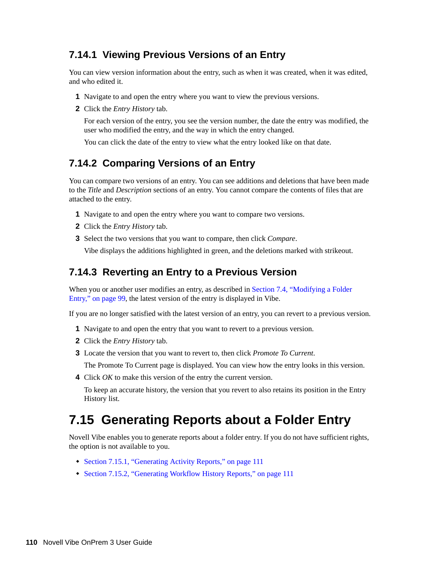### <span id="page-109-1"></span>**7.14.1 Viewing Previous Versions of an Entry**

You can view version information about the entry, such as when it was created, when it was edited, and who edited it.

- **1** Navigate to and open the entry where you want to view the previous versions.
- **2** Click the *Entry History* tab.

For each version of the entry, you see the version number, the date the entry was modified, the user who modified the entry, and the way in which the entry changed.

You can click the date of the entry to view what the entry looked like on that date.

### <span id="page-109-2"></span>**7.14.2 Comparing Versions of an Entry**

You can compare two versions of an entry. You can see additions and deletions that have been made to the *Title* and *Description* sections of an entry. You cannot compare the contents of files that are attached to the entry.

- **1** Navigate to and open the entry where you want to compare two versions.
- **2** Click the *Entry History* tab.
- **3** Select the two versions that you want to compare, then click *Compare*.

Vibe displays the additions highlighted in green, and the deletions marked with strikeout.

#### <span id="page-109-0"></span>**7.14.3 Reverting an Entry to a Previous Version**

When you or another user modifies an entry, as described in Section 7.4, "Modifying a Folder [Entry," on page 99,](#page-98-0) the latest version of the entry is displayed in Vibe.

If you are no longer satisfied with the latest version of an entry, you can revert to a previous version.

- **1** Navigate to and open the entry that you want to revert to a previous version.
- **2** Click the *Entry History* tab.
- **3** Locate the version that you want to revert to, then click *Promote To Current*.

The Promote To Current page is displayed. You can view how the entry looks in this version.

**4** Click *OK* to make this version of the entry the current version.

To keep an accurate history, the version that you revert to also retains its position in the Entry History list.

### **7.15 Generating Reports about a Folder Entry**

Novell Vibe enables you to generate reports about a folder entry. If you do not have sufficient rights, the option is not available to you.

- [Section 7.15.1, "Generating Activity Reports," on page 111](#page-110-0)
- [Section 7.15.2, "Generating Workflow History Reports," on page 111](#page-110-1)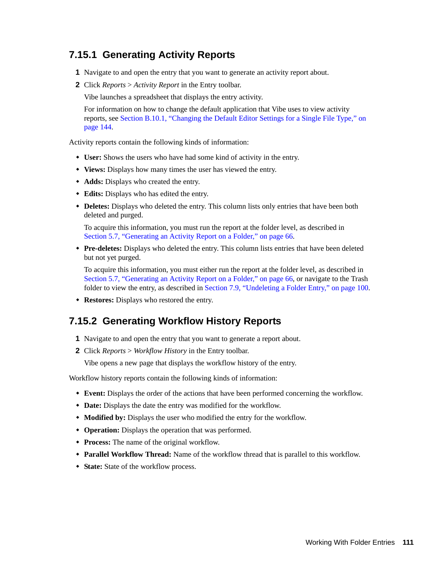### <span id="page-110-0"></span>**7.15.1 Generating Activity Reports**

- **1** Navigate to and open the entry that you want to generate an activity report about.
- **2** Click *Reports* > *Activity Report* in the Entry toolbar.

Vibe launches a spreadsheet that displays the entry activity.

For information on how to change the default application that Vibe uses to view activity reports, see [Section B.10.1, "Changing the Default Editor Settings for a Single File Type," on](#page-143-0)  [page 144](#page-143-0).

Activity reports contain the following kinds of information:

- **User:** Shows the users who have had some kind of activity in the entry.
- **Views:** Displays how many times the user has viewed the entry.
- **Adds:** Displays who created the entry.
- **Edits:** Displays who has edited the entry.
- **Deletes:** Displays who deleted the entry. This column lists only entries that have been both deleted and purged.

To acquire this information, you must run the report at the folder level, as described in [Section 5.7, "Generating an Activity Report on a Folder," on page 66.](#page-65-0)

 **Pre-deletes:** Displays who deleted the entry. This column lists entries that have been deleted but not yet purged.

To acquire this information, you must either run the report at the folder level, as described in [Section 5.7, "Generating an Activity Report on a Folder," on page 66,](#page-65-0) or navigate to the Trash folder to view the entry, as described in [Section 7.9, "Undeleting a Folder Entry," on page 100.](#page-99-0)

**Restores:** Displays who restored the entry.

### <span id="page-110-1"></span>**7.15.2 Generating Workflow History Reports**

- **1** Navigate to and open the entry that you want to generate a report about.
- **2** Click *Reports* > *Workflow History* in the Entry toolbar.

Vibe opens a new page that displays the workflow history of the entry.

Workflow history reports contain the following kinds of information:

- **Event:** Displays the order of the actions that have been performed concerning the workflow.
- **Date:** Displays the date the entry was modified for the workflow.
- **Modified by:** Displays the user who modified the entry for the workflow.
- **Operation:** Displays the operation that was performed.
- **Process:** The name of the original workflow.
- **Parallel Workflow Thread:** Name of the workflow thread that is parallel to this workflow.
- **State:** State of the workflow process.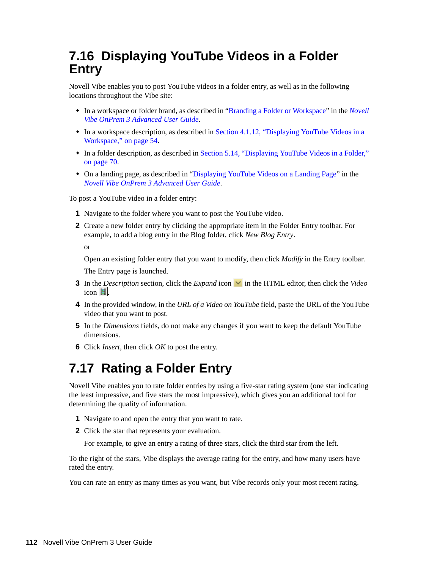## **7.16 Displaying YouTube Videos in a Folder Entry**

Novell Vibe enables you to post YouTube videos in a folder entry, as well as in the following locations throughout the Vibe site:

- In a workspace or folder brand, as described in "Branding a Folder or Workspace" in the *Novell Vibe OnPrem 3 Advanced User Guide*.
- In a workspace description, as described in [Section 4.1.12, "Displaying YouTube Videos in a](#page-53-0)  [Workspace," on page 54](#page-53-0).
- In a folder description, as described in [Section 5.14, "Displaying YouTube Videos in a Folder,"](#page-69-0)  [on page 70](#page-69-0).
- On a landing page, as described in "Displaying YouTube Videos on a Landing Page" in the *Novell Vibe OnPrem 3 Advanced User Guide*.

To post a YouTube video in a folder entry:

- **1** Navigate to the folder where you want to post the YouTube video.
- **2** Create a new folder entry by clicking the appropriate item in the Folder Entry toolbar. For example, to add a blog entry in the Blog folder, click *New Blog Entry*.

or

Open an existing folder entry that you want to modify, then click *Modify* in the Entry toolbar.

The Entry page is launched.

- **3** In the *Description* section, click the *Expand* icon **v** in the HTML editor, then click the *Video*  $i$ con  $\blacksquare$
- **4** In the provided window, in the *URL of a Video on YouTube* field, paste the URL of the YouTube video that you want to post.
- **5** In the *Dimensions* fields, do not make any changes if you want to keep the default YouTube dimensions.
- **6** Click *Insert*, then click *OK* to post the entry.

## **7.17 Rating a Folder Entry**

Novell Vibe enables you to rate folder entries by using a five-star rating system (one star indicating the least impressive, and five stars the most impressive), which gives you an additional tool for determining the quality of information.

- **1** Navigate to and open the entry that you want to rate.
- **2** Click the star that represents your evaluation.

For example, to give an entry a rating of three stars, click the third star from the left.

To the right of the stars, Vibe displays the average rating for the entry, and how many users have rated the entry.

You can rate an entry as many times as you want, but Vibe records only your most recent rating.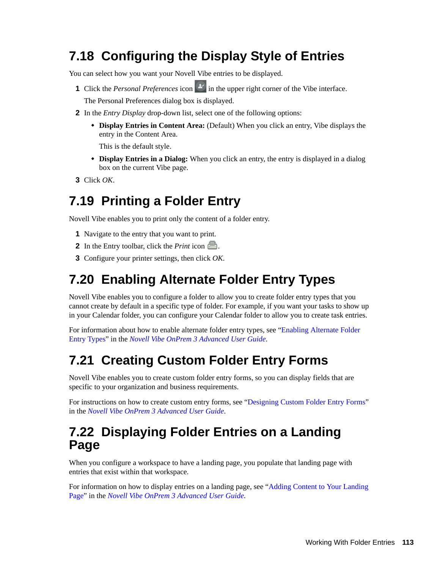## **7.18 Configuring the Display Style of Entries**

You can select how you want your Novell Vibe entries to be displayed.

**1** Click the *Personal Preferences* icon in the upper right corner of the Vibe interface.

The Personal Preferences dialog box is displayed.

- **2** In the *Entry Display* drop-down list, select one of the following options:
	- **Display Entries in Content Area:** (Default) When you click an entry, Vibe displays the entry in the Content Area.

This is the default style.

- **Display Entries in a Dialog:** When you click an entry, the entry is displayed in a dialog box on the current Vibe page.
- **3** Click *OK*.

### **7.19 Printing a Folder Entry**

Novell Vibe enables you to print only the content of a folder entry.

- **1** Navigate to the entry that you want to print.
- **2** In the Entry toolbar, click the *Print* icon ...
- **3** Configure your printer settings, then click *OK*.

### **7.20 Enabling Alternate Folder Entry Types**

Novell Vibe enables you to configure a folder to allow you to create folder entry types that you cannot create by default in a specific type of folder. For example, if you want your tasks to show up in your Calendar folder, you can configure your Calendar folder to allow you to create task entries.

For information about how to enable alternate folder entry types, see "Enabling Alternate Folder Entry Types" in the *Novell Vibe OnPrem 3 Advanced User Guide*.

### **7.21 Creating Custom Folder Entry Forms**

Novell Vibe enables you to create custom folder entry forms, so you can display fields that are specific to your organization and business requirements.

For instructions on how to create custom entry forms, see "Designing Custom Folder Entry Forms" in the *Novell Vibe OnPrem 3 Advanced User Guide*.

### **7.22 Displaying Folder Entries on a Landing Page**

When you configure a workspace to have a landing page, you populate that landing page with entries that exist within that workspace.

For information on how to display entries on a landing page, see "Adding Content to Your Landing Page" in the *Novell Vibe OnPrem 3 Advanced User Guide*.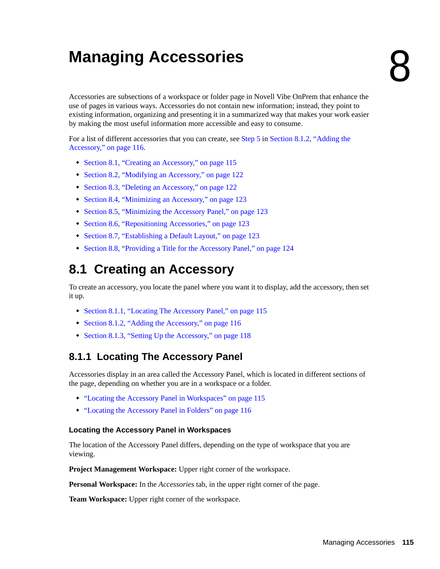# <sup>8</sup>**Managing Accessories**

Accessories are subsections of a workspace or folder page in Novell Vibe OnPrem that enhance the use of pages in various ways. Accessories do not contain new information; instead, they point to existing information, organizing and presenting it in a summarized way that makes your work easier by making the most useful information more accessible and easy to consume.

For a list of different accessories that you can create, see [Step 5](#page-115-0) in [Section 8.1.2, "Adding the](#page-115-2)  [Accessory," on page 116.](#page-115-2)

- [Section 8.1, "Creating an Accessory," on page 115](#page-114-0)
- [Section 8.2, "Modifying an Accessory," on page 122](#page-121-0)
- [Section 8.3, "Deleting an Accessory," on page 122](#page-121-1)
- [Section 8.4, "Minimizing an Accessory," on page 123](#page-122-0)
- [Section 8.5, "Minimizing the Accessory Panel," on page 123](#page-122-1)
- [Section 8.6, "Repositioning Accessories," on page 123](#page-122-2)
- [Section 8.7, "Establishing a Default Layout," on page 123](#page-122-3)
- [Section 8.8, "Providing a Title for the Accessory Panel," on page 124](#page-123-0)

## <span id="page-114-0"></span>**8.1 Creating an Accessory**

To create an accessory, you locate the panel where you want it to display, add the accessory, then set it up.

- [Section 8.1.1, "Locating The Accessory Panel," on page 115](#page-114-2)
- [Section 8.1.2, "Adding the Accessory," on page 116](#page-115-2)
- [Section 8.1.3, "Setting Up the Accessory," on page 118](#page-117-0)

### <span id="page-114-2"></span>**8.1.1 Locating The Accessory Panel**

Accessories display in an area called the Accessory Panel, which is located in different sections of the page, depending on whether you are in a workspace or a folder.

- ["Locating the Accessory Panel in Workspaces" on page 115](#page-114-1)
- ["Locating the Accessory Panel in Folders" on page 116](#page-115-1)

#### <span id="page-114-1"></span>**Locating the Accessory Panel in Workspaces**

The location of the Accessory Panel differs, depending on the type of workspace that you are viewing.

**Project Management Workspace:** Upper right corner of the workspace.

**Personal Workspace:** In the *Accessories* tab, in the upper right corner of the page.

**Team Workspace:** Upper right corner of the workspace.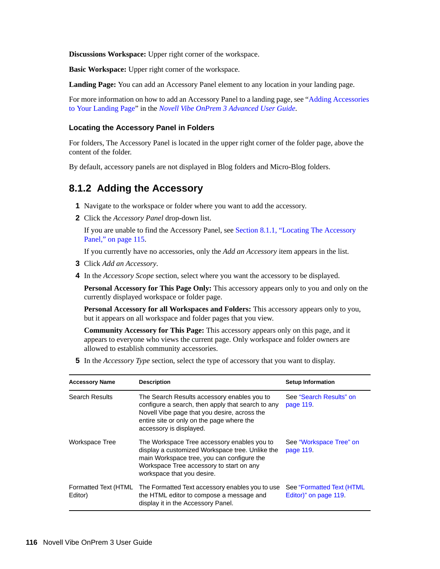**Discussions Workspace:** Upper right corner of the workspace.

**Basic Workspace:** Upper right corner of the workspace.

**Landing Page:** You can add an Accessory Panel element to any location in your landing page.

For more information on how to add an Accessory Panel to a landing page, see "Adding Accessories to Your Landing Page" in the *Novell Vibe OnPrem 3 Advanced User Guide*.

#### <span id="page-115-1"></span>**Locating the Accessory Panel in Folders**

For folders, The Accessory Panel is located in the upper right corner of the folder page, above the content of the folder.

By default, accessory panels are not displayed in Blog folders and Micro-Blog folders.

#### <span id="page-115-2"></span>**8.1.2 Adding the Accessory**

- **1** Navigate to the workspace or folder where you want to add the accessory.
- **2** Click the *Accessory Panel* drop-down list.

If you are unable to find the Accessory Panel, see [Section 8.1.1, "Locating The Accessory](#page-114-2)  [Panel," on page 115](#page-114-2).

If you currently have no accessories, only the *Add an Accessory* item appears in the list.

- **3** Click *Add an Accessory*.
- **4** In the *Accessory Scope* section, select where you want the accessory to be displayed.

Personal Accessory for This Page Only: This accessory appears only to you and only on the currently displayed workspace or folder page.

**Personal Accessory for all Workspaces and Folders:** This accessory appears only to you, but it appears on all workspace and folder pages that you view.

**Community Accessory for This Page:** This accessory appears only on this page, and it appears to everyone who views the current page. Only workspace and folder owners are allowed to establish community accessories.

<span id="page-115-0"></span>**5** In the *Accessory Type* section, select the type of accessory that you want to display.

| <b>Accessory Name</b>           | <b>Description</b>                                                                                                                                                                                                       | <b>Setup Information</b>                           |
|---------------------------------|--------------------------------------------------------------------------------------------------------------------------------------------------------------------------------------------------------------------------|----------------------------------------------------|
| <b>Search Results</b>           | The Search Results accessory enables you to<br>configure a search, then apply that search to any<br>Novell Vibe page that you desire, across the<br>entire site or only on the page where the<br>accessory is displayed. | See "Search Results" on<br>page 119.               |
| Workspace Tree                  | The Workspace Tree accessory enables you to<br>display a customized Workspace tree. Unlike the<br>main Workspace tree, you can configure the<br>Workspace Tree accessory to start on any<br>workspace that you desire.   | See "Workspace Tree" on<br>page 119.               |
| Formatted Text (HTML<br>Editor) | The Formatted Text accessory enables you to use<br>the HTML editor to compose a message and<br>display it in the Accessory Panel.                                                                                        | See "Formatted Text (HTML<br>Editor)" on page 119. |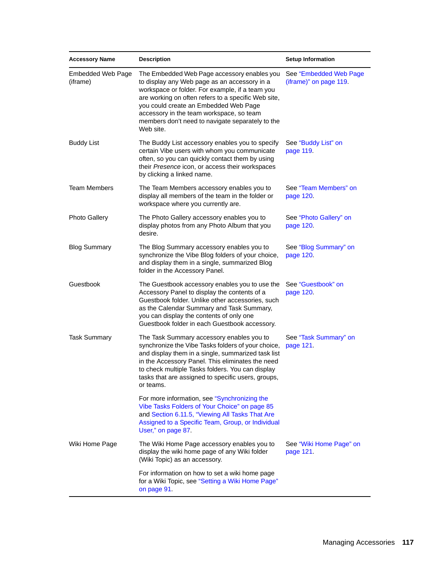| <b>Accessory Name</b>         | <b>Description</b>                                                                                                                                                                                                                                                                                                                                          | <b>Setup Information</b>                         |
|-------------------------------|-------------------------------------------------------------------------------------------------------------------------------------------------------------------------------------------------------------------------------------------------------------------------------------------------------------------------------------------------------------|--------------------------------------------------|
| Embedded Web Page<br>(iframe) | The Embedded Web Page accessory enables you<br>to display any Web page as an accessory in a<br>workspace or folder. For example, if a team you<br>are working on often refers to a specific Web site,<br>you could create an Embedded Web Page<br>accessory in the team workspace, so team<br>members don't need to navigate separately to the<br>Web site. | See "Embedded Web Page<br>(iframe)" on page 119. |
| <b>Buddy List</b>             | The Buddy List accessory enables you to specify<br>certain Vibe users with whom you communicate<br>often, so you can quickly contact them by using<br>their Presence icon, or access their workspaces<br>by clicking a linked name.                                                                                                                         | See "Buddy List" on<br>page 119.                 |
| <b>Team Members</b>           | The Team Members accessory enables you to<br>display all members of the team in the folder or<br>workspace where you currently are.                                                                                                                                                                                                                         | See "Team Members" on<br>page 120                |
| <b>Photo Gallery</b>          | The Photo Gallery accessory enables you to<br>display photos from any Photo Album that you<br>desire.                                                                                                                                                                                                                                                       | See "Photo Gallery" on<br>page 120.              |
| <b>Blog Summary</b>           | The Blog Summary accessory enables you to<br>synchronize the Vibe Blog folders of your choice,<br>and display them in a single, summarized Blog<br>folder in the Accessory Panel.                                                                                                                                                                           | See "Blog Summary" on<br>page 120.               |
| Guestbook                     | The Guestbook accessory enables you to use the<br>Accessory Panel to display the contents of a<br>Guestbook folder. Unlike other accessories, such<br>as the Calendar Summary and Task Summary,<br>you can display the contents of only one<br>Guestbook folder in each Guestbook accessory.                                                                | See "Guestbook" on<br>page 120.                  |
| <b>Task Summary</b>           | The Task Summary accessory enables you to<br>synchronize the Vibe Tasks folders of your choice,<br>and display them in a single, summarized task list<br>in the Accessory Panel. This eliminates the need<br>to check multiple Tasks folders. You can display<br>tasks that are assigned to specific users, groups,<br>or teams.                            | See "Task Summary" on<br>page 121.               |
|                               | For more information, see "Synchronizing the<br>Vibe Tasks Folders of Your Choice" on page 85<br>and Section 6.11.5, "Viewing All Tasks That Are<br>Assigned to a Specific Team, Group, or Individual<br>User," on page 87.                                                                                                                                 |                                                  |
| Wiki Home Page                | The Wiki Home Page accessory enables you to<br>display the wiki home page of any Wiki folder<br>(Wiki Topic) as an accessory.                                                                                                                                                                                                                               | See "Wiki Home Page" on<br>page 121.             |
|                               | For information on how to set a wiki home page<br>for a Wiki Topic, see "Setting a Wiki Home Page"<br>on page 91.                                                                                                                                                                                                                                           |                                                  |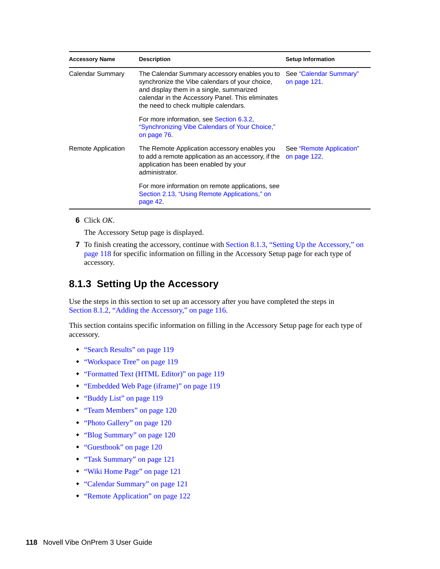| <b>Accessory Name</b> | <b>Description</b>                                                                                                                                                                                                                       | <b>Setup Information</b>                 |
|-----------------------|------------------------------------------------------------------------------------------------------------------------------------------------------------------------------------------------------------------------------------------|------------------------------------------|
| Calendar Summary      | The Calendar Summary accessory enables you to<br>synchronize the Vibe calendars of your choice,<br>and display them in a single, summarized<br>calendar in the Accessory Panel. This eliminates<br>the need to check multiple calendars. | See "Calendar Summary"<br>on page 121.   |
|                       | For more information, see Section 6.3.2,<br>"Synchronizing Vibe Calendars of Your Choice,"<br>on page 76.                                                                                                                                |                                          |
| Remote Application    | The Remote Application accessory enables you<br>to add a remote application as an accessory, if the<br>application has been enabled by your<br>administrator.                                                                            | See "Remote Application"<br>on page 122. |
|                       | For more information on remote applications, see<br>Section 2.13, "Using Remote Applications," on<br>page 42.                                                                                                                            |                                          |

**6** Click *OK*.

The Accessory Setup page is displayed.

**7** To finish creating the accessory, continue with [Section 8.1.3, "Setting Up the Accessory," on](#page-117-0)  [page 118](#page-117-0) for specific information on filling in the Accessory Setup page for each type of accessory.

#### <span id="page-117-0"></span>**8.1.3 Setting Up the Accessory**

Use the steps in this section to set up an accessory after you have completed the steps in [Section 8.1.2, "Adding the Accessory," on page 116](#page-115-2).

This section contains specific information on filling in the Accessory Setup page for each type of accessory.

- ["Search Results" on page 119](#page-118-0)
- ["Workspace Tree" on page 119](#page-118-1)
- ["Formatted Text \(HTML Editor\)" on page 119](#page-118-2)
- ["Embedded Web Page \(iframe\)" on page 119](#page-118-3)
- ["Buddy List" on page 119](#page-118-4)
- ["Team Members" on page 120](#page-119-0)
- ["Photo Gallery" on page 120](#page-119-1)
- ["Blog Summary" on page 120](#page-119-2)
- ["Guestbook" on page 120](#page-119-3)
- ["Task Summary" on page 121](#page-120-0)
- ["Wiki Home Page" on page 121](#page-120-1)
- ["Calendar Summary" on page 121](#page-120-2)
- ["Remote Application" on page 122](#page-121-2)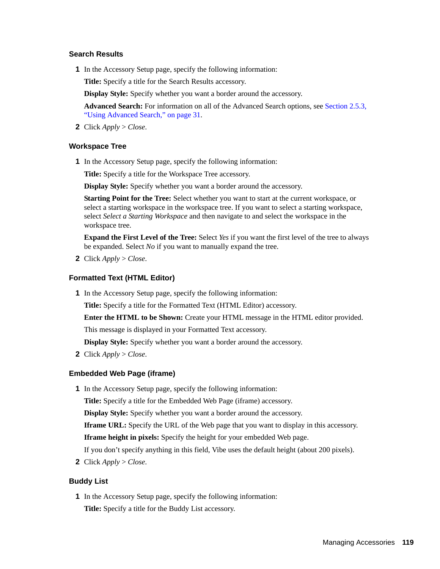#### <span id="page-118-0"></span>**Search Results**

**1** In the Accessory Setup page, specify the following information:

**Title:** Specify a title for the Search Results accessory.

**Display Style:** Specify whether you want a border around the accessory.

**Advanced Search:** For information on all of the Advanced Search options, see [Section 2.5.3,](#page-30-0)  ["Using Advanced Search," on page 31](#page-30-0).

**2** Click *Apply* > *Close*.

#### <span id="page-118-1"></span>**Workspace Tree**

**1** In the Accessory Setup page, specify the following information:

**Title:** Specify a title for the Workspace Tree accessory.

**Display Style:** Specify whether you want a border around the accessory.

**Starting Point for the Tree:** Select whether you want to start at the current workspace, or select a starting workspace in the workspace tree. If you want to select a starting workspace, select *Select a Starting Workspace* and then navigate to and select the workspace in the workspace tree.

**Expand the First Level of the Tree:** Select *Yes* if you want the first level of the tree to always be expanded. Select *No* if you want to manually expand the tree.

**2** Click *Apply* > *Close*.

#### <span id="page-118-2"></span>**Formatted Text (HTML Editor)**

**1** In the Accessory Setup page, specify the following information:

**Title:** Specify a title for the Formatted Text (HTML Editor) accessory.

**Enter the HTML to be Shown:** Create your HTML message in the HTML editor provided.

This message is displayed in your Formatted Text accessory.

**Display Style:** Specify whether you want a border around the accessory.

**2** Click *Apply* > *Close*.

#### <span id="page-118-3"></span>**Embedded Web Page (iframe)**

**1** In the Accessory Setup page, specify the following information:

**Title:** Specify a title for the Embedded Web Page (iframe) accessory.

**Display Style:** Specify whether you want a border around the accessory.

**Iframe URL:** Specify the URL of the Web page that you want to display in this accessory.

**Iframe height in pixels:** Specify the height for your embedded Web page.

If you don't specify anything in this field, Vibe uses the default height (about 200 pixels).

**2** Click *Apply* > *Close*.

#### <span id="page-118-4"></span>**Buddy List**

**1** In the Accessory Setup page, specify the following information: **Title:** Specify a title for the Buddy List accessory.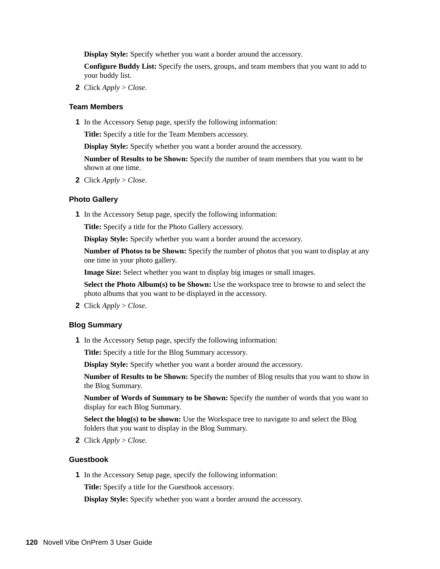**Display Style:** Specify whether you want a border around the accessory.

**Configure Buddy List:** Specify the users, groups, and team members that you want to add to your buddy list.

**2** Click *Apply* > *Close*.

#### <span id="page-119-0"></span>**Team Members**

**1** In the Accessory Setup page, specify the following information:

**Title:** Specify a title for the Team Members accessory.

**Display Style:** Specify whether you want a border around the accessory.

**Number of Results to be Shown:** Specify the number of team members that you want to be shown at one time.

**2** Click *Apply* > *Close*.

#### <span id="page-119-1"></span>**Photo Gallery**

**1** In the Accessory Setup page, specify the following information:

**Title:** Specify a title for the Photo Gallery accessory.

**Display Style:** Specify whether you want a border around the accessory.

**Number of Photos to be Shown:** Specify the number of photos that you want to display at any one time in your photo gallery.

**Image Size:** Select whether you want to display big images or small images.

**Select the Photo Album(s) to be Shown:** Use the workspace tree to browse to and select the photo albums that you want to be displayed in the accessory.

**2** Click *Apply* > *Close*.

#### <span id="page-119-2"></span>**Blog Summary**

**1** In the Accessory Setup page, specify the following information:

**Title:** Specify a title for the Blog Summary accessory.

**Display Style:** Specify whether you want a border around the accessory.

**Number of Results to be Shown:** Specify the number of Blog results that you want to show in the Blog Summary.

**Number of Words of Summary to be Shown:** Specify the number of words that you want to display for each Blog Summary.

**Select the blog(s) to be shown:** Use the Workspace tree to navigate to and select the Blog folders that you want to display in the Blog Summary.

**2** Click *Apply* > *Close*.

#### <span id="page-119-3"></span>**Guestbook**

**1** In the Accessory Setup page, specify the following information:

**Title:** Specify a title for the Guestbook accessory.

**Display Style:** Specify whether you want a border around the accessory.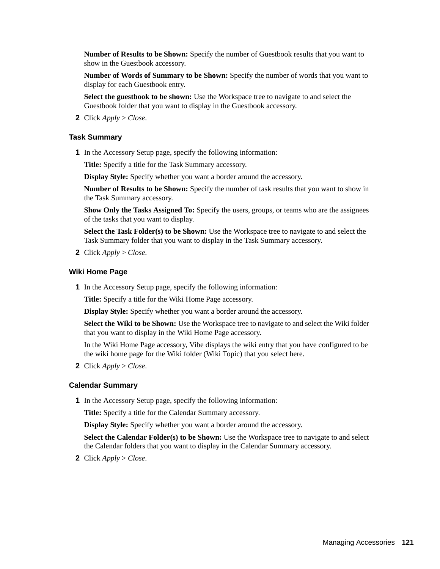**Number of Results to be Shown:** Specify the number of Guestbook results that you want to show in the Guestbook accessory.

**Number of Words of Summary to be Shown:** Specify the number of words that you want to display for each Guestbook entry.

**Select the guestbook to be shown:** Use the Workspace tree to navigate to and select the Guestbook folder that you want to display in the Guestbook accessory.

**2** Click *Apply* > *Close*.

#### <span id="page-120-0"></span>**Task Summary**

**1** In the Accessory Setup page, specify the following information:

**Title:** Specify a title for the Task Summary accessory.

**Display Style:** Specify whether you want a border around the accessory.

**Number of Results to be Shown:** Specify the number of task results that you want to show in the Task Summary accessory.

**Show Only the Tasks Assigned To:** Specify the users, groups, or teams who are the assignees of the tasks that you want to display.

**Select the Task Folder(s) to be Shown:** Use the Workspace tree to navigate to and select the Task Summary folder that you want to display in the Task Summary accessory.

**2** Click *Apply* > *Close*.

#### <span id="page-120-1"></span>**Wiki Home Page**

**1** In the Accessory Setup page, specify the following information:

**Title:** Specify a title for the Wiki Home Page accessory.

**Display Style:** Specify whether you want a border around the accessory.

**Select the Wiki to be Shown:** Use the Workspace tree to navigate to and select the Wiki folder that you want to display in the Wiki Home Page accessory.

In the Wiki Home Page accessory, Vibe displays the wiki entry that you have configured to be the wiki home page for the Wiki folder (Wiki Topic) that you select here.

**2** Click *Apply* > *Close*.

#### <span id="page-120-2"></span>**Calendar Summary**

**1** In the Accessory Setup page, specify the following information:

**Title:** Specify a title for the Calendar Summary accessory.

**Display Style:** Specify whether you want a border around the accessory.

**Select the Calendar Folder(s) to be Shown:** Use the Workspace tree to navigate to and select the Calendar folders that you want to display in the Calendar Summary accessory.

**2** Click *Apply* > *Close*.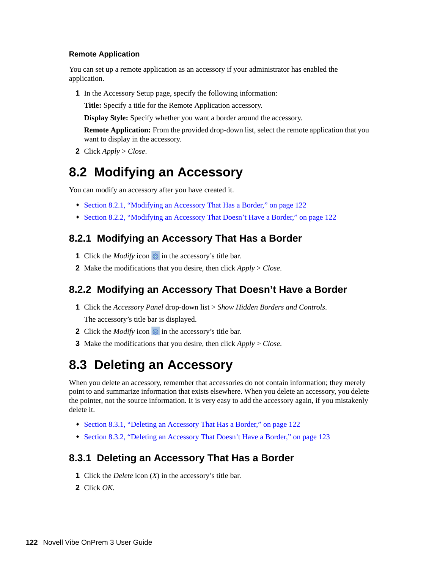#### <span id="page-121-2"></span>**Remote Application**

You can set up a remote application as an accessory if your administrator has enabled the application.

**1** In the Accessory Setup page, specify the following information:

**Title:** Specify a title for the Remote Application accessory.

**Display Style:** Specify whether you want a border around the accessory.

**Remote Application:** From the provided drop-down list, select the remote application that you want to display in the accessory.

**2** Click *Apply* > *Close*.

### <span id="page-121-0"></span>**8.2 Modifying an Accessory**

You can modify an accessory after you have created it.

- [Section 8.2.1, "Modifying an Accessory That Has a Border," on page 122](#page-121-3)
- [Section 8.2.2, "Modifying an Accessory That Doesn't Have a Border," on page 122](#page-121-4)

#### <span id="page-121-3"></span>**8.2.1 Modifying an Accessory That Has a Border**

- **1** Click the *Modify* icon **in** in the accessory's title bar.
- **2** Make the modifications that you desire, then click *Apply* > *Close*.

#### <span id="page-121-4"></span>**8.2.2 Modifying an Accessory That Doesn't Have a Border**

- **1** Click the *Accessory Panel* drop-down list > *Show Hidden Borders and Controls*. The accessory's title bar is displayed.
- **2** Click the *Modify* icon **in** the accessory's title bar.
- **3** Make the modifications that you desire, then click *Apply* > *Close*.

### <span id="page-121-1"></span>**8.3 Deleting an Accessory**

When you delete an accessory, remember that accessories do not contain information; they merely point to and summarize information that exists elsewhere. When you delete an accessory, you delete the pointer, not the source information. It is very easy to add the accessory again, if you mistakenly delete it.

- [Section 8.3.1, "Deleting an Accessory That Has a Border," on page 122](#page-121-5)
- [Section 8.3.2, "Deleting an Accessory That Doesn't Have a Border," on page 123](#page-122-4)

#### <span id="page-121-5"></span>**8.3.1 Deleting an Accessory That Has a Border**

- **1** Click the *Delete* icon (*X*) in the accessory's title bar.
- **2** Click *OK*.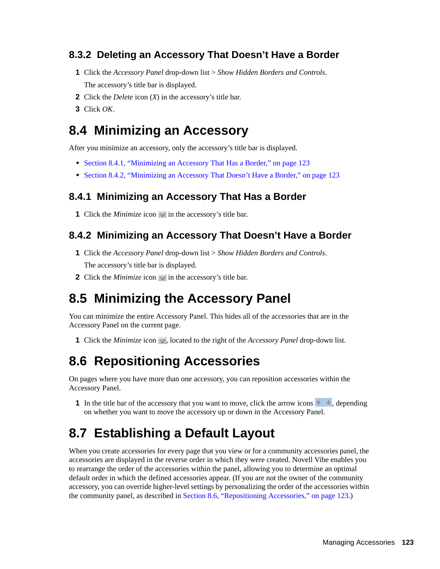### <span id="page-122-4"></span>**8.3.2 Deleting an Accessory That Doesn't Have a Border**

- **1** Click the *Accessory Panel* drop-down list > *Show Hidden Borders and Controls*. The accessory's title bar is displayed.
- **2** Click the *Delete* icon (*X*) in the accessory's title bar.
- **3** Click *OK*.

### <span id="page-122-0"></span>**8.4 Minimizing an Accessory**

After you minimize an accessory, only the accessory's title bar is displayed.

- [Section 8.4.1, "Minimizing an Accessory That Has a Border," on page 123](#page-122-5)
- [Section 8.4.2, "Minimizing an Accessory That Doesn't Have a Border," on page 123](#page-122-6)

#### <span id="page-122-5"></span>**8.4.1 Minimizing an Accessory That Has a Border**

**1** Click the *Minimize* icon  $\Box$  in the accessory's title bar.

#### <span id="page-122-6"></span>**8.4.2 Minimizing an Accessory That Doesn't Have a Border**

- **1** Click the *Accessory Panel* drop-down list > *Show Hidden Borders and Controls*. The accessory's title bar is displayed.
- **2** Click the *Minimize* icon  $\sqrt{}$  in the accessory's title bar.

### <span id="page-122-1"></span>**8.5 Minimizing the Accessory Panel**

You can minimize the entire Accessory Panel. This hides all of the accessories that are in the Accessory Panel on the current page.

**1** Click the *Minimize* icon  $\sim$ , located to the right of the *Accessory Panel* drop-down list.

### <span id="page-122-2"></span>**8.6 Repositioning Accessories**

On pages where you have more than one accessory, you can reposition accessories within the Accessory Panel.

**1** In the title bar of the accessory that you want to move, click the arrow icons  $\rightarrow \frac{1}{2}$ , depending on whether you want to move the accessory up or down in the Accessory Panel.

### <span id="page-122-3"></span>**8.7 Establishing a Default Layout**

When you create accessories for every page that you view or for a community accessories panel, the accessories are displayed in the reverse order in which they were created. Novell Vibe enables you to rearrange the order of the accessories within the panel, allowing you to determine an optimal default order in which the defined accessories appear. (If you are not the owner of the community accessory, you can override higher-level settings by personalizing the order of the accessories within the community panel, as described in [Section 8.6, "Repositioning Accessories," on page 123.](#page-122-2))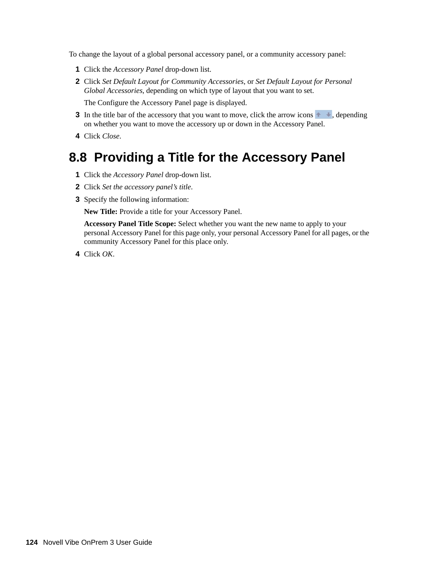To change the layout of a global personal accessory panel, or a community accessory panel:

- **1** Click the *Accessory Panel* drop-down list.
- **2** Click *Set Default Layout for Community Accessories*, or *Set Default Layout for Personal Global Accessories*, depending on which type of layout that you want to set.

The Configure the Accessory Panel page is displayed.

- **3** In the title bar of the accessory that you want to move, click the arrow icons  $\rightarrow \frac{1}{2}$ , depending on whether you want to move the accessory up or down in the Accessory Panel.
- **4** Click *Close*.

### <span id="page-123-0"></span>**8.8 Providing a Title for the Accessory Panel**

- **1** Click the *Accessory Panel* drop-down list.
- **2** Click *Set the accessory panel's title*.
- **3** Specify the following information:

**New Title:** Provide a title for your Accessory Panel.

**Accessory Panel Title Scope:** Select whether you want the new name to apply to your personal Accessory Panel for this page only, your personal Accessory Panel for all pages, or the community Accessory Panel for this place only.

**4** Click *OK*.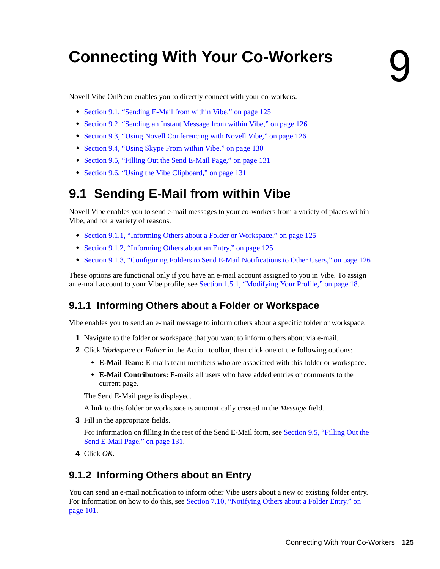# <sup>9</sup>**Connecting With Your Co-Workers**

Novell Vibe OnPrem enables you to directly connect with your co-workers.

- [Section 9.1, "Sending E-Mail from within Vibe," on page 125](#page-124-0)
- [Section 9.2, "Sending an Instant Message from within Vibe," on page 126](#page-125-1)
- [Section 9.3, "Using Novell Conferencing with Novell Vibe," on page 126](#page-125-2)
- [Section 9.4, "Using Skype From within Vibe," on page 130](#page-129-0)
- [Section 9.5, "Filling Out the Send E-Mail Page," on page 131](#page-130-0)
- [Section 9.6, "Using the Vibe Clipboard," on page 131](#page-130-1)

## <span id="page-124-0"></span>**9.1 Sending E-Mail from within Vibe**

Novell Vibe enables you to send e-mail messages to your co-workers from a variety of places within Vibe, and for a variety of reasons.

- [Section 9.1.1, "Informing Others about a Folder or Workspace," on page 125](#page-124-1)
- [Section 9.1.2, "Informing Others about an Entry," on page 125](#page-124-2)
- [Section 9.1.3, "Configuring Folders to Send E-Mail Notifications to Other Users," on page 126](#page-125-0)

These options are functional only if you have an e-mail account assigned to you in Vibe. To assign an e-mail account to your Vibe profile, see [Section 1.5.1, "Modifying Your Profile," on page 18.](#page-17-0)

### <span id="page-124-1"></span>**9.1.1 Informing Others about a Folder or Workspace**

Vibe enables you to send an e-mail message to inform others about a specific folder or workspace.

- **1** Navigate to the folder or workspace that you want to inform others about via e-mail.
- **2** Click *Workspace* or *Folder* in the Action toolbar, then click one of the following options:
	- **E-Mail Team:** E-mails team members who are associated with this folder or workspace.
	- **E-Mail Contributors:** E-mails all users who have added entries or comments to the current page.

The Send E-Mail page is displayed.

A link to this folder or workspace is automatically created in the *Message* field.

**3** Fill in the appropriate fields.

For information on filling in the rest of the Send E-Mail form, see [Section 9.5, "Filling Out the](#page-130-0)  [Send E-Mail Page," on page 131.](#page-130-0)

**4** Click *OK*.

### <span id="page-124-2"></span>**9.1.2 Informing Others about an Entry**

You can send an e-mail notification to inform other Vibe users about a new or existing folder entry. For information on how to do this, see [Section 7.10, "Notifying Others about a Folder Entry," on](#page-100-0)  [page 101](#page-100-0).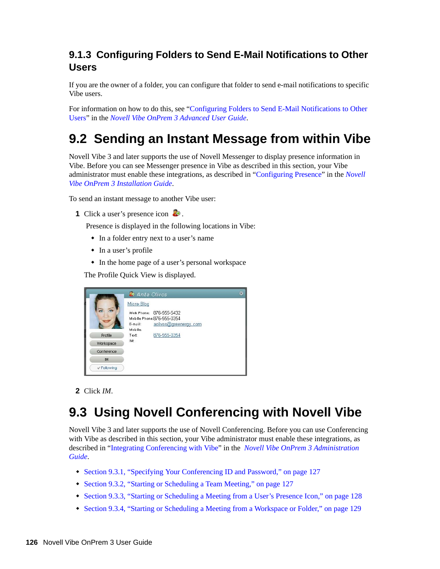### <span id="page-125-0"></span>**9.1.3 Configuring Folders to Send E-Mail Notifications to Other Users**

If you are the owner of a folder, you can configure that folder to send e-mail notifications to specific Vibe users.

For information on how to do this, see "Configuring Folders to Send E-Mail Notifications to Other Users" in the *Novell Vibe OnPrem 3 Advanced User Guide*.

## <span id="page-125-1"></span>**9.2 Sending an Instant Message from within Vibe**

Novell Vibe 3 and later supports the use of Novell Messenger to display presence information in Vibe. Before you can see Messenger presence in Vibe as described in this section, your Vibe administrator must enable these integrations, as described in "Configuring Presence" in the *Novell Vibe OnPrem 3 Installation Guide*.

To send an instant message to another Vibe user:

**1** Click a user's presence icon **.** 

Presence is displayed in the following locations in Vibe:

- In a folder entry next to a user's name
- In a user's profile
- In the home page of a user's personal workspace

The Profile Quick View is displayed.

|            | <b>D</b> Anita Olivos                                 | ø |
|------------|-------------------------------------------------------|---|
|            | Micro-Blog                                            |   |
|            | Work Phone: 876-555-5432<br>Mobile Phone:876-555-0354 |   |
|            | aolivos@greenergy.com<br>E-mail:<br>Mobile:           |   |
| Profile    | 876-555-0354<br>Text:                                 |   |
| Workspace  | IM:                                                   |   |
| Conference |                                                       |   |
| IM.        |                                                       |   |
| Following  |                                                       |   |

#### **2** Click *IM*.

## <span id="page-125-2"></span>**9.3 Using Novell Conferencing with Novell Vibe**

Novell Vibe 3 and later supports the use of Novell Conferencing. Before you can use Conferencing with Vibe as described in this section, your Vibe administrator must enable these integrations, as described in "Integrating Conferencing with Vibe" in the *Novell Vibe OnPrem 3 Administration Guide*.

- [Section 9.3.1, "Specifying Your Conferencing ID and Password," on page 127](#page-126-0)
- [Section 9.3.2, "Starting or Scheduling a Team Meeting," on page 127](#page-126-1)
- [Section 9.3.3, "Starting or Scheduling a Meeting from a User's Presence Icon," on page 128](#page-127-0)
- [Section 9.3.4, "Starting or Scheduling a Meeting from a Workspace or Folder," on page 129](#page-128-0)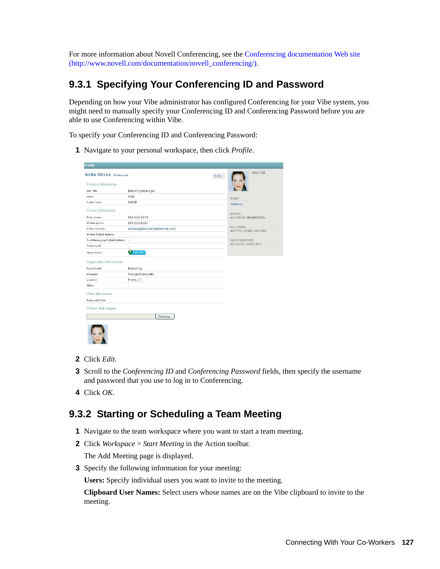For more information about Novell Conferencing, see the [Conferencing documentation Web site](http://www.novell.com/documentation/novell_conferencing/)  (http://www.novell.com/documentation/novell\_conferencing/).

### <span id="page-126-0"></span>**9.3.1 Specifying Your Conferencing ID and Password**

Depending on how your Vibe administrator has configured Conferencing for your Vibe system, you might need to manually specify your Conferencing ID and Conferencing Password before you are able to use Conferencing within Vibe.

To specify your Conferencing ID and Conferencing Password:

**1** Navigate to your personal workspace, then click *Profile*.

| <b>Anita Olivos Workspace</b>  |                             | Edit                                               |
|--------------------------------|-----------------------------|----------------------------------------------------|
| Personal Information           |                             |                                                    |
| Job Title:                     | Marketing Manager           |                                                    |
| State:                         | Utah                        | <b>TEAMS</b>                                       |
| Postal Code:                   | 84606                       | Marketing                                          |
| Contact Information            |                             |                                                    |
| Work phone:                    | 801-555-5678                | <b>GROUPS</b><br><no group="" memberships=""></no> |
| Mobile phone:                  | 801-555-6897                |                                                    |
| E-Mail Address:                | aolivos@yourcompanyname.com | <b>FOLLOWING</b>                                   |
| Mobile E-Mail Address:         | $\sim$                      | <not anyone="" following=""></not>                 |
| Text Messaging E-Mail Address: | ŵ,                          | SAVED SEARCHES                                     |
| Presence ID:                   | à,                          | <no saved="" searches=""></no>                     |
| Skype Name:                    | Call me!                    |                                                    |
| Organization Information       |                             |                                                    |
| Department:                    | Marketing                   |                                                    |
| Manager:                       | George Kenopolis            |                                                    |
| Location:                      | Provo, UT                   |                                                    |
| Office:                        | ä,                          |                                                    |
| Other Information              |                             |                                                    |
| Responsibilities:              |                             |                                                    |
| Photos And Images              |                             |                                                    |
|                                |                             |                                                    |
|                                | Browse                      |                                                    |

- **2** Click *Edit*.
- **3** Scroll to the *Conferencing ID* and *Conferencing Password* fields, then specify the username and password that you use to log in to Conferencing.
- **4** Click *OK*.

### <span id="page-126-1"></span>**9.3.2 Starting or Scheduling a Team Meeting**

- **1** Navigate to the team workspace where you want to start a team meeting.
- **2** Click *Workspace* > *Start Meeting* in the Action toolbar.

The Add Meeting page is displayed.

**3** Specify the following information for your meeting:

**Users:** Specify individual users you want to invite to the meeting.

**Clipboard User Names:** Select users whose names are on the Vibe clipboard to invite to the meeting.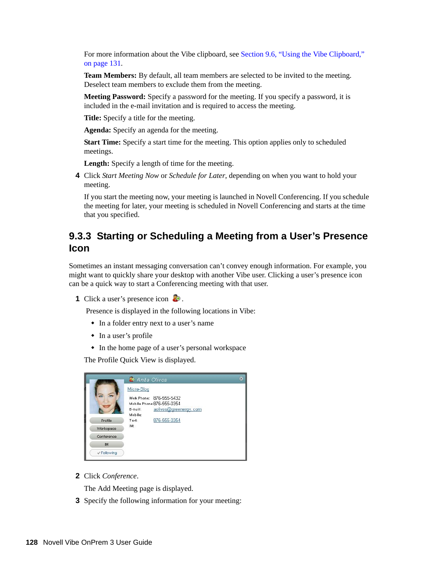For more information about the Vibe clipboard, see Section 9.6, "Using the Vibe Clipboard," [on page 131](#page-130-1).

**Team Members:** By default, all team members are selected to be invited to the meeting. Deselect team members to exclude them from the meeting.

**Meeting Password:** Specify a password for the meeting. If you specify a password, it is included in the e-mail invitation and is required to access the meeting.

**Title:** Specify a title for the meeting.

**Agenda:** Specify an agenda for the meeting.

**Start Time:** Specify a start time for the meeting. This option applies only to scheduled meetings.

Length: Specify a length of time for the meeting.

**4** Click *Start Meeting Now* or *Schedule for Later*, depending on when you want to hold your meeting.

If you start the meeting now, your meeting is launched in Novell Conferencing. If you schedule the meeting for later, your meeting is scheduled in Novell Conferencing and starts at the time that you specified.

#### <span id="page-127-0"></span>**9.3.3 Starting or Scheduling a Meeting from a User's Presence Icon**

Sometimes an instant messaging conversation can't convey enough information. For example, you might want to quickly share your desktop with another Vibe user. Clicking a user's presence icon can be a quick way to start a Conferencing meeting with that user.

**1** Click a user's presence icon .

Presence is displayed in the following locations in Vibe:

- In a folder entry next to a user's name
- In a user's profile
- In the home page of a user's personal workspace

The Profile Quick View is displayed.

|            | <b>D</b> Anita Olivos                                  |  |
|------------|--------------------------------------------------------|--|
|            | Micro-Blog                                             |  |
|            | Work Phone: 876-555-5432<br>Mobile Phone: 876-555-0354 |  |
|            | aolivos@greenergy.com<br>E-mail:<br>Mobile:            |  |
| Profile    | 876-555-0354<br>Text:                                  |  |
| Workspace  | IM:                                                    |  |
| Conference |                                                        |  |
| IM.        |                                                        |  |
| Following  |                                                        |  |

**2** Click *Conference*.

The Add Meeting page is displayed.

**3** Specify the following information for your meeting: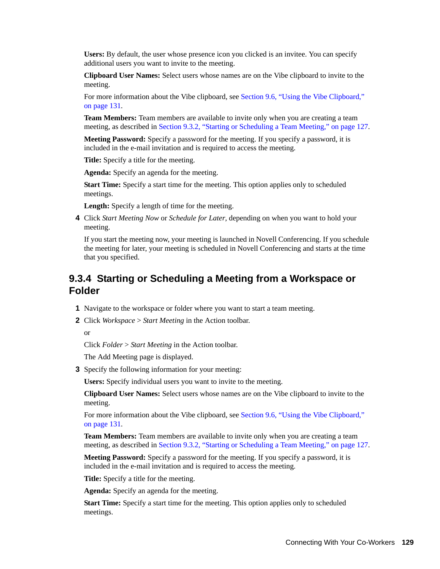**Users:** By default, the user whose presence icon you clicked is an invitee. You can specify additional users you want to invite to the meeting.

**Clipboard User Names:** Select users whose names are on the Vibe clipboard to invite to the meeting.

For more information about the Vibe clipboard, see [Section 9.6, "Using the Vibe Clipboard,"](#page-130-1)  [on page 131](#page-130-1).

**Team Members:** Team members are available to invite only when you are creating a team meeting, as described in [Section 9.3.2, "Starting or Scheduling a Team Meeting," on page 127](#page-126-1).

**Meeting Password:** Specify a password for the meeting. If you specify a password, it is included in the e-mail invitation and is required to access the meeting.

**Title:** Specify a title for the meeting.

**Agenda:** Specify an agenda for the meeting.

**Start Time:** Specify a start time for the meeting. This option applies only to scheduled meetings.

Length: Specify a length of time for the meeting.

**4** Click *Start Meeting Now* or *Schedule for Later*, depending on when you want to hold your meeting.

If you start the meeting now, your meeting is launched in Novell Conferencing. If you schedule the meeting for later, your meeting is scheduled in Novell Conferencing and starts at the time that you specified.

### <span id="page-128-0"></span>**9.3.4 Starting or Scheduling a Meeting from a Workspace or Folder**

- **1** Navigate to the workspace or folder where you want to start a team meeting.
- **2** Click *Workspace* > *Start Meeting* in the Action toolbar.

or

Click *Folder* > *Start Meeting* in the Action toolbar.

The Add Meeting page is displayed.

**3** Specify the following information for your meeting:

**Users:** Specify individual users you want to invite to the meeting.

**Clipboard User Names:** Select users whose names are on the Vibe clipboard to invite to the meeting.

For more information about the Vibe clipboard, see [Section 9.6, "Using the Vibe Clipboard,"](#page-130-1)  [on page 131](#page-130-1).

**Team Members:** Team members are available to invite only when you are creating a team meeting, as described in [Section 9.3.2, "Starting or Scheduling a Team Meeting," on page 127](#page-126-1).

**Meeting Password:** Specify a password for the meeting. If you specify a password, it is included in the e-mail invitation and is required to access the meeting.

**Title:** Specify a title for the meeting.

**Agenda:** Specify an agenda for the meeting.

**Start Time:** Specify a start time for the meeting. This option applies only to scheduled meetings.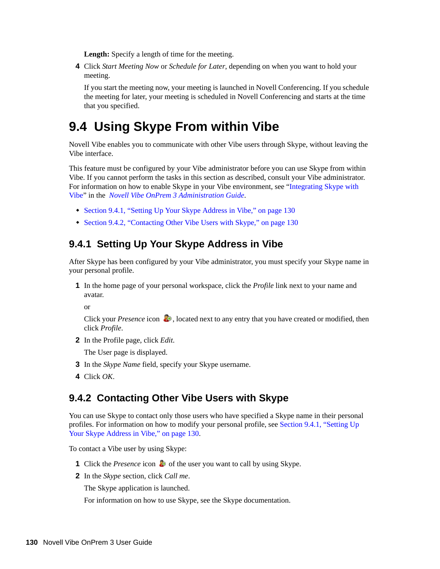Length: Specify a length of time for the meeting.

**4** Click *Start Meeting Now* or *Schedule for Later*, depending on when you want to hold your meeting.

If you start the meeting now, your meeting is launched in Novell Conferencing. If you schedule the meeting for later, your meeting is scheduled in Novell Conferencing and starts at the time that you specified.

### <span id="page-129-0"></span>**9.4 Using Skype From within Vibe**

Novell Vibe enables you to communicate with other Vibe users through Skype, without leaving the Vibe interface.

This feature must be configured by your Vibe administrator before you can use Skype from within Vibe. If you cannot perform the tasks in this section as described, consult your Vibe administrator. For information on how to enable Skype in your Vibe environment, see "Integrating Skype with Vibe" in the *Novell Vibe OnPrem 3 Administration Guide*.

- [Section 9.4.1, "Setting Up Your Skype Address in Vibe," on page 130](#page-129-1)
- [Section 9.4.2, "Contacting Other Vibe Users with Skype," on page 130](#page-129-2)

#### <span id="page-129-1"></span>**9.4.1 Setting Up Your Skype Address in Vibe**

After Skype has been configured by your Vibe administrator, you must specify your Skype name in your personal profile.

**1** In the home page of your personal workspace, click the *Profile* link next to your name and avatar.

or

Click your *Presence* icon **to**, located next to any entry that you have created or modified, then click *Profile*.

**2** In the Profile page, click *Edit*.

The User page is displayed.

- **3** In the *Skype Name* field, specify your Skype username.
- **4** Click *OK*.

#### <span id="page-129-2"></span>**9.4.2 Contacting Other Vibe Users with Skype**

You can use Skype to contact only those users who have specified a Skype name in their personal profiles. For information on how to modify your personal profile, see [Section 9.4.1, "Setting Up](#page-129-1)  [Your Skype Address in Vibe," on page 130.](#page-129-1)

To contact a Vibe user by using Skype:

- **1** Click the *Presence* icon **o** of the user you want to call by using Skype.
- **2** In the *Skype* section, click *Call me*.

The Skype application is launched.

For information on how to use Skype, see the Skype documentation.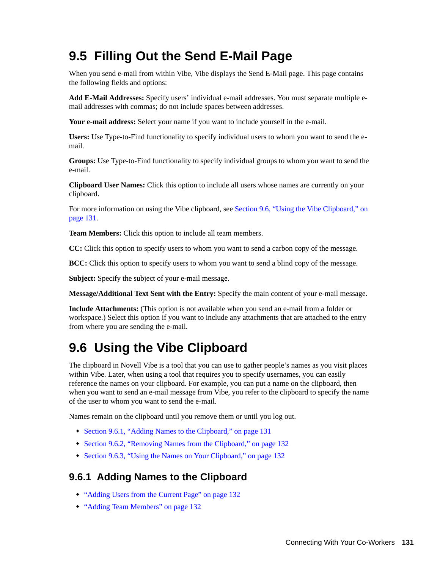## <span id="page-130-0"></span>**9.5 Filling Out the Send E-Mail Page**

When you send e-mail from within Vibe, Vibe displays the Send E-Mail page. This page contains the following fields and options:

**Add E-Mail Addresses:** Specify users' individual e-mail addresses. You must separate multiple email addresses with commas; do not include spaces between addresses.

**Your e-mail address:** Select your name if you want to include yourself in the e-mail.

**Users:** Use Type-to-Find functionality to specify individual users to whom you want to send the email.

**Groups:** Use Type-to-Find functionality to specify individual groups to whom you want to send the e-mail.

**Clipboard User Names:** Click this option to include all users whose names are currently on your clipboard.

For more information on using the Vibe clipboard, see [Section 9.6, "Using the Vibe Clipboard," on](#page-130-1)  [page 131](#page-130-1).

**Team Members:** Click this option to include all team members.

**CC:** Click this option to specify users to whom you want to send a carbon copy of the message.

**BCC:** Click this option to specify users to whom you want to send a blind copy of the message.

**Subject:** Specify the subject of your e-mail message.

**Message/Additional Text Sent with the Entry:** Specify the main content of your e-mail message.

**Include Attachments:** (This option is not available when you send an e-mail from a folder or workspace.) Select this option if you want to include any attachments that are attached to the entry from where you are sending the e-mail.

## <span id="page-130-1"></span>**9.6 Using the Vibe Clipboard**

The clipboard in Novell Vibe is a tool that you can use to gather people's names as you visit places within Vibe. Later, when using a tool that requires you to specify usernames, you can easily reference the names on your clipboard. For example, you can put a name on the clipboard, then when you want to send an e-mail message from Vibe, you refer to the clipboard to specify the name of the user to whom you want to send the e-mail.

Names remain on the clipboard until you remove them or until you log out.

- [Section 9.6.1, "Adding Names to the Clipboard," on page 131](#page-130-2)
- [Section 9.6.2, "Removing Names from the Clipboard," on page 132](#page-131-2)
- [Section 9.6.3, "Using the Names on Your Clipboard," on page 132](#page-131-3)

#### <span id="page-130-2"></span>**9.6.1 Adding Names to the Clipboard**

- ["Adding Users from the Current Page" on page 132](#page-131-0)
- ["Adding Team Members" on page 132](#page-131-1)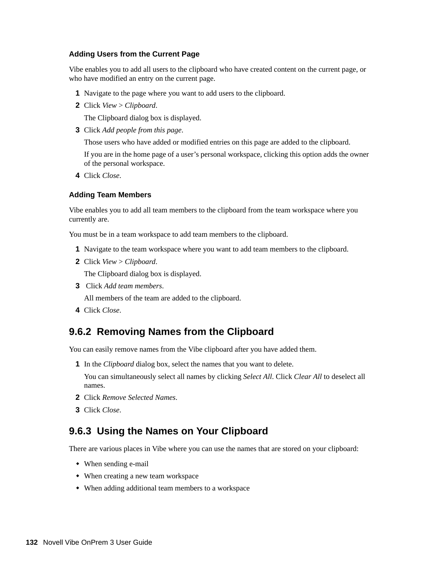#### <span id="page-131-0"></span>**Adding Users from the Current Page**

Vibe enables you to add all users to the clipboard who have created content on the current page, or who have modified an entry on the current page.

- **1** Navigate to the page where you want to add users to the clipboard.
- **2** Click *View* > *Clipboard*.

The Clipboard dialog box is displayed.

**3** Click *Add people from this page*.

Those users who have added or modified entries on this page are added to the clipboard.

If you are in the home page of a user's personal workspace, clicking this option adds the owner of the personal workspace.

**4** Click *Close*.

#### <span id="page-131-1"></span>**Adding Team Members**

Vibe enables you to add all team members to the clipboard from the team workspace where you currently are.

You must be in a team workspace to add team members to the clipboard.

- **1** Navigate to the team workspace where you want to add team members to the clipboard.
- **2** Click *View* > *Clipboard*.

The Clipboard dialog box is displayed.

**3** Click *Add team members*.

All members of the team are added to the clipboard.

**4** Click *Close*.

#### <span id="page-131-2"></span>**9.6.2 Removing Names from the Clipboard**

You can easily remove names from the Vibe clipboard after you have added them.

**1** In the *Clipboard* dialog box, select the names that you want to delete.

You can simultaneously select all names by clicking *Select All*. Click *Clear All* to deselect all names.

- **2** Click *Remove Selected Names*.
- **3** Click *Close*.

#### <span id="page-131-3"></span>**9.6.3 Using the Names on Your Clipboard**

There are various places in Vibe where you can use the names that are stored on your clipboard:

- When sending e-mail
- When creating a new team workspace
- When adding additional team members to a workspace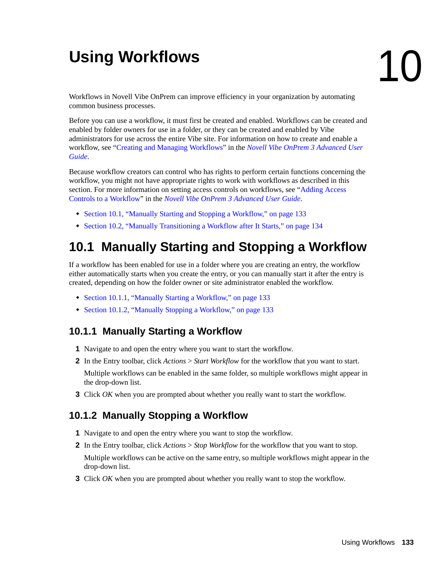# <sup>10</sup>**Using Workflows**

Workflows in Novell Vibe OnPrem can improve efficiency in your organization by automating common business processes.

Before you can use a workflow, it must first be created and enabled. Workflows can be created and enabled by folder owners for use in a folder, or they can be created and enabled by Vibe administrators for use across the entire Vibe site. For information on how to create and enable a workflow, see "Creating and Managing Workflows" in the *Novell Vibe OnPrem 3 Advanced User Guide*.

Because workflow creators can control who has rights to perform certain functions concerning the workflow, you might not have appropriate rights to work with workflows as described in this section. For more information on setting access controls on workflows, see "Adding Access Controls to a Workflow" in the *Novell Vibe OnPrem 3 Advanced User Guide*.

- [Section 10.1, "Manually Starting and Stopping a Workflow," on page 133](#page-132-0)
- [Section 10.2, "Manually Transitioning a Workflow after It Starts," on page 134](#page-133-0)

## <span id="page-132-0"></span>**10.1 Manually Starting and Stopping a Workflow**

If a workflow has been enabled for use in a folder where you are creating an entry, the workflow either automatically starts when you create the entry, or you can manually start it after the entry is created, depending on how the folder owner or site administrator enabled the workflow.

- [Section 10.1.1, "Manually Starting a Workflow," on page 133](#page-132-1)
- [Section 10.1.2, "Manually Stopping a Workflow," on page 133](#page-132-2)

### <span id="page-132-1"></span>**10.1.1 Manually Starting a Workflow**

- **1** Navigate to and open the entry where you want to start the workflow.
- **2** In the Entry toolbar, click *Actions* > *Start Workflow* for the workflow that you want to start. Multiple workflows can be enabled in the same folder, so multiple workflows might appear in the drop-down list.
- **3** Click *OK* when you are prompted about whether you really want to start the workflow.

### <span id="page-132-2"></span>**10.1.2 Manually Stopping a Workflow**

- **1** Navigate to and open the entry where you want to stop the workflow.
- **2** In the Entry toolbar, click *Actions* > *Stop Workflow* for the workflow that you want to stop. Multiple workflows can be active on the same entry, so multiple workflows might appear in the drop-down list.
- **3** Click *OK* when you are prompted about whether you really want to stop the workflow.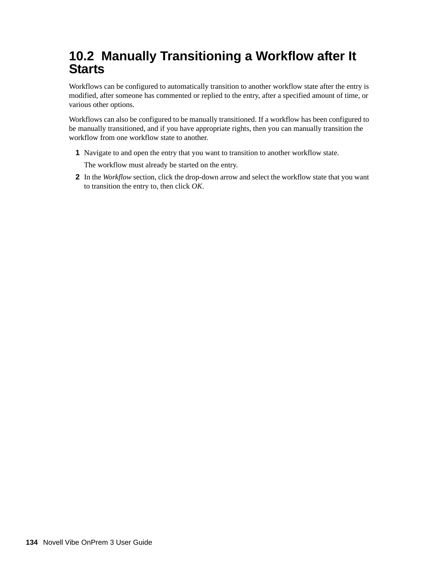## <span id="page-133-0"></span>**10.2 Manually Transitioning a Workflow after It Starts**

Workflows can be configured to automatically transition to another workflow state after the entry is modified, after someone has commented or replied to the entry, after a specified amount of time, or various other options.

Workflows can also be configured to be manually transitioned. If a workflow has been configured to be manually transitioned, and if you have appropriate rights, then you can manually transition the workflow from one workflow state to another.

- **1** Navigate to and open the entry that you want to transition to another workflow state.
	- The workflow must already be started on the entry.
- **2** In the *Workflow* section, click the drop-down arrow and select the workflow state that you want to transition the entry to, then click *OK*.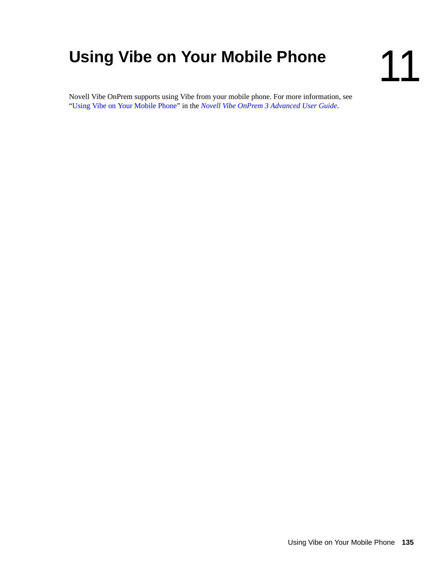# <span id="page-134-0"></span>**Using Vibe on Your Mobile Phone**

Novell Vibe OnPrem supports using Vibe from your mobile phone. For more information, see "[Using Vibe on Your Mobile Phone](#page-134-0)" in the *Novell Vibe OnPrem 3 Advanced User Guide*.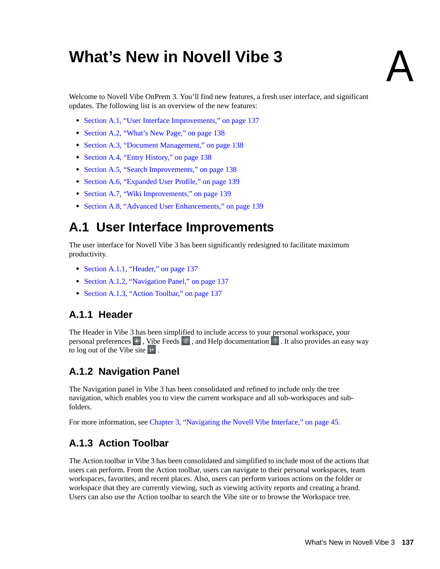# <sup>A</sup>**What's New in Novell Vibe 3**

Welcome to Novell Vibe OnPrem 3. You'll find new features, a fresh user interface, and significant updates. The following list is an overview of the new features:

- [Section A.1, "User Interface Improvements," on page 137](#page-136-0)
- [Section A.2, "What's New Page," on page 138](#page-137-0)
- [Section A.3, "Document Management," on page 138](#page-137-1)
- [Section A.4, "Entry History," on page 138](#page-137-2)
- [Section A.5, "Search Improvements," on page 138](#page-137-3)
- [Section A.6, "Expanded User Profile," on page 139](#page-138-0)
- [Section A.7, "Wiki Improvements," on page 139](#page-138-1)
- [Section A.8, "Advanced User Enhancements," on page 139](#page-138-2)

## <span id="page-136-0"></span>**A.1 User Interface Improvements**

The user interface for Novell Vibe 3 has been significantly redesigned to facilitate maximum productivity.

- [Section A.1.1, "Header," on page 137](#page-136-1)
- [Section A.1.2, "Navigation Panel," on page 137](#page-136-2)
- [Section A.1.3, "Action Toolbar," on page 137](#page-136-3)

### <span id="page-136-1"></span>**A.1.1 Header**

The Header in Vibe 3 has been simplified to include access to your personal workspace, your personal preferences  $\boxed{\cdot}$ , Vibe Feeds  $\boxed{\cdot}$ , and Help documentation  $\boxed{\cdot}$ . It also provides an easy way to log out of the Vibe site  $\mathbf{F}$ .

### <span id="page-136-2"></span>**A.1.2 Navigation Panel**

The Navigation panel in Vibe 3 has been consolidated and refined to include only the tree navigation, which enables you to view the current workspace and all sub-workspaces and subfolders.

For more information, see [Chapter 3, "Navigating the Novell Vibe Interface," on page 45.](#page-44-0)

### <span id="page-136-3"></span>**A.1.3 Action Toolbar**

The Action toolbar in Vibe 3 has been consolidated and simplified to include most of the actions that users can perform. From the Action toolbar, users can navigate to their personal workspaces, team workspaces, favorites, and recent places. Also, users can perform various actions on the folder or workspace that they are currently viewing, such as viewing activity reports and creating a brand. Users can also use the Action toolbar to search the Vibe site or to browse the Workspace tree.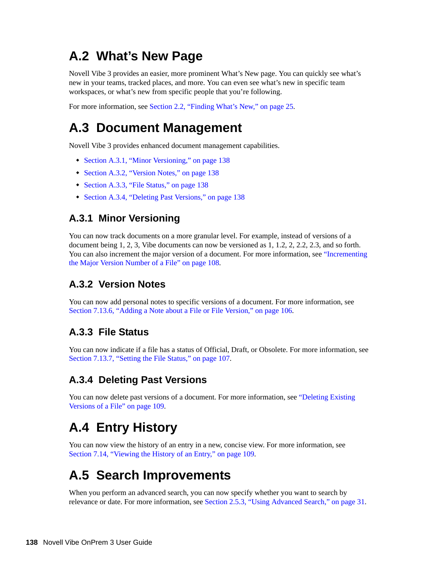## <span id="page-137-0"></span>**A.2 What's New Page**

Novell Vibe 3 provides an easier, more prominent What's New page. You can quickly see what's new in your teams, tracked places, and more. You can even see what's new in specific team workspaces, or what's new from specific people that you're following.

For more information, see [Section 2.2, "Finding What's New," on page 25](#page-24-0).

## <span id="page-137-1"></span>**A.3 Document Management**

Novell Vibe 3 provides enhanced document management capabilities.

- [Section A.3.1, "Minor Versioning," on page 138](#page-137-4)
- [Section A.3.2, "Version Notes," on page 138](#page-137-5)
- [Section A.3.3, "File Status," on page 138](#page-137-6)
- [Section A.3.4, "Deleting Past Versions," on page 138](#page-137-7)

### <span id="page-137-4"></span>**A.3.1 Minor Versioning**

You can now track documents on a more granular level. For example, instead of versions of a document being 1, 2, 3, Vibe documents can now be versioned as 1, 1.2, 2, 2.2, 2.3, and so forth. You can also increment the major version of a document. For more information, see "Incrementing the Major Version Number of a File" on page 108.

### <span id="page-137-5"></span>**A.3.2 Version Notes**

You can now add personal notes to specific versions of a document. For more information, see [Section 7.13.6, "Adding a Note about a File or File Version," on page 106.](#page-105-0)

### <span id="page-137-6"></span>**A.3.3 File Status**

You can now indicate if a file has a status of Official, Draft, or Obsolete. For more information, see [Section 7.13.7, "Setting the File Status," on page 107.](#page-106-0)

### <span id="page-137-7"></span>**A.3.4 Deleting Past Versions**

You can now delete past versions of a document. For more information, see "Deleting Existing Versions of a File" on page 109.

## <span id="page-137-2"></span>**A.4 Entry History**

You can now view the history of an entry in a new, concise view. For more information, see [Section 7.14, "Viewing the History of an Entry," on page 109.](#page-108-0)

## <span id="page-137-3"></span>**A.5 Search Improvements**

When you perform an advanced search, you can now specify whether you want to search by relevance or date. For more information, see [Section 2.5.3, "Using Advanced Search," on page 31.](#page-30-0)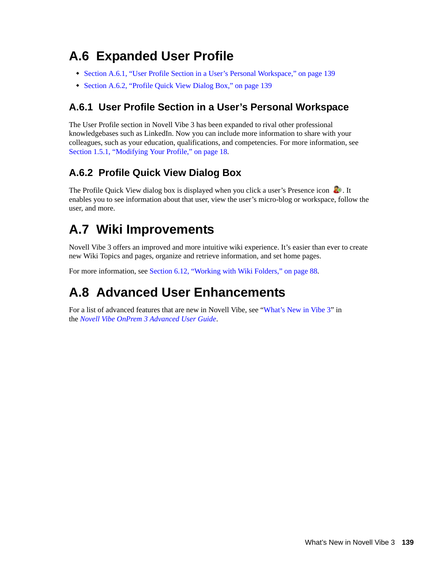## <span id="page-138-0"></span>**A.6 Expanded User Profile**

- [Section A.6.1, "User Profile Section in a User's Personal Workspace," on page 139](#page-138-3)
- [Section A.6.2, "Profile Quick View Dialog Box," on page 139](#page-138-4)

### <span id="page-138-3"></span>**A.6.1 User Profile Section in a User's Personal Workspace**

The User Profile section in Novell Vibe 3 has been expanded to rival other professional knowledgebases such as LinkedIn. Now you can include more information to share with your colleagues, such as your education, qualifications, and competencies. For more information, see [Section 1.5.1, "Modifying Your Profile," on page 18](#page-17-0).

### <span id="page-138-4"></span>**A.6.2 Profile Quick View Dialog Box**

The Profile Quick View dialog box is displayed when you click a user's Presence icon  $\ddot{\bullet}$ . It enables you to see information about that user, view the user's micro-blog or workspace, follow the user, and more.

## <span id="page-138-1"></span>**A.7 Wiki Improvements**

Novell Vibe 3 offers an improved and more intuitive wiki experience. It's easier than ever to create new Wiki Topics and pages, organize and retrieve information, and set home pages.

For more information, see [Section 6.12, "Working with Wiki Folders," on page 88.](#page-87-0)

## <span id="page-138-2"></span>**A.8 Advanced User Enhancements**

For a list of advanced features that are new in Novell Vibe, see "What's New in Vibe 3" in the *Novell Vibe OnPrem 3 Advanced User Guide*.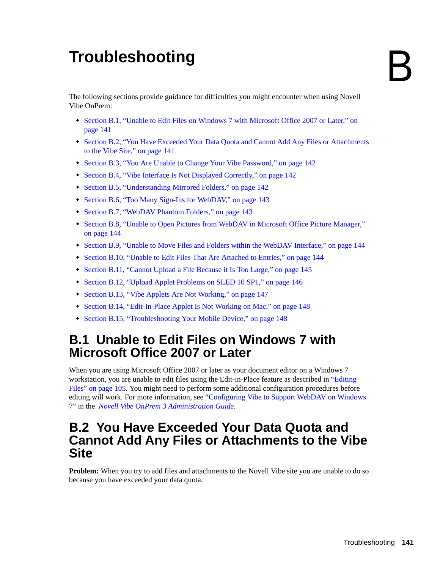# <sup>B</sup> **Troubleshooting**

The following sections provide guidance for difficulties you might encounter when using Novell Vibe OnPrem:

- [Section B.1, "Unable to Edit Files on Windows 7 with Microsoft Office 2007 or Later," on](#page-140-0)  [page 141](#page-140-0)
- [Section B.2, "You Have Exceeded Your Data Quota and Cannot Add Any Files or Attachments](#page-140-1)  [to the Vibe Site," on page 141](#page-140-1)
- [Section B.3, "You Are Unable to Change Your Vibe Password," on page 142](#page-141-0)
- [Section B.4, "Vibe Interface Is Not Displayed Correctly," on page 142](#page-141-1)
- [Section B.5, "Understanding Mirrored Folders," on page 142](#page-141-2)
- [Section B.6, "Too Many Sign-Ins for WebDAV," on page 143](#page-142-0)
- [Section B.7, "WebDAV Phantom Folders," on page 143](#page-142-1)
- [Section B.8, "Unable to Open Pictures from WebDAV in Microsoft Office Picture Manager,"](#page-143-1)  [on page 144](#page-143-1)
- [Section B.9, "Unable to Move Files and Folders within the WebDAV Interface," on page 144](#page-143-2)
- [Section B.10, "Unable to Edit Files That Are Attached to Entries," on page 144](#page-143-3)
- [Section B.11, "Cannot Upload a File Because it Is Too Large," on page 145](#page-144-0)
- [Section B.12, "Upload Applet Problems on SLED 10 SP1," on page 146](#page-145-0)
- [Section B.13, "Vibe Applets Are Not Working," on page 147](#page-146-0)
- [Section B.14, "Edit-In-Place Applet Is Not Working on Mac," on page 148](#page-147-0)
- [Section B.15, "Troubleshooting Your Mobile Device," on page 148](#page-147-1)

### <span id="page-140-0"></span>**B.1 Unable to Edit Files on Windows 7 with Microsoft Office 2007 or Later**

When you are using Microsoft Office 2007 or later as your document editor on a Windows 7 workstation, you are unable to edit files using the Edit-in-Place feature as described in "Editing Files" on page 105. You might need to perform some additional configuration procedures before editing will work. For more information, see "Configuring Vibe to Support WebDAV on Windows 7" in the *Novell Vibe OnPrem 3 Administration Guide*.

### <span id="page-140-1"></span>**B.2 You Have Exceeded Your Data Quota and Cannot Add Any Files or Attachments to the Vibe Site**

**Problem:** When you try to add files and attachments to the Novell Vibe site you are unable to do so because you have exceeded your data quota.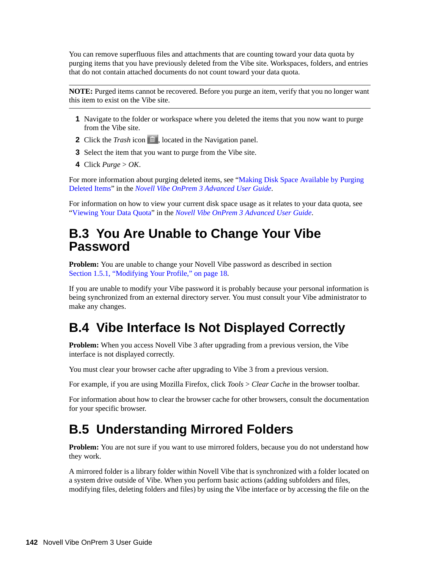You can remove superfluous files and attachments that are counting toward your data quota by purging items that you have previously deleted from the Vibe site. Workspaces, folders, and entries that do not contain attached documents do not count toward your data quota.

**NOTE:** Purged items cannot be recovered. Before you purge an item, verify that you no longer want this item to exist on the Vibe site.

- **1** Navigate to the folder or workspace where you deleted the items that you now want to purge from the Vibe site.
- **2** Click the *Trash* icon  $\Box$ , located in the Navigation panel.
- **3** Select the item that you want to purge from the Vibe site.
- **4** Click *Purge* > *OK*.

For more information about purging deleted items, see "Making Disk Space Available by Purging Deleted Items" in the *Novell Vibe OnPrem 3 Advanced User Guide*.

For information on how to view your current disk space usage as it relates to your data quota, see "Viewing Your Data Quota" in the *Novell Vibe OnPrem 3 Advanced User Guide*.

### <span id="page-141-0"></span>**B.3 You Are Unable to Change Your Vibe Password**

**Problem:** You are unable to change your Novell Vibe password as described in section [Section 1.5.1, "Modifying Your Profile," on page 18](#page-17-0).

If you are unable to modify your Vibe password it is probably because your personal information is being synchronized from an external directory server. You must consult your Vibe administrator to make any changes.

## <span id="page-141-1"></span>**B.4 Vibe Interface Is Not Displayed Correctly**

**Problem:** When you access Novell Vibe 3 after upgrading from a previous version, the Vibe interface is not displayed correctly.

You must clear your browser cache after upgrading to Vibe 3 from a previous version.

For example, if you are using Mozilla Firefox, click *Tools* > *Clear Cache* in the browser toolbar.

For information about how to clear the browser cache for other browsers, consult the documentation for your specific browser.

## <span id="page-141-2"></span>**B.5 Understanding Mirrored Folders**

**Problem:** You are not sure if you want to use mirrored folders, because you do not understand how they work.

A mirrored folder is a library folder within Novell Vibe that is synchronized with a folder located on a system drive outside of Vibe. When you perform basic actions (adding subfolders and files, modifying files, deleting folders and files) by using the Vibe interface or by accessing the file on the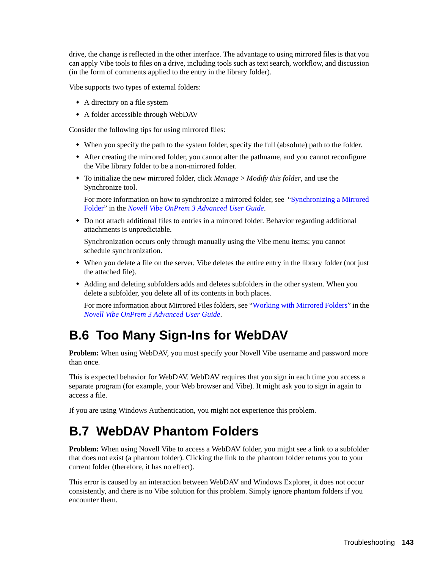drive, the change is reflected in the other interface. The advantage to using mirrored files is that you can apply Vibe tools to files on a drive, including tools such as text search, workflow, and discussion (in the form of comments applied to the entry in the library folder).

Vibe supports two types of external folders:

- A directory on a file system
- A folder accessible through WebDAV

Consider the following tips for using mirrored files:

- When you specify the path to the system folder, specify the full (absolute) path to the folder.
- After creating the mirrored folder, you cannot alter the pathname, and you cannot reconfigure the Vibe library folder to be a non-mirrored folder.
- To initialize the new mirrored folder, click *Manage* > *Modify this folder*, and use the Synchronize tool.

For more information on how to synchronize a mirrored folder, see "Synchronizing a Mirrored Folder" in the *Novell Vibe OnPrem 3 Advanced User Guide*.

 Do not attach additional files to entries in a mirrored folder. Behavior regarding additional attachments is unpredictable.

Synchronization occurs only through manually using the Vibe menu items; you cannot schedule synchronization.

- When you delete a file on the server, Vibe deletes the entire entry in the library folder (not just the attached file).
- Adding and deleting subfolders adds and deletes subfolders in the other system. When you delete a subfolder, you delete all of its contents in both places.

For more information about Mirrored Files folders, see "Working with Mirrored Folders" in the *Novell Vibe OnPrem 3 Advanced User Guide*.

## <span id="page-142-0"></span>**B.6 Too Many Sign-Ins for WebDAV**

**Problem:** When using WebDAV, you must specify your Novell Vibe username and password more than once.

This is expected behavior for WebDAV. WebDAV requires that you sign in each time you access a separate program (for example, your Web browser and Vibe). It might ask you to sign in again to access a file.

If you are using Windows Authentication, you might not experience this problem.

## <span id="page-142-1"></span>**B.7 WebDAV Phantom Folders**

**Problem:** When using Novell Vibe to access a WebDAV folder, you might see a link to a subfolder that does not exist (a phantom folder). Clicking the link to the phantom folder returns you to your current folder (therefore, it has no effect).

This error is caused by an interaction between WebDAV and Windows Explorer, it does not occur consistently, and there is no Vibe solution for this problem. Simply ignore phantom folders if you encounter them.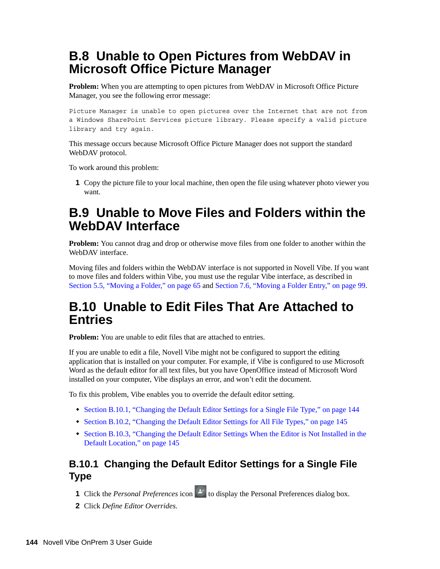## <span id="page-143-1"></span>**B.8 Unable to Open Pictures from WebDAV in Microsoft Office Picture Manager**

**Problem:** When you are attempting to open pictures from WebDAV in Microsoft Office Picture Manager, you see the following error message:

Picture Manager is unable to open pictures over the Internet that are not from a Windows SharePoint Services picture library. Please specify a valid picture library and try again.

This message occurs because Microsoft Office Picture Manager does not support the standard WebDAV protocol.

To work around this problem:

**1** Copy the picture file to your local machine, then open the file using whatever photo viewer you want.

### <span id="page-143-2"></span>**B.9 Unable to Move Files and Folders within the WebDAV Interface**

**Problem:** You cannot drag and drop or otherwise move files from one folder to another within the WebDAV interface.

Moving files and folders within the WebDAV interface is not supported in Novell Vibe. If you want to move files and folders within Vibe, you must use the regular Vibe interface, as described in [Section 5.5, "Moving a Folder," on page 65](#page-64-0) and [Section 7.6, "Moving a Folder Entry," on page 99.](#page-98-1)

### <span id="page-143-3"></span>**B.10 Unable to Edit Files That Are Attached to Entries**

**Problem:** You are unable to edit files that are attached to entries.

If you are unable to edit a file, Novell Vibe might not be configured to support the editing application that is installed on your computer. For example, if Vibe is configured to use Microsoft Word as the default editor for all text files, but you have OpenOffice instead of Microsoft Word installed on your computer, Vibe displays an error, and won't edit the document.

To fix this problem, Vibe enables you to override the default editor setting.

- [Section B.10.1, "Changing the Default Editor Settings for a Single File Type," on page 144](#page-143-4)
- [Section B.10.2, "Changing the Default Editor Settings for All File Types," on page 145](#page-144-1)
- [Section B.10.3, "Changing the Default Editor Settings When the Editor is Not Installed in the](#page-144-2)  [Default Location," on page 145](#page-144-2)

### <span id="page-143-4"></span><span id="page-143-0"></span>**B.10.1 Changing the Default Editor Settings for a Single File Type**

- **1** Click the *Personal Preferences* icon  $\mathcal{L}$  to display the Personal Preferences dialog box.
- **2** Click *Define Editor Overrides*.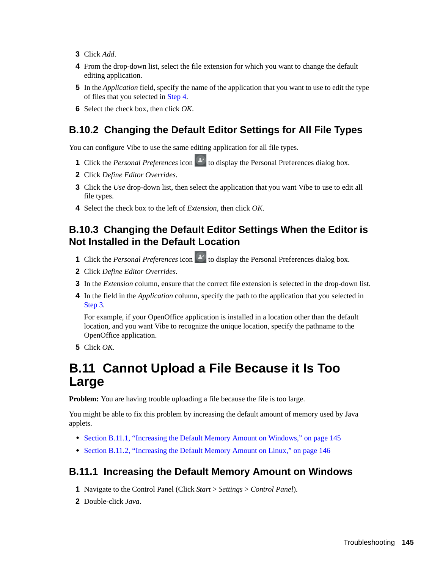- **3** Click *Add*.
- <span id="page-144-0"></span>**4** From the drop-down list, select the file extension for which you want to change the default editing application.
- **5** In the *Application* field, specify the name of the application that you want to use to edit the type of files that you selected in [Step 4](#page-144-0).
- **6** Select the check box, then click *OK*.

#### **B.10.2 Changing the Default Editor Settings for All File Types**

You can configure Vibe to use the same editing application for all file types.

- **1** Click the *Personal Preferences* icon **\*** to display the Personal Preferences dialog box.
- **2** Click *Define Editor Overrides*.
- **3** Click the *Use* drop-down list, then select the application that you want Vibe to use to edit all file types.
- **4** Select the check box to the left of *Extension*, then click *OK*.

#### <span id="page-144-3"></span>**B.10.3 Changing the Default Editor Settings When the Editor is Not Installed in the Default Location**

- **1** Click the *Personal Preferences* icon  $\mathcal{L}$  to display the Personal Preferences dialog box.
- **2** Click *Define Editor Overrides*.
- <span id="page-144-1"></span>**3** In the *Extension* column, ensure that the correct file extension is selected in the drop-down list.
- **4** In the field in the *Application* column, specify the path to the application that you selected in [Step 3](#page-144-1).

For example, if your OpenOffice application is installed in a location other than the default location, and you want Vibe to recognize the unique location, specify the pathname to the OpenOffice application.

**5** Click *OK*.

## **B.11 Cannot Upload a File Because it Is Too Large**

**Problem:** You are having trouble uploading a file because the file is too large.

You might be able to fix this problem by increasing the default amount of memory used by Java applets.

- [Section B.11.1, "Increasing the Default Memory Amount on Windows," on page 145](#page-144-2)
- [Section B.11.2, "Increasing the Default Memory Amount on Linux," on page 146](#page-145-0)

#### <span id="page-144-2"></span>**B.11.1 Increasing the Default Memory Amount on Windows**

- **1** Navigate to the Control Panel (Click *Start* > *Settings* > *Control Panel*).
- **2** Double-click *Java*.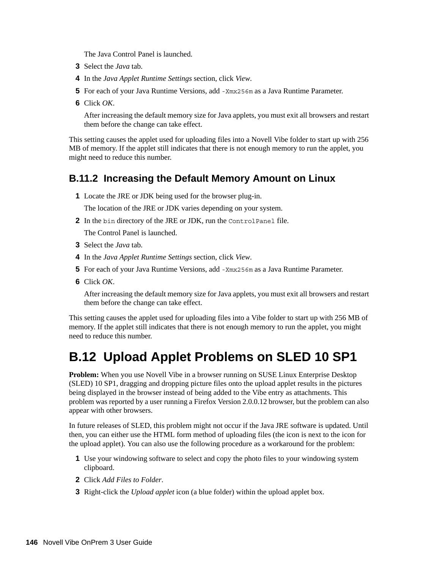The Java Control Panel is launched.

- **3** Select the *Java* tab.
- **4** In the *Java Applet Runtime Settings* section, click *View*.
- **5** For each of your Java Runtime Versions, add -Xmx256m as a Java Runtime Parameter.
- **6** Click *OK*.

After increasing the default memory size for Java applets, you must exit all browsers and restart them before the change can take effect.

This setting causes the applet used for uploading files into a Novell Vibe folder to start up with 256 MB of memory. If the applet still indicates that there is not enough memory to run the applet, you might need to reduce this number.

#### <span id="page-145-0"></span>**B.11.2 Increasing the Default Memory Amount on Linux**

**1** Locate the JRE or JDK being used for the browser plug-in.

The location of the JRE or JDK varies depending on your system.

**2** In the bin directory of the JRE or JDK, run the ControlPanel file.

The Control Panel is launched.

- **3** Select the *Java* tab.
- **4** In the *Java Applet Runtime Settings* section, click *View*.
- **5** For each of your Java Runtime Versions, add -Xmx256m as a Java Runtime Parameter.
- **6** Click *OK*.

After increasing the default memory size for Java applets, you must exit all browsers and restart them before the change can take effect.

This setting causes the applet used for uploading files into a Vibe folder to start up with 256 MB of memory. If the applet still indicates that there is not enough memory to run the applet, you might need to reduce this number.

## **B.12 Upload Applet Problems on SLED 10 SP1**

**Problem:** When you use Novell Vibe in a browser running on SUSE Linux Enterprise Desktop (SLED) 10 SP1, dragging and dropping picture files onto the upload applet results in the pictures being displayed in the browser instead of being added to the Vibe entry as attachments. This problem was reported by a user running a Firefox Version 2.0.0.12 browser, but the problem can also appear with other browsers.

In future releases of SLED, this problem might not occur if the Java JRE software is updated. Until then, you can either use the HTML form method of uploading files (the icon is next to the icon for the upload applet). You can also use the following procedure as a workaround for the problem:

- **1** Use your windowing software to select and copy the photo files to your windowing system clipboard.
- **2** Click *Add Files to Folder*.
- **3** Right-click the *Upload applet* icon (a blue folder) within the upload applet box.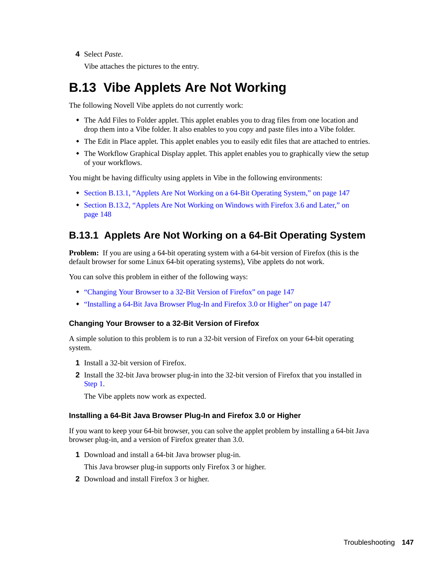**4** Select *Paste*.

Vibe attaches the pictures to the entry.

## **B.13 Vibe Applets Are Not Working**

The following Novell Vibe applets do not currently work:

- The Add Files to Folder applet. This applet enables you to drag files from one location and drop them into a Vibe folder. It also enables to you copy and paste files into a Vibe folder.
- The Edit in Place applet. This applet enables you to easily edit files that are attached to entries.
- The Workflow Graphical Display applet. This applet enables you to graphically view the setup of your workflows.

You might be having difficulty using applets in Vibe in the following environments:

- [Section B.13.1, "Applets Are Not Working on a 64-Bit Operating System," on page 147](#page-146-0)
- [Section B.13.2, "Applets Are Not Working on Windows with Firefox 3.6 and Later," on](#page-147-0)  [page 148](#page-147-0)

#### <span id="page-146-0"></span>**B.13.1 Applets Are Not Working on a 64-Bit Operating System**

**Problem:** If you are using a 64-bit operating system with a 64-bit version of Firefox (this is the default browser for some Linux 64-bit operating systems), Vibe applets do not work.

You can solve this problem in either of the following ways:

- ["Changing Your Browser to a 32-Bit Version of Firefox" on page 147](#page-146-1)
- ["Installing a 64-Bit Java Browser Plug-In and Firefox 3.0 or Higher" on page 147](#page-146-2)

#### <span id="page-146-1"></span>**Changing Your Browser to a 32-Bit Version of Firefox**

A simple solution to this problem is to run a 32-bit version of Firefox on your 64-bit operating system.

- <span id="page-146-3"></span>**1** Install a 32-bit version of Firefox.
- **2** Install the 32-bit Java browser plug-in into the 32-bit version of Firefox that you installed in [Step 1](#page-146-3).

The Vibe applets now work as expected.

#### <span id="page-146-2"></span>**Installing a 64-Bit Java Browser Plug-In and Firefox 3.0 or Higher**

If you want to keep your 64-bit browser, you can solve the applet problem by installing a 64-bit Java browser plug-in, and a version of Firefox greater than 3.0.

**1** Download and install a 64-bit Java browser plug-in.

This Java browser plug-in supports only Firefox 3 or higher.

**2** Download and install Firefox 3 or higher.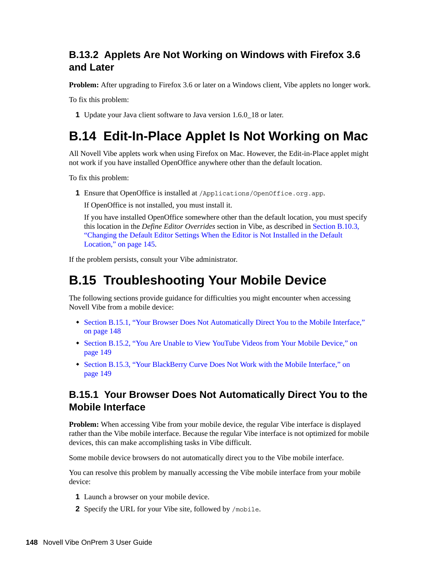### <span id="page-147-0"></span>**B.13.2 Applets Are Not Working on Windows with Firefox 3.6 and Later**

**Problem:** After upgrading to Firefox 3.6 or later on a Windows client, Vibe applets no longer work.

To fix this problem:

**1** Update your Java client software to Java version 1.6.0\_18 or later.

## **B.14 Edit-In-Place Applet Is Not Working on Mac**

All Novell Vibe applets work when using Firefox on Mac. However, the Edit-in-Place applet might not work if you have installed OpenOffice anywhere other than the default location.

To fix this problem:

**1** Ensure that OpenOffice is installed at /Applications/OpenOffice.org.app.

If OpenOffice is not installed, you must install it.

If you have installed OpenOffice somewhere other than the default location, you must specify this location in the *Define Editor Overrides* section in Vibe, as described in [Section B.10.3,](#page-144-3)  ["Changing the Default Editor Settings When the Editor is Not Installed in the Default](#page-144-3)  [Location," on page 145.](#page-144-3)

If the problem persists, consult your Vibe administrator.

## **B.15 Troubleshooting Your Mobile Device**

The following sections provide guidance for difficulties you might encounter when accessing Novell Vibe from a mobile device:

- Section B.15.1, "Your Browser Does Not Automatically Direct You to the Mobile Interface," [on page 148](#page-147-1)
- [Section B.15.2, "You Are Unable to View YouTube Videos from Your Mobile Device," on](#page-148-0)  [page 149](#page-148-0)
- [Section B.15.3, "Your BlackBerry Curve Does Not Work with the Mobile Interface," on](#page-148-1)  [page 149](#page-148-1)

#### <span id="page-147-1"></span>**B.15.1 Your Browser Does Not Automatically Direct You to the Mobile Interface**

**Problem:** When accessing Vibe from your mobile device, the regular Vibe interface is displayed rather than the Vibe mobile interface. Because the regular Vibe interface is not optimized for mobile devices, this can make accomplishing tasks in Vibe difficult.

Some mobile device browsers do not automatically direct you to the Vibe mobile interface.

You can resolve this problem by manually accessing the Vibe mobile interface from your mobile device:

- **1** Launch a browser on your mobile device.
- **2** Specify the URL for your Vibe site, followed by /mobile.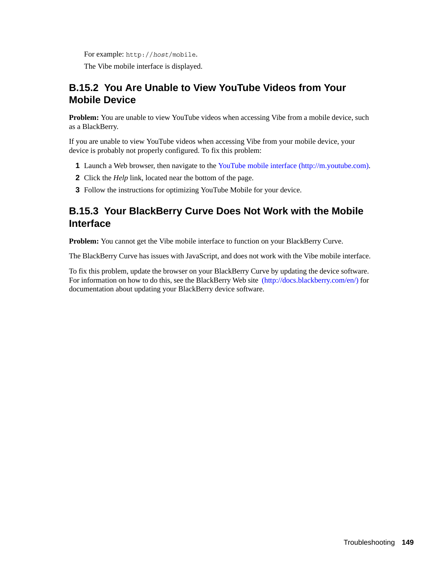For example: http://*host*/mobile.

The Vibe mobile interface is displayed.

### <span id="page-148-0"></span>**B.15.2 You Are Unable to View YouTube Videos from Your Mobile Device**

**Problem:** You are unable to view YouTube videos when accessing Vibe from a mobile device, such as a BlackBerry.

If you are unable to view YouTube videos when accessing Vibe from your mobile device, your device is probably not properly configured. To fix this problem:

- **1** Launch a Web browser, then navigate to the [YouTube mobile interface](http://m.youtube.com) (http://m.youtube.com).
- **2** Click the *Help* link, located near the bottom of the page.
- **3** Follow the instructions for optimizing YouTube Mobile for your device.

### <span id="page-148-1"></span>**B.15.3 Your BlackBerry Curve Does Not Work with the Mobile Interface**

**Problem:** You cannot get the Vibe mobile interface to function on your BlackBerry Curve.

The BlackBerry Curve has issues with JavaScript, and does not work with the Vibe mobile interface.

To fix this problem, update the browser on your BlackBerry Curve by updating the device software. For information on how to do this, see the BlackBerry Web site (http://docs.blackberry.com/en/) for documentation about updating your BlackBerry device software.